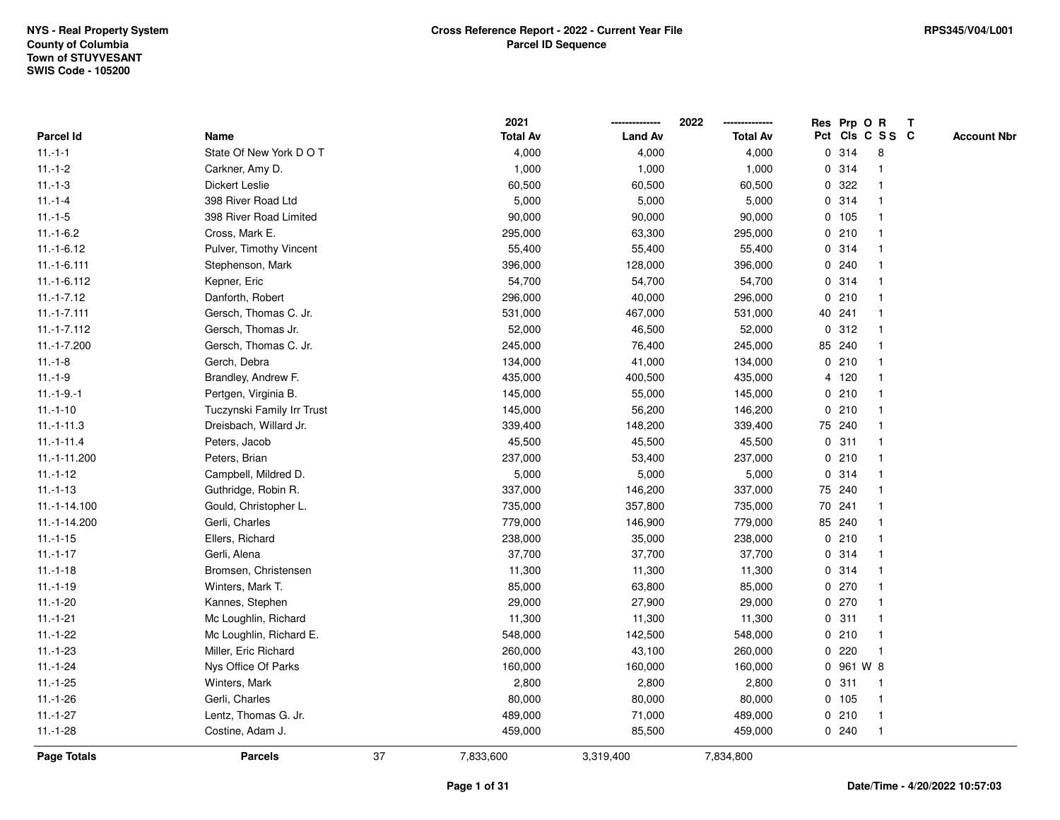|               |                            |    | 2021            |                | 2022            | Res Prp O R |                         | Т |                    |
|---------------|----------------------------|----|-----------------|----------------|-----------------|-------------|-------------------------|---|--------------------|
| Parcel Id     | Name                       |    | <b>Total Av</b> | <b>Land Av</b> | <b>Total Av</b> |             | Pct Cls C S S C         |   | <b>Account Nbr</b> |
| $11.-1-1$     | State Of New York DOT      |    | 4,000           | 4,000          | 4,000           | 0.314       | 8                       |   |                    |
| $11.-1-2$     | Carkner, Amy D.            |    | 1,000           | 1,000          | 1,000           | 0.314       | -1                      |   |                    |
| $11.-1-3$     | Dickert Leslie             |    | 60,500          | 60,500         | 60,500          | 0 322       |                         |   |                    |
| $11.-1-4$     | 398 River Road Ltd         |    | 5,000           | 5,000          | 5,000           | 0.314       | 1                       |   |                    |
| $11.-1-5$     | 398 River Road Limited     |    | 90,000          | 90,000         | 90,000          | 0 105       |                         |   |                    |
| $11.-1-6.2$   | Cross, Mark E.             |    | 295,000         | 63,300         | 295,000         | 0210        |                         |   |                    |
| $11.-1-6.12$  | Pulver, Timothy Vincent    |    | 55,400          | 55,400         | 55,400          | 0.314       |                         |   |                    |
| $11.-1-6.111$ | Stephenson, Mark           |    | 396,000         | 128,000        | 396,000         | 0.240       | -1                      |   |                    |
| $11.-1-6.112$ | Kepner, Eric               |    | 54,700          | 54,700         | 54,700          | 0 314       | $\overline{\mathbf{1}}$ |   |                    |
| $11.-1-7.12$  | Danforth, Robert           |    | 296,000         | 40,000         | 296,000         | 0210        | $\mathbf{1}$            |   |                    |
| $11.-1-7.111$ | Gersch, Thomas C. Jr.      |    | 531,000         | 467,000        | 531,000         | 40 241      | -1                      |   |                    |
| $11.-1-7.112$ | Gersch, Thomas Jr.         |    | 52,000          | 46,500         | 52,000          | 0.312       |                         |   |                    |
| $11.-1-7.200$ | Gersch, Thomas C. Jr.      |    | 245,000         | 76,400         | 245,000         | 85 240      |                         |   |                    |
| $11.-1-8$     | Gerch, Debra               |    | 134,000         | 41,000         | 134,000         | 0210        |                         |   |                    |
| $11.-1-9$     | Brandley, Andrew F.        |    | 435,000         | 400,500        | 435,000         | 4 120       | -1                      |   |                    |
| $11.-1-9.-1$  | Pertgen, Virginia B.       |    | 145,000         | 55,000         | 145,000         | 0210        | $\overline{\mathbf{1}}$ |   |                    |
| $11.-1-10$    | Tuczynski Family Irr Trust |    | 145,000         | 56,200         | 146,200         | 0210        | $\mathbf{1}$            |   |                    |
| $11.-1-11.3$  | Dreisbach, Willard Jr.     |    | 339,400         | 148,200        | 339,400         | 75 240      |                         |   |                    |
| $11.-1-11.4$  | Peters, Jacob              |    | 45,500          | 45,500         | 45,500          | 0.311       |                         |   |                    |
| 11.-1-11.200  | Peters, Brian              |    | 237,000         | 53,400         | 237,000         | 0210        |                         |   |                    |
| $11.-1-12$    | Campbell, Mildred D.       |    | 5,000           | 5,000          | 5,000           | 0.314       | $\overline{\mathbf{1}}$ |   |                    |
| $11.-1-13$    | Guthridge, Robin R.        |    | 337,000         | 146,200        | 337,000         | 75 240      | $\overline{\mathbf{1}}$ |   |                    |
| 11.-1-14.100  | Gould, Christopher L.      |    | 735,000         | 357,800        | 735,000         | 70 241      | $\overline{\mathbf{1}}$ |   |                    |
| 11.-1-14.200  | Gerli, Charles             |    | 779,000         | 146,900        | 779,000         | 85 240      | -1                      |   |                    |
| $11.-1-15$    | Ellers, Richard            |    | 238,000         | 35,000         | 238,000         | 0210        | -1                      |   |                    |
| $11.-1-17$    | Gerli, Alena               |    | 37,700          | 37,700         | 37,700          | 0.314       |                         |   |                    |
| $11.-1-18$    | Bromsen, Christensen       |    | 11,300          | 11,300         | 11,300          | 0.314       |                         |   |                    |
| $11.-1-19$    | Winters, Mark T.           |    | 85,000          | 63,800         | 85,000          | 0270        | 1                       |   |                    |
| $11.-1-20$    | Kannes, Stephen            |    | 29,000          | 27,900         | 29,000          | 0270        | -1                      |   |                    |
| $11.-1-21$    | Mc Loughlin, Richard       |    | 11,300          | 11,300         | 11,300          | 0.311       | $\overline{\mathbf{1}}$ |   |                    |
| $11.-1-22$    | Mc Loughlin, Richard E.    |    | 548,000         | 142,500        | 548,000         | 0210        | $\overline{1}$          |   |                    |
| $11.-1-23$    | Miller, Eric Richard       |    | 260,000         | 43,100         | 260,000         | 0.220       | -1                      |   |                    |
| $11.-1-24$    | Nys Office Of Parks        |    | 160,000         | 160,000        | 160,000         | 0 961 W 8   |                         |   |                    |
| $11.-1-25$    | Winters, Mark              |    | 2,800           | 2,800          | 2,800           | 0.311       | $\overline{\mathbf{1}}$ |   |                    |
| $11.-1-26$    | Gerli, Charles             |    | 80,000          | 80,000         | 80,000          | 0, 105      | $\overline{1}$          |   |                    |
| $11.-1-27$    | Lentz, Thomas G. Jr.       |    | 489,000         | 71,000         | 489,000         | 0210        | $\overline{1}$          |   |                    |
| $11.-1-28$    | Costine, Adam J.           |    | 459,000         | 85,500         | 459,000         | 0.240       | $\overline{\mathbf{1}}$ |   |                    |
| Page Totals   | <b>Parcels</b>             | 37 | 7,833,600       | 3,319,400      | 7,834,800       |             |                         |   |                    |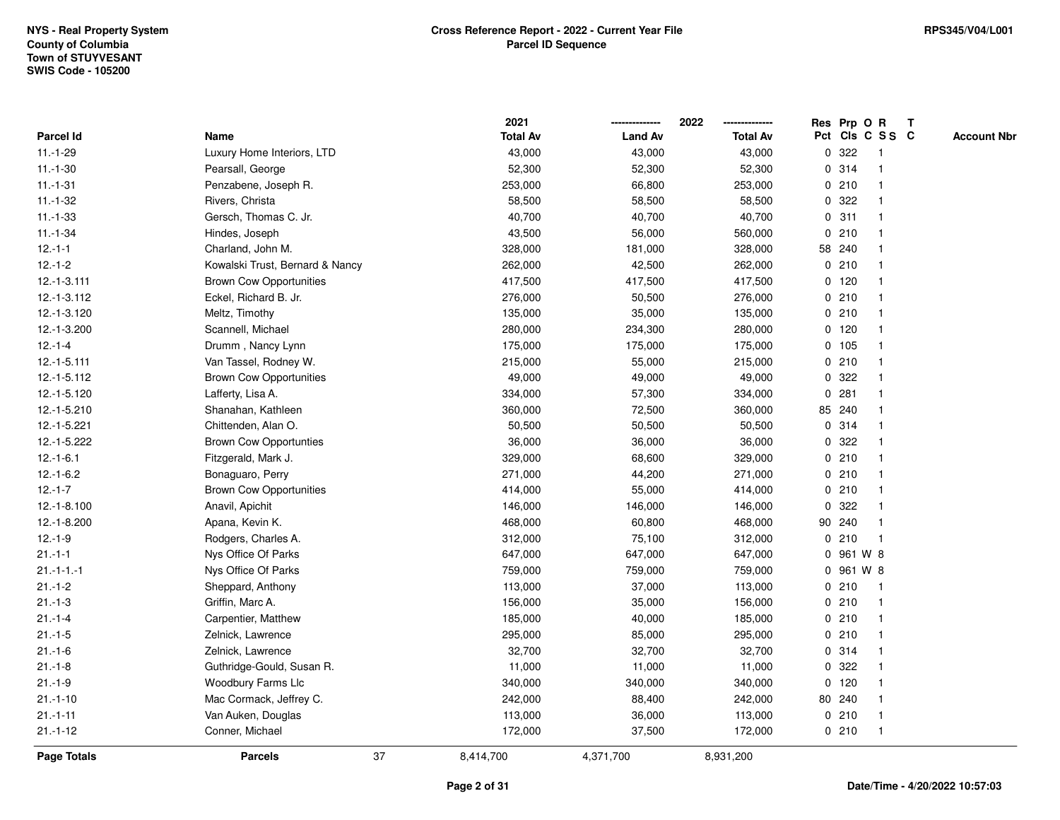|                  |                                 |    | 2021            |                | 2022            |             | Res Prp O R |                 | Т |                    |
|------------------|---------------------------------|----|-----------------|----------------|-----------------|-------------|-------------|-----------------|---|--------------------|
| Parcel Id        | Name                            |    | <b>Total Av</b> | <b>Land Av</b> | <b>Total Av</b> |             |             | Pct Cls C S S C |   | <b>Account Nbr</b> |
| $11.-1-29$       | Luxury Home Interiors, LTD      |    | 43,000          | 43,000         | 43,000          | 0           | 322         | $\mathbf 1$     |   |                    |
| $11.-1-30$       | Pearsall, George                |    | 52,300          | 52,300         | 52,300          | 0           | 314         | -1              |   |                    |
| $11.-1-31$       | Penzabene, Joseph R.            |    | 253,000         | 66,800         | 253,000         |             | 0210        | $\mathbf 1$     |   |                    |
| $11.-1-32$       | Rivers, Christa                 |    | 58,500          | 58,500         | 58,500          |             | 0 322       |                 |   |                    |
| $11 - 1 - 33$    | Gersch, Thomas C. Jr.           |    | 40,700          | 40,700         | 40,700          |             | 0.311       |                 |   |                    |
| $11.-1-34$       | Hindes, Joseph                  |    | 43,500          | 56,000         | 560,000         |             | 0210        |                 |   |                    |
| $12.-1-1$        | Charland, John M.               |    | 328,000         | 181,000        | 328,000         |             | 58 240      |                 |   |                    |
| $12.-1-2$        | Kowalski Trust, Bernard & Nancy |    | 262,000         | 42,500         | 262,000         |             | 0210        |                 |   |                    |
| $12.-1-3.111$    | <b>Brown Cow Opportunities</b>  |    | 417,500         | 417,500        | 417,500         |             | $0$ 120     | -1              |   |                    |
| 12.-1-3.112      | Eckel, Richard B. Jr.           |    | 276,000         | 50,500         | 276,000         |             | 0210        |                 |   |                    |
| 12.-1-3.120      | Meltz, Timothy                  |    | 135,000         | 35,000         | 135,000         |             | 0210        |                 |   |                    |
| 12.-1-3.200      | Scannell, Michael               |    | 280,000         | 234,300        | 280,000         |             | $0$ 120     |                 |   |                    |
| $12.-1-4$        | Drumm, Nancy Lynn               |    | 175,000         | 175,000        | 175,000         |             | 0 105       |                 |   |                    |
| 12.-1-5.111      | Van Tassel, Rodney W.           |    | 215,000         | 55,000         | 215,000         |             | 0210        |                 |   |                    |
| 12.-1-5.112      | <b>Brown Cow Opportunities</b>  |    | 49,000          | 49,000         | 49,000          | 0           | 322         |                 |   |                    |
| 12.-1-5.120      | Lafferty, Lisa A.               |    | 334,000         | 57,300         | 334,000         | $\mathbf 0$ | 281         |                 |   |                    |
| 12.-1-5.210      | Shanahan, Kathleen              |    | 360,000         | 72,500         | 360,000         |             | 85 240      |                 |   |                    |
| 12.-1-5.221      | Chittenden, Alan O.             |    | 50,500          | 50,500         | 50,500          |             | 0.314       |                 |   |                    |
| 12.-1-5.222      | <b>Brown Cow Opportunties</b>   |    | 36,000          | 36,000         | 36,000          |             | 0.322       |                 |   |                    |
| $12.-1-6.1$      | Fitzgerald, Mark J.             |    | 329,000         | 68,600         | 329,000         |             | 0210        |                 |   |                    |
| $12.-1-6.2$      | Bonaguaro, Perry                |    | 271,000         | 44,200         | 271,000         |             | 0210        |                 |   |                    |
| $12.-1-7$        | <b>Brown Cow Opportunities</b>  |    | 414,000         | 55,000         | 414,000         |             | 0210        |                 |   |                    |
| $12.-1-8.100$    | Anavil, Apichit                 |    | 146,000         | 146,000        | 146,000         | 0           | 322         |                 |   |                    |
| 12.-1-8.200      | Apana, Kevin K.                 |    | 468,000         | 60,800         | 468,000         |             | 90 240      | $\mathbf 1$     |   |                    |
| $12.-1-9$        | Rodgers, Charles A.             |    | 312,000         | 75,100         | 312,000         |             | 0210        | $\mathbf{1}$    |   |                    |
| $21 - 1 - 1$     | Nys Office Of Parks             |    | 647,000         | 647,000        | 647,000         |             | 0 961 W 8   |                 |   |                    |
| $21 - 1 - 1 - 1$ | Nys Office Of Parks             |    | 759,000         | 759,000        | 759,000         |             | 0 961 W 8   |                 |   |                    |
| $21 - 1 - 2$     | Sheppard, Anthony               |    | 113,000         | 37,000         | 113,000         |             | 0210        |                 |   |                    |
| $21 - 1 - 3$     | Griffin, Marc A.                |    | 156,000         | 35,000         | 156,000         |             | 0210        |                 |   |                    |
| $21 - 1 - 4$     | Carpentier, Matthew             |    | 185,000         | 40,000         | 185,000         |             | 0210        | $\mathbf 1$     |   |                    |
| $21.-1-5$        | Zelnick, Lawrence               |    | 295,000         | 85,000         | 295,000         |             | 0210        |                 |   |                    |
| $21 - 1 - 6$     | Zelnick, Lawrence               |    | 32,700          | 32,700         | 32,700          |             | 0.314       | $\mathbf 1$     |   |                    |
| $21 - 1 - 8$     | Guthridge-Gould, Susan R.       |    | 11,000          | 11,000         | 11,000          |             | 0.322       |                 |   |                    |
| $21.-1-9$        | Woodbury Farms Llc              |    | 340,000         | 340,000        | 340,000         |             | $0$ 120     |                 |   |                    |
| $21.-1-10$       | Mac Cormack, Jeffrey C.         |    | 242,000         | 88,400         | 242,000         |             | 80 240      |                 |   |                    |
| $21.-1-11$       | Van Auken, Douglas              |    | 113,000         | 36,000         | 113,000         |             | 0210        | -1              |   |                    |
| $21 - 1 - 12$    | Conner, Michael                 |    | 172,000         | 37,500         | 172,000         |             | 0210        | $\mathbf{1}$    |   |                    |
| Page Totals      | <b>Parcels</b>                  | 37 | 8,414,700       | 4,371,700      | 8,931,200       |             |             |                 |   |                    |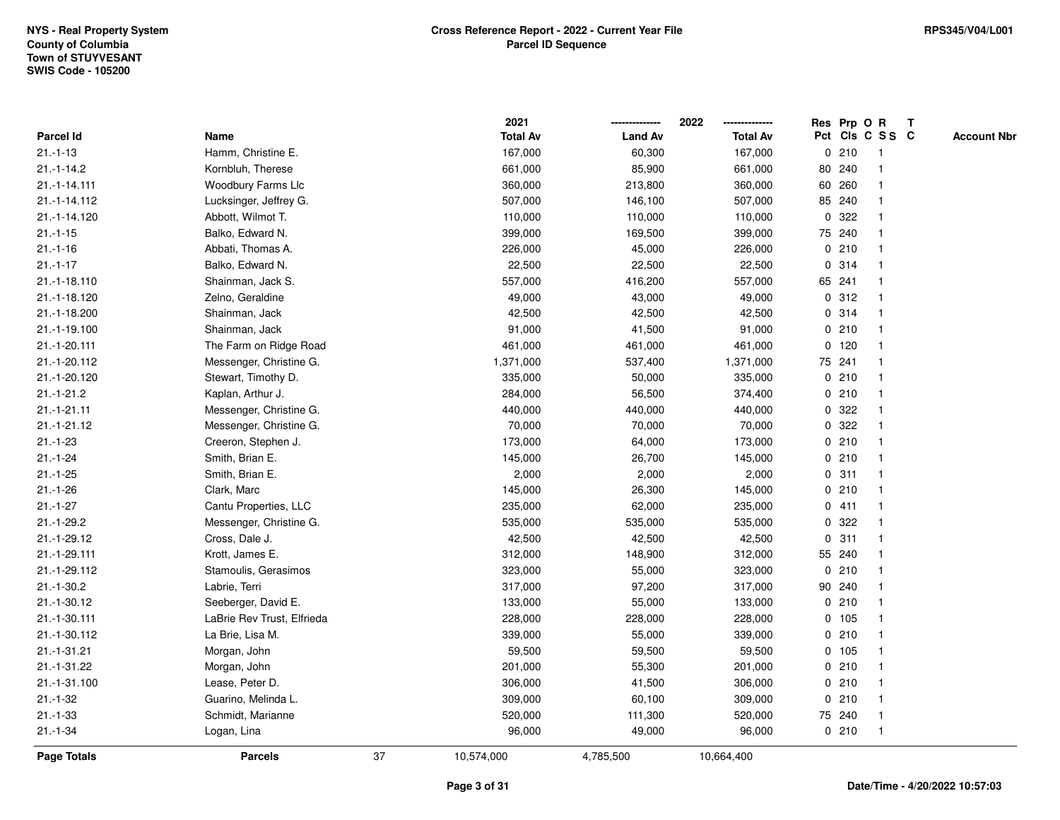|               |                            |    | 2021            |                | 2022            |             | Res Prp O R |                 | Т |                    |
|---------------|----------------------------|----|-----------------|----------------|-----------------|-------------|-------------|-----------------|---|--------------------|
| Parcel Id     | Name                       |    | <b>Total Av</b> | <b>Land Av</b> | <b>Total Av</b> |             |             | Pct Cls C S S C |   | <b>Account Nbr</b> |
| $21.-1-13$    | Hamm, Christine E.         |    | 167,000         | 60,300         | 167,000         |             | 0210        | $\mathbf{1}$    |   |                    |
| $21.-1-14.2$  | Kornbluh, Therese          |    | 661,000         | 85,900         | 661,000         |             | 80 240      |                 |   |                    |
| 21.-1-14.111  | Woodbury Farms Llc         |    | 360,000         | 213,800        | 360,000         |             | 60 260      | $\mathbf 1$     |   |                    |
| 21.-1-14.112  | Lucksinger, Jeffrey G.     |    | 507,000         | 146,100        | 507,000         |             | 85 240      |                 |   |                    |
| 21.-1-14.120  | Abbott, Wilmot T.          |    | 110,000         | 110,000        | 110,000         |             | 0.322       |                 |   |                    |
| $21.-1-15$    | Balko, Edward N.           |    | 399,000         | 169,500        | 399,000         |             | 75 240      |                 |   |                    |
| $21.-1-16$    | Abbati, Thomas A.          |    | 226,000         | 45,000         | 226,000         |             | 0210        |                 |   |                    |
| $21.-1-17$    | Balko, Edward N.           |    | 22,500          | 22,500         | 22,500          | $\mathbf 0$ | 314         |                 |   |                    |
| 21.-1-18.110  | Shainman, Jack S.          |    | 557,000         | 416,200        | 557,000         |             | 65 241      | -1              |   |                    |
| 21.-1-18.120  | Zelno, Geraldine           |    | 49,000          | 43,000         | 49,000          |             | 0.312       | -1              |   |                    |
| 21.-1-18.200  | Shainman, Jack             |    | 42,500          | 42,500         | 42,500          |             | 0.314       |                 |   |                    |
| 21.-1-19.100  | Shainman, Jack             |    | 91,000          | 41,500         | 91,000          |             | 0210        |                 |   |                    |
| 21.-1-20.111  | The Farm on Ridge Road     |    | 461,000         | 461,000        | 461,000         |             | $0$ 120     |                 |   |                    |
| 21.-1-20.112  | Messenger, Christine G.    |    | 1,371,000       | 537,400        | 1,371,000       |             | 75 241      |                 |   |                    |
| 21.-1-20.120  | Stewart, Timothy D.        |    | 335,000         | 50,000         | 335,000         |             | 0210        |                 |   |                    |
| $21.-1-21.2$  | Kaplan, Arthur J.          |    | 284,000         | 56,500         | 374,400         |             | 0210        | -1              |   |                    |
| $21.-1-21.11$ | Messenger, Christine G.    |    | 440,000         | 440,000        | 440,000         |             | 0.322       |                 |   |                    |
| $21.-1-21.12$ | Messenger, Christine G.    |    | 70,000          | 70,000         | 70,000          |             | 0.322       |                 |   |                    |
| $21.-1-23$    | Creeron, Stephen J.        |    | 173,000         | 64,000         | 173,000         |             | 0210        |                 |   |                    |
| $21.-1-24$    | Smith, Brian E.            |    | 145,000         | 26,700         | 145,000         |             | 0210        |                 |   |                    |
| $21 - 1 - 25$ | Smith, Brian E.            |    | 2,000           | 2,000          | 2,000           |             | 0.311       |                 |   |                    |
| $21 - 1 - 26$ | Clark, Marc                |    | 145,000         | 26,300         | 145,000         |             | 0210        |                 |   |                    |
| $21.-1-27$    | Cantu Properties, LLC      |    | 235,000         | 62,000         | 235,000         |             | 0411        | -1              |   |                    |
| $21.-1-29.2$  | Messenger, Christine G.    |    | 535,000         | 535,000        | 535,000         | 0           | 322         |                 |   |                    |
| $21.-1-29.12$ | Cross, Dale J.             |    | 42,500          | 42,500         | 42,500          |             | 0.311       |                 |   |                    |
| 21.-1-29.111  | Krott, James E.            |    | 312,000         | 148,900        | 312,000         |             | 55 240      |                 |   |                    |
| 21.-1-29.112  | Stamoulis, Gerasimos       |    | 323,000         | 55,000         | 323,000         |             | 0210        |                 |   |                    |
| $21.-1-30.2$  | Labrie, Terri              |    | 317,000         | 97,200         | 317,000         |             | 90 240      |                 |   |                    |
| 21.-1-30.12   | Seeberger, David E.        |    | 133,000         | 55,000         | 133,000         |             | 0210        |                 |   |                    |
| 21.-1-30.111  | LaBrie Rev Trust, Elfrieda |    | 228,000         | 228,000        | 228,000         |             | 0, 105      | -1              |   |                    |
| 21.-1-30.112  | La Brie, Lisa M.           |    | 339,000         | 55,000         | 339,000         |             | 0210        | -1              |   |                    |
| 21.-1-31.21   | Morgan, John               |    | 59,500          | 59,500         | 59,500          |             | 0, 105      | -1              |   |                    |
| 21.-1-31.22   | Morgan, John               |    | 201,000         | 55,300         | 201,000         |             | 0210        |                 |   |                    |
| 21.-1-31.100  | Lease, Peter D.            |    | 306,000         | 41,500         | 306,000         |             | 0210        |                 |   |                    |
| $21 - 1 - 32$ | Guarino, Melinda L.        |    | 309,000         | 60,100         | 309,000         |             | 0210        |                 |   |                    |
| $21.-1-33$    | Schmidt, Marianne          |    | 520,000         | 111,300        | 520,000         |             | 75 240      | -1              |   |                    |
| $21.-1-34$    | Logan, Lina                |    | 96,000          | 49,000         | 96,000          |             | 0210        | $\mathbf{1}$    |   |                    |
| Page Totals   | <b>Parcels</b>             | 37 | 10,574,000      | 4,785,500      | 10,664,400      |             |             |                 |   |                    |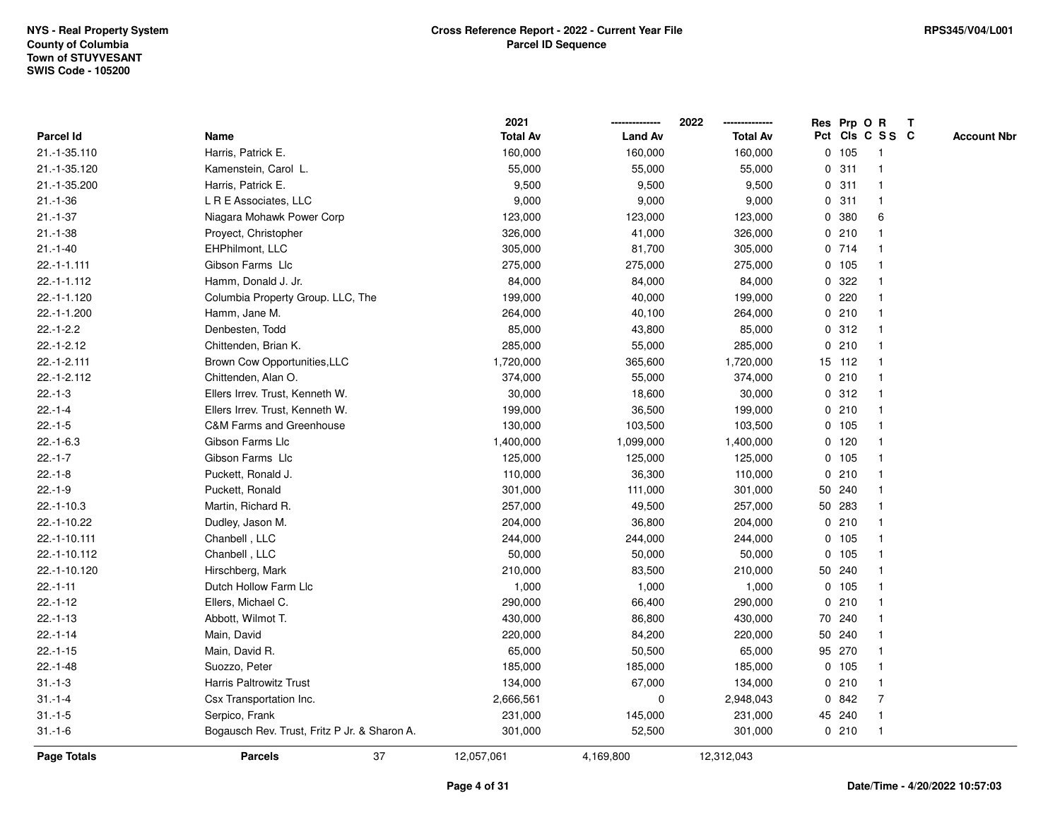|               |                                              | 2021            |                | 2022            | Res Prp O R |                 |                | T |                    |
|---------------|----------------------------------------------|-----------------|----------------|-----------------|-------------|-----------------|----------------|---|--------------------|
| Parcel Id     | Name                                         | <b>Total Av</b> | <b>Land Av</b> | <b>Total Av</b> |             | Pct Cls C S S C |                |   | <b>Account Nbr</b> |
| 21.-1-35.110  | Harris, Patrick E.                           | 160,000         | 160,000        | 160,000         |             | 0 105           | -1             |   |                    |
| 21.-1-35.120  | Kamenstein, Carol L.                         | 55,000          | 55,000         | 55,000          | 0           | 311             | -1             |   |                    |
| 21.-1-35.200  | Harris, Patrick E.                           | 9,500           | 9,500          | 9,500           |             | 0.311           | $\mathbf 1$    |   |                    |
| $21.-1-36$    | L R E Associates, LLC                        | 9,000           | 9,000          | 9,000           |             | 0.311           | 1              |   |                    |
| $21 - 1 - 37$ | Niagara Mohawk Power Corp                    | 123,000         | 123,000        | 123,000         |             | 0 380           | 6              |   |                    |
| $21.-1-38$    | Proyect, Christopher                         | 326,000         | 41,000         | 326,000         |             | 0210            |                |   |                    |
| $21.-1-40$    | EHPhilmont, LLC                              | 305,000         | 81,700         | 305,000         |             | 0 714           |                |   |                    |
| $22.-1-1.111$ | Gibson Farms Llc                             | 275,000         | 275,000        | 275,000         |             | 0 105           |                |   |                    |
| 22.-1-1.112   | Hamm, Donald J. Jr.                          | 84,000          | 84,000         | 84,000          | 0           | 322             |                |   |                    |
| 22.-1-1.120   | Columbia Property Group. LLC, The            | 199,000         | 40,000         | 199,000         |             | 0.220           | 1              |   |                    |
| 22.-1-1.200   | Hamm, Jane M.                                | 264,000         | 40,100         | 264,000         |             | 0210            |                |   |                    |
| $22.-1-2.2$   | Denbesten, Todd                              | 85,000          | 43,800         | 85,000          |             | 0.312           |                |   |                    |
| $22.-1-2.12$  | Chittenden, Brian K.                         | 285,000         | 55,000         | 285,000         | 0           | 210             |                |   |                    |
| 22.-1-2.111   | Brown Cow Opportunities, LLC                 | 1,720,000       | 365,600        | 1,720,000       |             | 15 112          | -1             |   |                    |
| 22.-1-2.112   | Chittenden, Alan O.                          | 374,000         | 55,000         | 374,000         | 0           | 210             | $\overline{1}$ |   |                    |
| $22.-1-3$     | Ellers Irrev. Trust, Kenneth W.              | 30,000          | 18,600         | 30,000          |             | 0.312           | -1             |   |                    |
| $22.-1-4$     | Ellers Irrev. Trust, Kenneth W.              | 199,000         | 36,500         | 199,000         |             | 0210            | $\mathbf 1$    |   |                    |
| $22.-1-5$     | <b>C&amp;M Farms and Greenhouse</b>          | 130,000         | 103,500        | 103,500         |             | 0 105           |                |   |                    |
| $22.-1-6.3$   | Gibson Farms Llc                             | 1,400,000       | 1,099,000      | 1,400,000       |             | $0$ 120         |                |   |                    |
| $22.-1-7$     | Gibson Farms Llc                             | 125,000         | 125,000        | 125,000         |             | 0 105           |                |   |                    |
| $22.-1-8$     | Puckett, Ronald J.                           | 110,000         | 36,300         | 110,000         |             | 0210            |                |   |                    |
| $22.-1-9$     | Puckett, Ronald                              | 301,000         | 111,000        | 301,000         |             | 50 240          |                |   |                    |
| $22.-1-10.3$  | Martin, Richard R.                           | 257,000         | 49,500         | 257,000         |             | 50 283          | -1             |   |                    |
| 22.-1-10.22   | Dudley, Jason M.                             | 204,000         | 36,800         | 204,000         |             | 0210            | -1             |   |                    |
| 22.-1-10.111  | Chanbell, LLC                                | 244,000         | 244,000        | 244,000         |             | 0, 105          |                |   |                    |
| 22.-1-10.112  | Chanbell, LLC                                | 50,000          | 50,000         | 50,000          |             | 0, 105          |                |   |                    |
| 22.-1-10.120  | Hirschberg, Mark                             | 210,000         | 83,500         | 210,000         |             | 50 240          |                |   |                    |
| $22.-1-11$    | Dutch Hollow Farm Llc                        | 1,000           | 1,000          | 1,000           |             | 0 105           |                |   |                    |
| $22.-1-12$    | Ellers, Michael C.                           | 290,000         | 66,400         | 290,000         | 0           | 210             |                |   |                    |
| $22.-1-13$    | Abbott, Wilmot T.                            | 430,000         | 86,800         | 430,000         |             | 70 240          | -1             |   |                    |
| $22.-1-14$    | Main, David                                  | 220,000         | 84,200         | 220,000         |             | 50 240          | $\overline{1}$ |   |                    |
| $22.-1-15$    | Main, David R.                               | 65,000          | 50,500         | 65,000          |             | 95 270          |                |   |                    |
| $22.-1-48$    | Suozzo, Peter                                | 185,000         | 185,000        | 185,000         |             | 0, 105          |                |   |                    |
| $31 - 1 - 3$  | <b>Harris Paltrowitz Trust</b>               | 134,000         | 67,000         | 134,000         |             | 0210            |                |   |                    |
| $31 - 1 - 4$  | Csx Transportation Inc.                      | 2,666,561       | 0              | 2,948,043       |             | 0842            | $\overline{7}$ |   |                    |
| $31.-1-5$     | Serpico, Frank                               | 231,000         | 145,000        | 231,000         |             | 45 240          | $\mathbf{1}$   |   |                    |
| $31 - 1 - 6$  | Bogausch Rev. Trust, Fritz P Jr. & Sharon A. | 301,000         | 52,500         | 301,000         |             | 0210            | $\mathbf{1}$   |   |                    |
| Page Totals   | 37<br><b>Parcels</b>                         | 12,057,061      | 4,169,800      | 12,312,043      |             |                 |                |   |                    |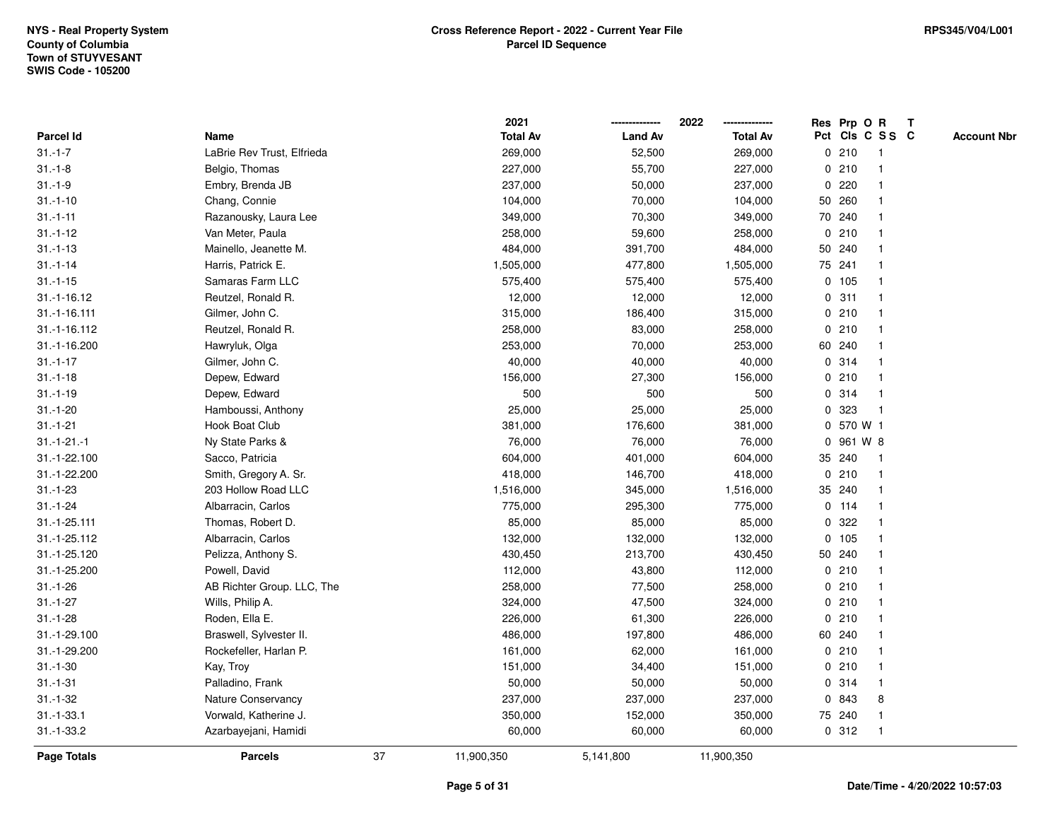|                |                            |    | 2021            |                | 2022            |             | Res Prp O R |                 | Т |                    |
|----------------|----------------------------|----|-----------------|----------------|-----------------|-------------|-------------|-----------------|---|--------------------|
| Parcel Id      | Name                       |    | <b>Total Av</b> | <b>Land Av</b> | <b>Total Av</b> |             |             | Pct Cls C S S C |   | <b>Account Nbr</b> |
| $31.-1-7$      | LaBrie Rev Trust, Elfrieda |    | 269,000         | 52,500         | 269,000         |             | 0210        | $\mathbf 1$     |   |                    |
| $31 - 1 - 8$   | Belgio, Thomas             |    | 227,000         | 55,700         | 227,000         | 0           | 210         |                 |   |                    |
| $31.-1-9$      | Embry, Brenda JB           |    | 237,000         | 50,000         | 237,000         |             | 0.220       |                 |   |                    |
| $31.-1-10$     | Chang, Connie              |    | 104,000         | 70,000         | 104,000         |             | 50 260      |                 |   |                    |
| $31.-1-11$     | Razanousky, Laura Lee      |    | 349,000         | 70,300         | 349,000         |             | 70 240      |                 |   |                    |
| $31.-1-12$     | Van Meter, Paula           |    | 258,000         | 59,600         | 258,000         |             | 0210        |                 |   |                    |
| $31 - 1 - 13$  | Mainello, Jeanette M.      |    | 484,000         | 391,700        | 484,000         |             | 50 240      |                 |   |                    |
| $31.-1-14$     | Harris, Patrick E.         |    | 1,505,000       | 477,800        | 1,505,000       |             | 75 241      |                 |   |                    |
| $31.-1-15$     | Samaras Farm LLC           |    | 575,400         | 575,400        | 575,400         |             | 0 105       |                 |   |                    |
| $31.-1-16.12$  | Reutzel, Ronald R.         |    | 12,000          | 12,000         | 12,000          |             | 0.311       |                 |   |                    |
| $31.-1-16.111$ | Gilmer, John C.            |    | 315,000         | 186,400        | 315,000         |             | 0210        |                 |   |                    |
| 31.-1-16.112   | Reutzel, Ronald R.         |    | 258,000         | 83,000         | 258,000         |             | 0210        |                 |   |                    |
| 31.-1-16.200   | Hawryluk, Olga             |    | 253,000         | 70,000         | 253,000         |             | 60 240      |                 |   |                    |
| $31.-1-17$     | Gilmer, John C.            |    | 40,000          | 40,000         | 40,000          |             | 0.314       |                 |   |                    |
| $31.-1-18$     | Depew, Edward              |    | 156,000         | 27,300         | 156,000         | 0           | 210         |                 |   |                    |
| $31.-1-19$     | Depew, Edward              |    | 500             | 500            | 500             |             | 0.314       | -1              |   |                    |
| $31.-1-20$     | Hamboussi, Anthony         |    | 25,000          | 25,000         | 25,000          | 0           | 323         |                 |   |                    |
| $31.-1-21$     | Hook Boat Club             |    | 381,000         | 176,600        | 381,000         |             | 0 570 W 1   |                 |   |                    |
| $31.-1-21.-1$  | Ny State Parks &           |    | 76,000          | 76,000         | 76,000          |             | 0 961 W 8   |                 |   |                    |
| 31.-1-22.100   | Sacco, Patricia            |    | 604,000         | 401,000        | 604,000         |             | 35 240      |                 |   |                    |
| 31.-1-22.200   | Smith, Gregory A. Sr.      |    | 418,000         | 146,700        | 418,000         |             | 0210        |                 |   |                    |
| $31.-1-23$     | 203 Hollow Road LLC        |    | 1,516,000       | 345,000        | 1,516,000       |             | 35 240      |                 |   |                    |
| $31.-1-24$     | Albarracin, Carlos         |    | 775,000         | 295,300        | 775,000         |             | $0$ 114     |                 |   |                    |
| 31.-1-25.111   | Thomas, Robert D.          |    | 85,000          | 85,000         | 85,000          | $\mathbf 0$ | 322         |                 |   |                    |
| 31.-1-25.112   | Albarracin, Carlos         |    | 132,000         | 132,000        | 132,000         |             | 0 105       |                 |   |                    |
| 31.-1-25.120   | Pelizza, Anthony S.        |    | 430,450         | 213,700        | 430,450         |             | 50 240      |                 |   |                    |
| 31.-1-25.200   | Powell, David              |    | 112,000         | 43,800         | 112,000         |             | 0210        |                 |   |                    |
| $31.-1-26$     | AB Richter Group. LLC, The |    | 258,000         | 77,500         | 258,000         |             | 0210        |                 |   |                    |
| $31.-1-27$     | Wills, Philip A.           |    | 324,000         | 47,500         | 324,000         |             | 0210        |                 |   |                    |
| $31.-1-28$     | Roden, Ella E.             |    | 226,000         | 61,300         | 226,000         | 0           | 210         |                 |   |                    |
| 31.-1-29.100   | Braswell, Sylvester II.    |    | 486,000         | 197,800        | 486,000         |             | 60 240      |                 |   |                    |
| 31.-1-29.200   | Rockefeller, Harlan P.     |    | 161,000         | 62,000         | 161,000         |             | 0210        |                 |   |                    |
| $31.-1-30$     | Kay, Troy                  |    | 151,000         | 34,400         | 151,000         |             | 0210        |                 |   |                    |
| $31.-1-31$     | Palladino, Frank           |    | 50,000          | 50,000         | 50,000          |             | 0 314       |                 |   |                    |
| $31.-1-32$     | Nature Conservancy         |    | 237,000         | 237,000        | 237,000         | 0           | 843         | 8               |   |                    |
| $31.-1-33.1$   | Vorwald, Katherine J.      |    | 350,000         | 152,000        | 350,000         |             | 75 240      |                 |   |                    |
| $31.-1-33.2$   | Azarbayejani, Hamidi       |    | 60,000          | 60,000         | 60,000          |             | 0.312       |                 |   |                    |
| Page Totals    | <b>Parcels</b>             | 37 | 11,900,350      | 5,141,800      | 11,900,350      |             |             |                 |   |                    |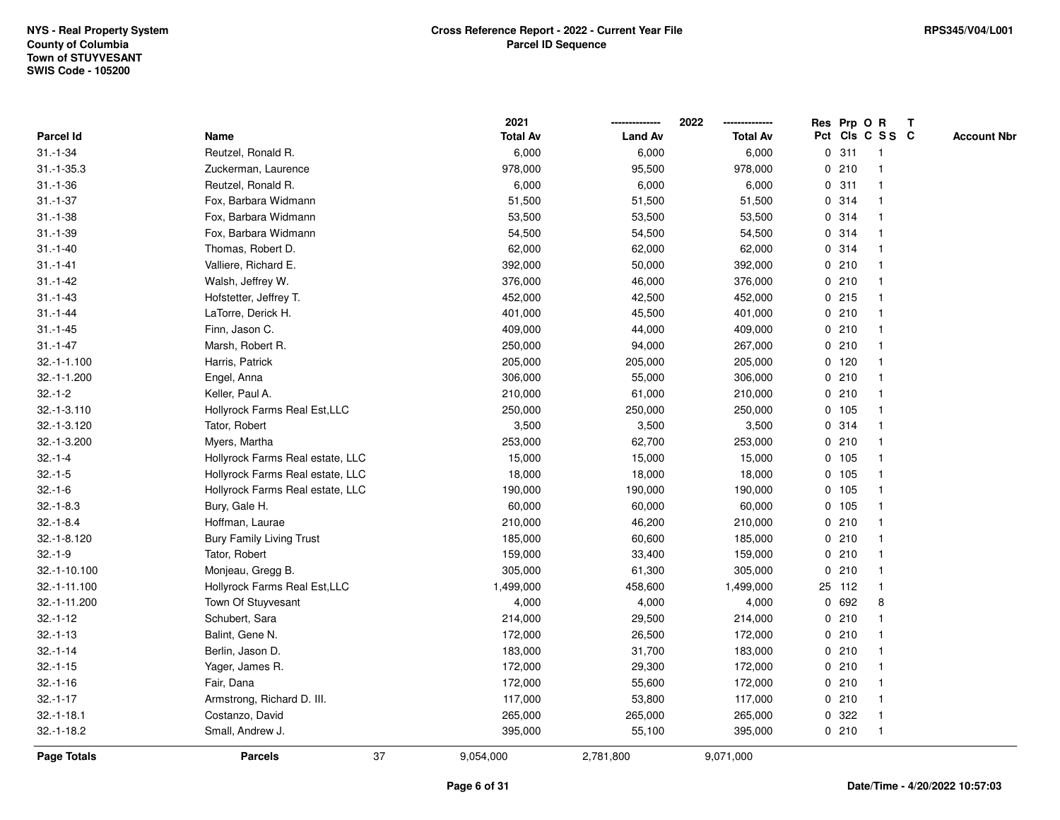|                  |                                  |    | 2021            |                | 2022            |   |         | Res Prp O R     | $\mathbf{T}$ |                    |
|------------------|----------------------------------|----|-----------------|----------------|-----------------|---|---------|-----------------|--------------|--------------------|
| <b>Parcel Id</b> | Name                             |    | <b>Total Av</b> | <b>Land Av</b> | <b>Total Av</b> |   |         | Pct Cls C S S C |              | <b>Account Nbr</b> |
| $31.-1-34$       | Reutzel, Ronald R.               |    | 6,000           | 6,000          | 6,000           |   | 0.311   |                 |              |                    |
| $31.-1-35.3$     | Zuckerman, Laurence              |    | 978,000         | 95,500         | 978,000         |   | 0210    |                 |              |                    |
| $31.-1-36$       | Reutzel, Ronald R.               |    | 6,000           | 6,000          | 6,000           |   | 0.311   |                 |              |                    |
| $31.-1-37$       | Fox, Barbara Widmann             |    | 51,500          | 51,500         | 51,500          | 0 | 314     |                 |              |                    |
| $31.-1-38$       | Fox, Barbara Widmann             |    | 53,500          | 53,500         | 53,500          | 0 | 314     |                 |              |                    |
| $31.-1-39$       | Fox, Barbara Widmann             |    | 54,500          | 54,500         | 54,500          |   | 0.314   |                 |              |                    |
| $31.-1-40$       | Thomas, Robert D.                |    | 62,000          | 62,000         | 62,000          |   | 0.314   |                 |              |                    |
| $31.-1-41$       | Valliere, Richard E.             |    | 392,000         | 50,000         | 392,000         |   | 0210    |                 |              |                    |
| $31 - 1 - 42$    | Walsh, Jeffrey W.                |    | 376,000         | 46,000         | 376,000         |   | 0210    |                 |              |                    |
| $31.-1-43$       | Hofstetter, Jeffrey T.           |    | 452,000         | 42,500         | 452,000         |   | 0215    |                 |              |                    |
| $31.-1-44$       | LaTorre, Derick H.               |    | 401,000         | 45,500         | 401,000         |   | 0210    |                 |              |                    |
| $31.-1-45$       | Finn, Jason C.                   |    | 409,000         | 44,000         | 409,000         |   | 0210    |                 |              |                    |
| $31.-1-47$       | Marsh, Robert R.                 |    | 250,000         | 94,000         | 267,000         |   | 0210    |                 |              |                    |
| $32.-1-1.100$    | Harris, Patrick                  |    | 205,000         | 205,000        | 205,000         |   | 0, 120  |                 |              |                    |
| 32.-1-1.200      | Engel, Anna                      |    | 306,000         | 55,000         | 306,000         |   | 0210    |                 |              |                    |
| $32.-1-2$        | Keller, Paul A.                  |    | 210,000         | 61,000         | 210,000         |   | 0210    |                 |              |                    |
| 32.-1-3.110      | Hollyrock Farms Real Est, LLC    |    | 250,000         | 250,000        | 250,000         |   | 0 105   |                 |              |                    |
| 32.-1-3.120      | Tator, Robert                    |    | 3,500           | 3,500          | 3,500           |   | 0.314   |                 |              |                    |
| 32.-1-3.200      | Myers, Martha                    |    | 253,000         | 62,700         | 253,000         |   | 0210    |                 |              |                    |
| $32.-1-4$        | Hollyrock Farms Real estate, LLC |    | 15,000          | 15,000         | 15,000          |   | 0 105   |                 |              |                    |
| $32.-1-5$        | Hollyrock Farms Real estate, LLC |    | 18,000          | 18,000         | 18,000          |   | 0, 105  |                 |              |                    |
| $32.-1-6$        | Hollyrock Farms Real estate, LLC |    | 190,000         | 190,000        | 190,000         |   | 0 105   |                 |              |                    |
| $32.-1-8.3$      | Bury, Gale H.                    |    | 60,000          | 60,000         | 60,000          |   | $0$ 105 |                 |              |                    |
| $32.-1-8.4$      | Hoffman, Laurae                  |    | 210,000         | 46,200         | 210,000         | 0 | 210     |                 |              |                    |
| 32.-1-8.120      | <b>Bury Family Living Trust</b>  |    | 185,000         | 60,600         | 185,000         |   | 0210    |                 |              |                    |
| $32.-1-9$        | Tator, Robert                    |    | 159,000         | 33,400         | 159,000         |   | 0210    |                 |              |                    |
| 32.-1-10.100     | Monjeau, Gregg B.                |    | 305,000         | 61,300         | 305,000         |   | 0210    |                 |              |                    |
| 32.-1-11.100     | Hollyrock Farms Real Est, LLC    |    | 1,499,000       | 458,600        | 1,499,000       |   | 25 112  |                 |              |                    |
| 32.-1-11.200     | Town Of Stuyvesant               |    | 4,000           | 4,000          | 4,000           | 0 | 692     | 8               |              |                    |
| $32.-1-12$       | Schubert, Sara                   |    | 214,000         | 29,500         | 214,000         | 0 | 210     |                 |              |                    |
| $32.-1-13$       | Balint, Gene N.                  |    | 172,000         | 26,500         | 172,000         |   | 0210    |                 |              |                    |
| $32.-1-14$       | Berlin, Jason D.                 |    | 183,000         | 31,700         | 183,000         |   | 0210    |                 |              |                    |
| $32.-1-15$       | Yager, James R.                  |    | 172,000         | 29,300         | 172,000         |   | 0210    |                 |              |                    |
| $32.-1-16$       | Fair, Dana                       |    | 172,000         | 55,600         | 172,000         |   | 0210    |                 |              |                    |
| $32.-1-17$       | Armstrong, Richard D. III.       |    | 117,000         | 53,800         | 117,000         |   | 0210    |                 |              |                    |
| $32.-1-18.1$     | Costanzo, David                  |    | 265,000         | 265,000        | 265,000         |   | 0 322   |                 |              |                    |
| $32.-1-18.2$     | Small, Andrew J.                 |    | 395,000         | 55,100         | 395,000         |   | 0210    | -1              |              |                    |
| Page Totals      | <b>Parcels</b>                   | 37 | 9,054,000       | 2,781,800      | 9,071,000       |   |         |                 |              |                    |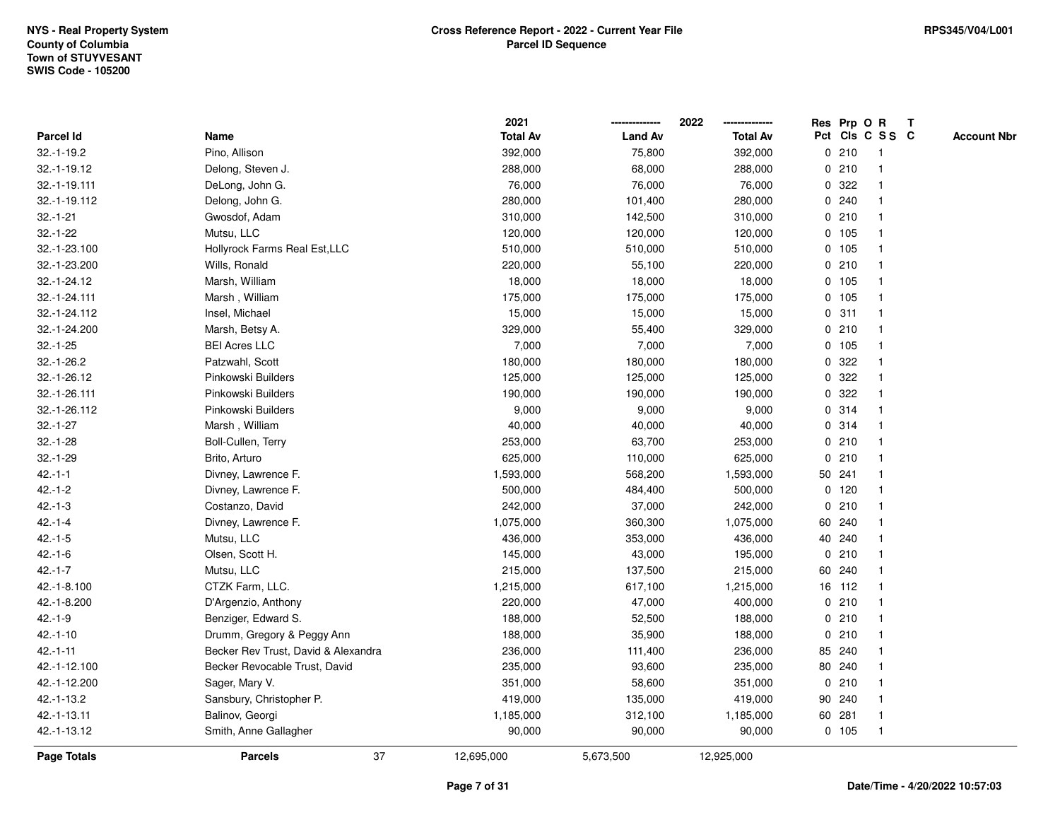|              |                                     | 2021            |                | 2022            |   | Res Prp O R |                         | T |                    |
|--------------|-------------------------------------|-----------------|----------------|-----------------|---|-------------|-------------------------|---|--------------------|
| Parcel Id    | Name                                | <b>Total Av</b> | <b>Land Av</b> | <b>Total Av</b> |   |             | Pct Cls C S S C         |   | <b>Account Nbr</b> |
| $32.-1-19.2$ | Pino, Allison                       | 392,000         | 75,800         | 392,000         |   | 0210        | $\overline{1}$          |   |                    |
| 32.-1-19.12  | Delong, Steven J.                   | 288,000         | 68,000         | 288,000         |   | 0210        | $\overline{\mathbf{1}}$ |   |                    |
| 32.-1-19.111 | DeLong, John G.                     | 76,000          | 76,000         | 76,000          |   | 0.322       |                         |   |                    |
| 32.-1-19.112 | Delong, John G.                     | 280,000         | 101,400        | 280,000         |   | 0.240       |                         |   |                    |
| $32.-1-21$   | Gwosdof, Adam                       | 310,000         | 142,500        | 310,000         |   | 0210        |                         |   |                    |
| $32.-1-22$   | Mutsu, LLC                          | 120,000         | 120,000        | 120,000         |   | 0 105       |                         |   |                    |
| 32.-1-23.100 | Hollyrock Farms Real Est, LLC       | 510,000         | 510,000        | 510,000         |   | 0, 105      |                         |   |                    |
| 32.-1-23.200 | Wills, Ronald                       | 220,000         | 55,100         | 220,000         |   | 0210        | $\overline{\mathbf{1}}$ |   |                    |
| 32.-1-24.12  | Marsh, William                      | 18,000          | 18,000         | 18,000          |   | 0 105       | $\overline{\mathbf{1}}$ |   |                    |
| 32.-1-24.111 | Marsh, William                      | 175,000         | 175,000        | 175,000         |   | 0 105       | $\mathbf{1}$            |   |                    |
| 32.-1-24.112 | Insel, Michael                      | 15,000          | 15,000         | 15,000          |   | 0.311       |                         |   |                    |
| 32.-1-24.200 | Marsh, Betsy A.                     | 329,000         | 55,400         | 329,000         |   | 0210        |                         |   |                    |
| $32.-1-25$   | <b>BEI Acres LLC</b>                | 7,000           | 7,000          | 7,000           |   | 0 105       |                         |   |                    |
| $32.-1-26.2$ | Patzwahl, Scott                     | 180,000         | 180,000        | 180,000         |   | 0.322       |                         |   |                    |
| 32.-1-26.12  | Pinkowski Builders                  | 125,000         | 125,000        | 125,000         | 0 | 322         |                         |   |                    |
| 32.-1-26.111 | Pinkowski Builders                  | 190,000         | 190,000        | 190,000         | 0 | 322         | $\overline{\mathbf{1}}$ |   |                    |
| 32.-1-26.112 | Pinkowski Builders                  | 9,000           | 9,000          | 9,000           |   | 0.314       | -1                      |   |                    |
| $32.-1-27$   | Marsh, William                      | 40,000          | 40,000         | 40,000          |   | 0.314       |                         |   |                    |
| $32.-1-28$   | Boll-Cullen, Terry                  | 253,000         | 63,700         | 253,000         |   | 0210        |                         |   |                    |
| $32.-1-29$   | Brito, Arturo                       | 625,000         | 110,000        | 625,000         |   | 0210        |                         |   |                    |
| $42.-1-1$    | Divney, Lawrence F.                 | 1,593,000       | 568,200        | 1,593,000       |   | 50 241      |                         |   |                    |
| $42 - 1 - 2$ | Divney, Lawrence F.                 | 500,000         | 484,400        | 500,000         |   | $0$ 120     |                         |   |                    |
| $42.-1-3$    | Costanzo, David                     | 242,000         | 37,000         | 242,000         | 0 | 210         | -1                      |   |                    |
| $42 - 1 - 4$ | Divney, Lawrence F.                 | 1,075,000       | 360,300        | 1,075,000       |   | 60 240      | -1                      |   |                    |
| $42.-1-5$    | Mutsu, LLC                          | 436,000         | 353,000        | 436,000         |   | 40 240      |                         |   |                    |
| $42.-1-6$    | Olsen, Scott H.                     | 145,000         | 43,000         | 195,000         |   | 0210        |                         |   |                    |
| $42 - 1 - 7$ | Mutsu, LLC                          | 215,000         | 137,500        | 215,000         |   | 60 240      |                         |   |                    |
| 42.-1-8.100  | CTZK Farm, LLC.                     | 1,215,000       | 617,100        | 1,215,000       |   | 16 112      |                         |   |                    |
| 42.-1-8.200  | D'Argenzio, Anthony                 | 220,000         | 47,000         | 400,000         |   | 0210        |                         |   |                    |
| $42.-1-9$    | Benziger, Edward S.                 | 188,000         | 52,500         | 188,000         | 0 | 210         | -1                      |   |                    |
| $42.-1-10$   | Drumm, Gregory & Peggy Ann          | 188,000         | 35,900         | 188,000         | 0 | 210         | $\overline{\mathbf{1}}$ |   |                    |
| $42.-1-11$   | Becker Rev Trust, David & Alexandra | 236,000         | 111,400        | 236,000         |   | 85 240      |                         |   |                    |
| 42.-1-12.100 | Becker Revocable Trust, David       | 235,000         | 93,600         | 235,000         |   | 80 240      |                         |   |                    |
| 42.-1-12.200 | Sager, Mary V.                      | 351,000         | 58,600         | 351,000         |   | 0210        |                         |   |                    |
| 42.-1-13.2   | Sansbury, Christopher P.            | 419,000         | 135,000        | 419,000         |   | 90 240      |                         |   |                    |
| 42.-1-13.11  | Balinov, Georgi                     | 1,185,000       | 312,100        | 1,185,000       |   | 60 281      | -1                      |   |                    |
| 42.-1-13.12  | Smith, Anne Gallagher               | 90,000          | 90,000         | 90,000          |   | 0 105       | $\overline{1}$          |   |                    |
| Page Totals  | 37<br><b>Parcels</b>                | 12,695,000      | 5,673,500      | 12,925,000      |   |             |                         |   |                    |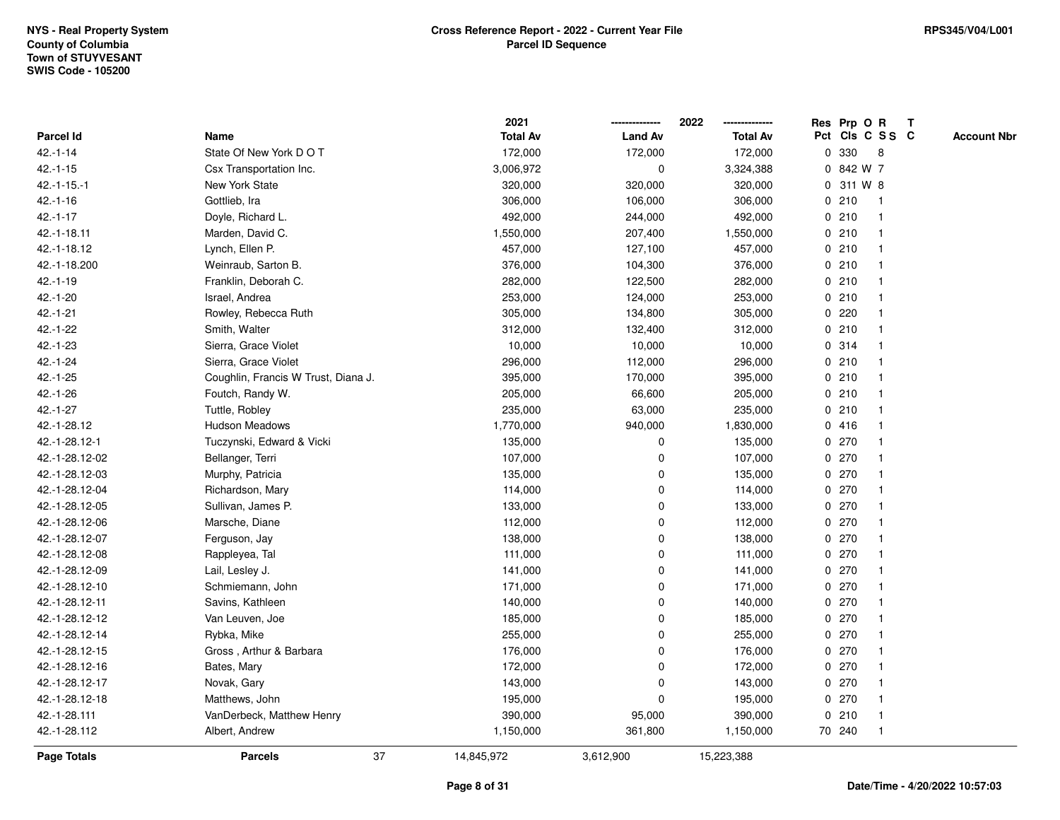|                |                                     | 2021            |                | 2022            | Res Prp O R |                 |              | T |                    |
|----------------|-------------------------------------|-----------------|----------------|-----------------|-------------|-----------------|--------------|---|--------------------|
| Parcel Id      | Name                                | <b>Total Av</b> | <b>Land Av</b> | <b>Total Av</b> |             | Pct Cls C S S C |              |   | <b>Account Nbr</b> |
| $42.-1-14$     | State Of New York D O T             | 172,000         | 172,000        | 172,000         | 0           | 330             | 8            |   |                    |
| $42.-1-15$     | Csx Transportation Inc.             | 3,006,972       | 0              | 3,324,388       | 0           | 842 W 7         |              |   |                    |
| $42.-1-15.-1$  | New York State                      | 320,000         | 320,000        | 320,000         |             | 0 311 W 8       |              |   |                    |
| $42.-1-16$     | Gottlieb, Ira                       | 306,000         | 106,000        | 306,000         | 0210        |                 | -1           |   |                    |
| $42 - 1 - 17$  | Doyle, Richard L.                   | 492,000         | 244,000        | 492,000         | 0210        |                 |              |   |                    |
| 42.-1-18.11    | Marden, David C.                    | 1,550,000       | 207,400        | 1,550,000       | 0210        |                 |              |   |                    |
| 42.-1-18.12    | Lynch, Ellen P.                     | 457,000         | 127,100        | 457,000         | 0210        |                 | -1           |   |                    |
| 42.-1-18.200   | Weinraub, Sarton B.                 | 376,000         | 104,300        | 376,000         | 0210        |                 |              |   |                    |
| $42.-1-19$     | Franklin, Deborah C.                | 282,000         | 122,500        | 282,000         | 0210        |                 | $\mathbf 1$  |   |                    |
| $42.-1-20$     | Israel, Andrea                      | 253,000         | 124,000        | 253,000         | 0210        |                 | $\mathbf 1$  |   |                    |
| $42.-1-21$     | Rowley, Rebecca Ruth                | 305,000         | 134,800        | 305,000         | 0.220       |                 |              |   |                    |
| 42.-1-22       | Smith, Walter                       | 312,000         | 132,400        | 312,000         | 0210        |                 |              |   |                    |
| 42.-1-23       | Sierra, Grace Violet                | 10,000          | 10,000         | 10,000          | 0.314       |                 |              |   |                    |
| $42.-1-24$     | Sierra, Grace Violet                | 296,000         | 112,000        | 296,000         | 0210        |                 |              |   |                    |
| $42.-1-25$     | Coughlin, Francis W Trust, Diana J. | 395,000         | 170,000        | 395,000         | 0210        |                 |              |   |                    |
| $42.-1-26$     | Foutch, Randy W.                    | 205,000         | 66,600         | 205,000         | 0210        |                 | -1           |   |                    |
| $42.-1-27$     | Tuttle, Robley                      | 235,000         | 63,000         | 235,000         | 0210        |                 | -1           |   |                    |
| 42.-1-28.12    | <b>Hudson Meadows</b>               | 1,770,000       | 940,000        | 1,830,000       | 0416        |                 |              |   |                    |
| 42.-1-28.12-1  | Tuczynski, Edward & Vicki           | 135,000         | 0              | 135,000         | 0270        |                 |              |   |                    |
| 42.-1-28.12-02 | Bellanger, Terri                    | 107,000         | $\mathbf 0$    | 107,000         | 0.270       |                 |              |   |                    |
| 42.-1-28.12-03 | Murphy, Patricia                    | 135,000         | $\mathbf 0$    | 135,000         | 0270        |                 |              |   |                    |
| 42.-1-28.12-04 | Richardson, Mary                    | 114,000         | $\mathbf 0$    | 114,000         | 0270        |                 |              |   |                    |
| 42.-1-28.12-05 | Sullivan, James P.                  | 133,000         | $\mathbf 0$    | 133,000         | 0270        |                 | -1           |   |                    |
| 42.-1-28.12-06 | Marsche, Diane                      | 112,000         | 0              | 112,000         | 0.270       |                 | $\mathbf 1$  |   |                    |
| 42.-1-28.12-07 | Ferguson, Jay                       | 138,000         | 0              | 138,000         | 0270        |                 | -1           |   |                    |
| 42.-1-28.12-08 | Rappleyea, Tal                      | 111,000         | $\pmb{0}$      | 111,000         | 0270        |                 |              |   |                    |
| 42.-1-28.12-09 | Lail, Lesley J.                     | 141,000         | 0              | 141,000         | 0270        |                 |              |   |                    |
| 42.-1-28.12-10 | Schmiemann, John                    | 171,000         | $\mathbf 0$    | 171,000         | 0.270       |                 | -1           |   |                    |
| 42.-1-28.12-11 | Savins, Kathleen                    | 140,000         | 0              | 140,000         | 0.270       |                 |              |   |                    |
| 42.-1-28.12-12 | Van Leuven, Joe                     | 185,000         | $\mathbf 0$    | 185,000         | $\mathbf 0$ | 270             | -1           |   |                    |
| 42.-1-28.12-14 | Rybka, Mike                         | 255,000         | 0              | 255,000         | 0270        |                 |              |   |                    |
| 42.-1-28.12-15 | Gross, Arthur & Barbara             | 176,000         | 0              | 176,000         | 0.270       |                 | -1           |   |                    |
| 42.-1-28.12-16 | Bates, Mary                         | 172,000         | $\mathbf 0$    | 172,000         | 0.270       |                 |              |   |                    |
| 42.-1-28.12-17 | Novak, Gary                         | 143,000         | 0              | 143,000         | 0270        |                 |              |   |                    |
| 42.-1-28.12-18 | Matthews, John                      | 195,000         | $\mathbf 0$    | 195,000         | 0270        |                 |              |   |                    |
| 42.-1-28.111   | VanDerbeck, Matthew Henry           | 390,000         | 95,000         | 390,000         | 0210        |                 | $\mathbf 1$  |   |                    |
| 42.-1-28.112   | Albert, Andrew                      | 1,150,000       | 361,800        | 1,150,000       | 70 240      |                 | $\mathbf{1}$ |   |                    |
| Page Totals    | 37<br><b>Parcels</b>                | 14,845,972      | 3,612,900      | 15,223,388      |             |                 |              |   |                    |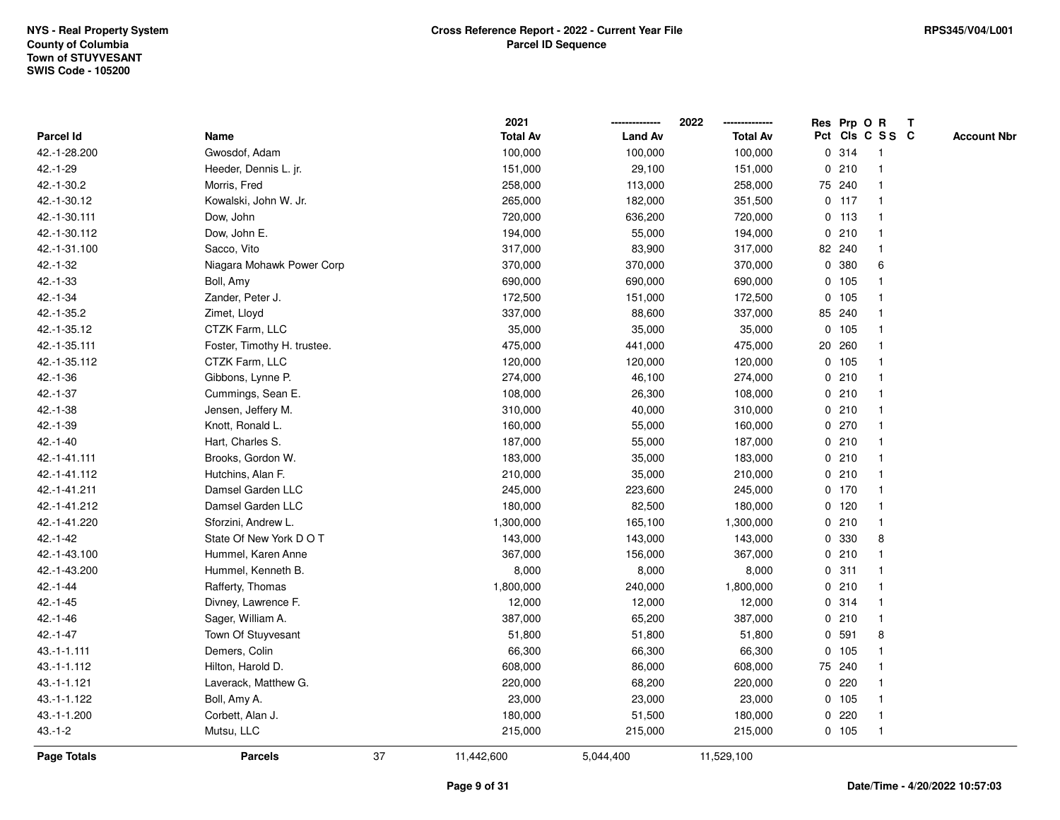|                    |                             |    | 2021            |                | 2022            |             | Res Prp O R |                         | Т |                    |
|--------------------|-----------------------------|----|-----------------|----------------|-----------------|-------------|-------------|-------------------------|---|--------------------|
| Parcel Id          | Name                        |    | <b>Total Av</b> | <b>Land Av</b> | <b>Total Av</b> |             |             | Pct Cls C S S C         |   | <b>Account Nbr</b> |
| 42.-1-28.200       | Gwosdof, Adam               |    | 100,000         | 100,000        | 100,000         |             | 0.314       | $\mathbf{1}$            |   |                    |
| 42.-1-29           | Heeder, Dennis L. jr.       |    | 151,000         | 29,100         | 151,000         |             | 0210        | $\mathbf 1$             |   |                    |
| 42.-1-30.2         | Morris, Fred                |    | 258,000         | 113,000        | 258,000         |             | 75 240      | $\mathbf 1$             |   |                    |
| 42.-1-30.12        | Kowalski, John W. Jr.       |    | 265,000         | 182,000        | 351,500         |             | $0$ 117     |                         |   |                    |
| 42.-1-30.111       | Dow, John                   |    | 720,000         | 636,200        | 720,000         |             | $0$ 113     |                         |   |                    |
| 42.-1-30.112       | Dow, John E.                |    | 194,000         | 55,000         | 194,000         |             | 0210        |                         |   |                    |
| 42.-1-31.100       | Sacco, Vito                 |    | 317,000         | 83,900         | 317,000         |             | 82 240      |                         |   |                    |
| $42 - 1 - 32$      | Niagara Mohawk Power Corp   |    | 370,000         | 370,000        | 370,000         | $\mathbf 0$ | 380         | 6                       |   |                    |
| 42.-1-33           | Boll, Amy                   |    | 690,000         | 690,000        | 690,000         |             | 0 105       | -1                      |   |                    |
| $42.-1-34$         | Zander, Peter J.            |    | 172,500         | 151,000        | 172,500         |             | 0 105       | $\mathbf 1$             |   |                    |
| 42.-1-35.2         | Zimet, Lloyd                |    | 337,000         | 88,600         | 337,000         |             | 85 240      | $\mathbf 1$             |   |                    |
| 42.-1-35.12        | CTZK Farm, LLC              |    | 35,000          | 35,000         | 35,000          |             | 0 105       |                         |   |                    |
| 42.-1-35.111       | Foster, Timothy H. trustee. |    | 475,000         | 441,000        | 475,000         |             | 20 260      |                         |   |                    |
| 42.-1-35.112       | CTZK Farm, LLC              |    | 120,000         | 120,000        | 120,000         |             | 0 105       |                         |   |                    |
| $42.-1-36$         | Gibbons, Lynne P.           |    | 274,000         | 46,100         | 274,000         |             | 0210        | $\overline{\mathbf{1}}$ |   |                    |
| $42.-1-37$         | Cummings, Sean E.           |    | 108,000         | 26,300         | 108,000         |             | 0210        | $\mathbf{1}$            |   |                    |
| 42.-1-38           | Jensen, Jeffery M.          |    | 310,000         | 40,000         | 310,000         |             | 0210        | $\mathbf{1}$            |   |                    |
| 42.-1-39           | Knott, Ronald L.            |    | 160,000         | 55,000         | 160,000         |             | 0270        |                         |   |                    |
| $42.-1-40$         | Hart, Charles S.            |    | 187,000         | 55,000         | 187,000         |             | 0210        |                         |   |                    |
| 42.-1-41.111       | Brooks, Gordon W.           |    | 183,000         | 35,000         | 183,000         |             | 0210        |                         |   |                    |
| 42.-1-41.112       | Hutchins, Alan F.           |    | 210,000         | 35,000         | 210,000         |             | 0210        | $\overline{\mathbf{1}}$ |   |                    |
| 42.-1-41.211       | Damsel Garden LLC           |    | 245,000         | 223,600        | 245,000         |             | $0$ 170     |                         |   |                    |
| 42.-1-41.212       | Damsel Garden LLC           |    | 180,000         | 82,500         | 180,000         |             | $0$ 120     | $\mathbf{1}$            |   |                    |
| 42.-1-41.220       | Sforzini, Andrew L.         |    | 1,300,000       | 165,100        | 1,300,000       |             | 0210        | $\mathbf{1}$            |   |                    |
| $42.-1-42$         | State Of New York DOT       |    | 143,000         | 143,000        | 143,000         |             | 0 330       | 8                       |   |                    |
| 42.-1-43.100       | Hummel, Karen Anne          |    | 367,000         | 156,000        | 367,000         |             | 0210        |                         |   |                    |
| 42.-1-43.200       | Hummel, Kenneth B.          |    | 8,000           | 8,000          | 8,000           |             | 0.311       |                         |   |                    |
| $42.-1-44$         | Rafferty, Thomas            |    | 1,800,000       | 240,000        | 1,800,000       |             | 0210        | -1                      |   |                    |
| $42.-1-45$         | Divney, Lawrence F.         |    | 12,000          | 12,000         | 12,000          |             | 0.314       | $\overline{\mathbf{1}}$ |   |                    |
| $42.-1-46$         | Sager, William A.           |    | 387,000         | 65,200         | 387,000         |             | 0210        | $\mathbf{1}$            |   |                    |
| $42.-1-47$         | Town Of Stuyvesant          |    | 51,800          | 51,800         | 51,800          | 0           | 591         | 8                       |   |                    |
| $43.-1-1.111$      | Demers, Colin               |    | 66,300          | 66,300         | 66,300          |             | 0, 105      | -1                      |   |                    |
| 43.-1-1.112        | Hilton, Harold D.           |    | 608,000         | 86,000         | 608,000         |             | 75 240      |                         |   |                    |
| 43.-1-1.121        | Laverack, Matthew G.        |    | 220,000         | 68,200         | 220,000         |             | $0$ 220     |                         |   |                    |
| 43.-1-1.122        | Boll, Amy A.                |    | 23,000          | 23,000         | 23,000          |             | 0 105       |                         |   |                    |
| 43.-1-1.200        | Corbett, Alan J.            |    | 180,000         | 51,500         | 180,000         |             | 0220        | $\mathbf 1$             |   |                    |
| $43 - 1 - 2$       | Mutsu, LLC                  |    | 215,000         | 215,000        | 215,000         |             | 0 105       | $\mathbf{1}$            |   |                    |
| <b>Page Totals</b> | <b>Parcels</b>              | 37 | 11,442,600      | 5,044,400      | 11,529,100      |             |             |                         |   |                    |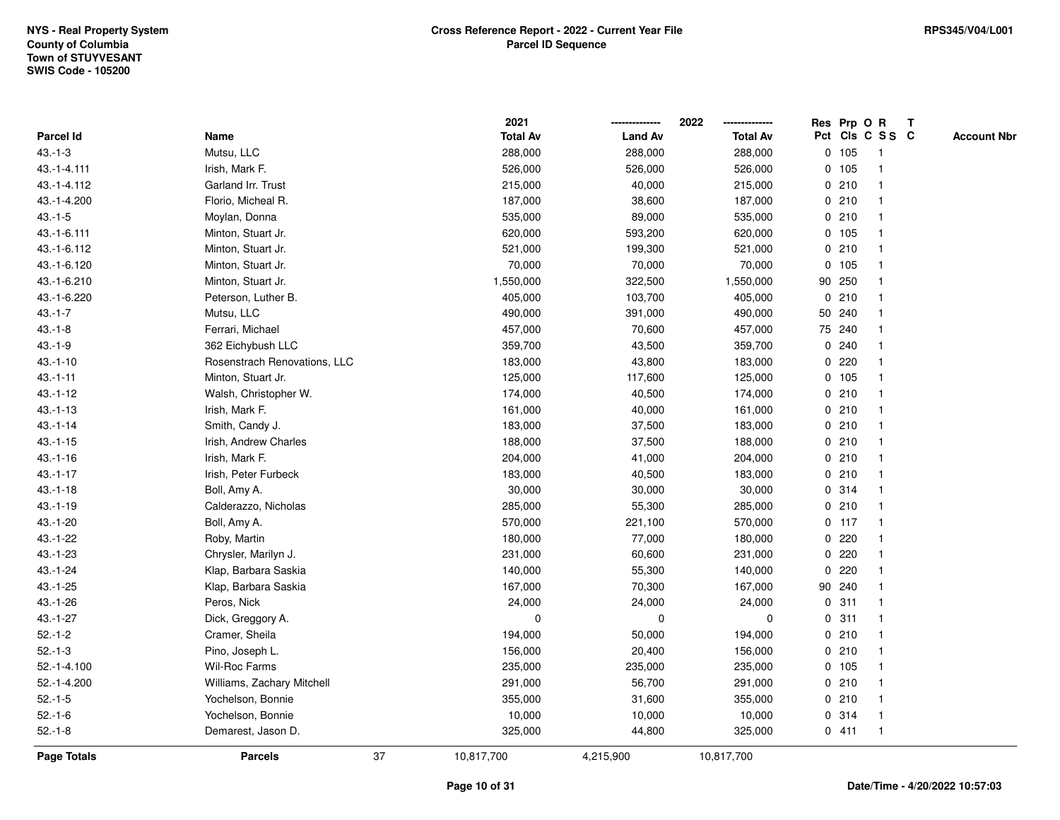|               |                              |    | 2021            |                | 2022            |              |         | Res Prp O R     | T |                    |
|---------------|------------------------------|----|-----------------|----------------|-----------------|--------------|---------|-----------------|---|--------------------|
| Parcel Id     | Name                         |    | <b>Total Av</b> | <b>Land Av</b> | <b>Total Av</b> |              |         | Pct Cls C S S C |   | <b>Account Nbr</b> |
| $43.-1-3$     | Mutsu, LLC                   |    | 288,000         | 288,000        | 288,000         |              | 0 105   | -1              |   |                    |
| 43.-1-4.111   | Irish, Mark F.               |    | 526,000         | 526,000        | 526,000         |              | $0$ 105 | $\overline{1}$  |   |                    |
| 43.-1-4.112   | Garland Irr. Trust           |    | 215,000         | 40,000         | 215,000         |              | 0210    | $\mathbf{1}$    |   |                    |
| 43.-1-4.200   | Florio, Micheal R.           |    | 187,000         | 38,600         | 187,000         |              | 0210    |                 |   |                    |
| $43.-1-5$     | Moylan, Donna                |    | 535,000         | 89,000         | 535,000         |              | 0210    |                 |   |                    |
| 43.-1-6.111   | Minton, Stuart Jr.           |    | 620,000         | 593,200        | 620,000         |              | $0$ 105 |                 |   |                    |
| 43.-1-6.112   | Minton, Stuart Jr.           |    | 521,000         | 199,300        | 521,000         |              | 0210    |                 |   |                    |
| 43.-1-6.120   | Minton, Stuart Jr.           |    | 70,000          | 70,000         | 70,000          | $\mathbf 0$  | 105     |                 |   |                    |
| 43.-1-6.210   | Minton, Stuart Jr.           |    | 1,550,000       | 322,500        | 1,550,000       | 90           | 250     |                 |   |                    |
| 43.-1-6.220   | Peterson, Luther B.          |    | 405,000         | 103,700        | 405,000         |              | 0210    | -1              |   |                    |
| $43.-1-7$     | Mutsu, LLC                   |    | 490,000         | 391,000        | 490,000         |              | 50 240  |                 |   |                    |
| $43.-1-8$     | Ferrari, Michael             |    | 457,000         | 70,600         | 457,000         |              | 75 240  |                 |   |                    |
| $43.-1-9$     | 362 Eichybush LLC            |    | 359,700         | 43,500         | 359,700         | 0            | 240     |                 |   |                    |
| $43.-1-10$    | Rosenstrach Renovations, LLC |    | 183,000         | 43,800         | 183,000         |              | 0220    |                 |   |                    |
| $43.-1-11$    | Minton, Stuart Jr.           |    | 125,000         | 117,600        | 125,000         |              | $0$ 105 |                 |   |                    |
| $43.-1-12$    | Walsh, Christopher W.        |    | 174,000         | 40,500         | 174,000         | 0            | 210     | $\overline{1}$  |   |                    |
| $43.-1-13$    | Irish, Mark F.               |    | 161,000         | 40,000         | 161,000         |              | 0210    | $\mathbf{1}$    |   |                    |
| $43.-1-14$    | Smith, Candy J.              |    | 183,000         | 37,500         | 183,000         |              | 0210    |                 |   |                    |
| $43.-1-15$    | Irish, Andrew Charles        |    | 188,000         | 37,500         | 188,000         |              | 0210    |                 |   |                    |
| $43.-1-16$    | Irish, Mark F.               |    | 204,000         | 41,000         | 204,000         |              | 0210    |                 |   |                    |
| $43.-1-17$    | Irish, Peter Furbeck         |    | 183,000         | 40,500         | 183,000         |              | 0210    |                 |   |                    |
| $43.-1-18$    | Boll, Amy A.                 |    | 30,000          | 30,000         | 30,000          | 0            | 314     |                 |   |                    |
| $43.-1-19$    | Calderazzo, Nicholas         |    | 285,000         | 55,300         | 285,000         |              | 0210    | $\overline{1}$  |   |                    |
| $43.-1-20$    | Boll, Amy A.                 |    | 570,000         | 221,100        | 570,000         |              | $0$ 117 | $\overline{1}$  |   |                    |
| $43.-1-22$    | Roby, Martin                 |    | 180,000         | 77,000         | 180,000         |              | 0.220   |                 |   |                    |
| $43 - 1 - 23$ | Chrysler, Marilyn J.         |    | 231,000         | 60,600         | 231,000         | 0            | 220     |                 |   |                    |
| $43.-1-24$    | Klap, Barbara Saskia         |    | 140,000         | 55,300         | 140,000         | $\mathbf{0}$ | 220     |                 |   |                    |
| $43.-1-25$    | Klap, Barbara Saskia         |    | 167,000         | 70,300         | 167,000         |              | 90 240  |                 |   |                    |
| $43.-1-26$    | Peros, Nick                  |    | 24,000          | 24,000         | 24,000          | $\mathbf 0$  | 311     |                 |   |                    |
| $43.-1-27$    | Dick, Greggory A.            |    | $\pmb{0}$       | 0              | 0               | 0            | 311     |                 |   |                    |
| $52.-1-2$     | Cramer, Sheila               |    | 194,000         | 50,000         | 194,000         | 0            | 210     | $\mathbf 1$     |   |                    |
| $52.-1-3$     | Pino, Joseph L.              |    | 156,000         | 20,400         | 156,000         |              | 0210    | $\mathbf 1$     |   |                    |
| $52.-1-4.100$ | Wil-Roc Farms                |    | 235,000         | 235,000        | 235,000         |              | 0, 105  |                 |   |                    |
| 52.-1-4.200   | Williams, Zachary Mitchell   |    | 291,000         | 56,700         | 291,000         |              | 0210    |                 |   |                    |
| $52.-1-5$     | Yochelson, Bonnie            |    | 355,000         | 31,600         | 355,000         |              | 0210    |                 |   |                    |
| $52.-1-6$     | Yochelson, Bonnie            |    | 10,000          | 10,000         | 10,000          | 0            | 314     |                 |   |                    |
| $52.-1-8$     | Demarest, Jason D.           |    | 325,000         | 44,800         | 325,000         |              | 0411    | $\mathbf{1}$    |   |                    |
| Page Totals   | <b>Parcels</b>               | 37 | 10,817,700      | 4,215,900      | 10,817,700      |              |         |                 |   |                    |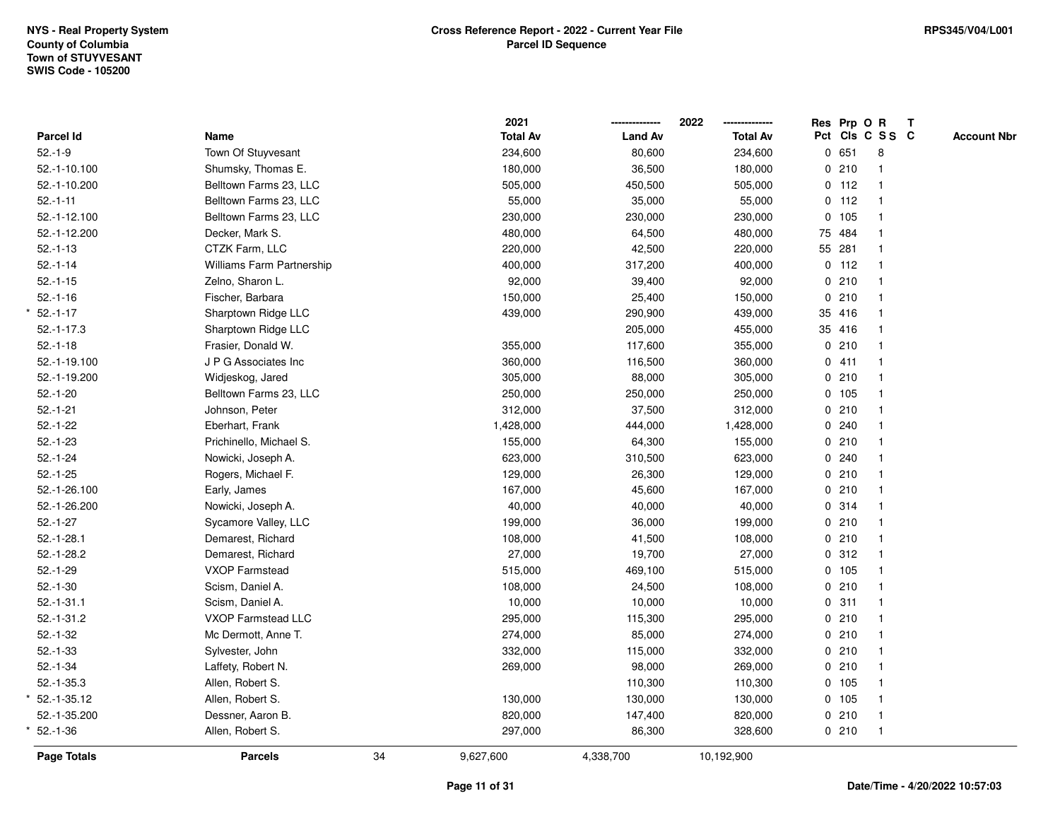|                  |                                  |    | 2021            |                | 2022            |              |         | Res Prp O R     | $\mathbf{T}$ |                    |
|------------------|----------------------------------|----|-----------------|----------------|-----------------|--------------|---------|-----------------|--------------|--------------------|
| <b>Parcel Id</b> | Name                             |    | <b>Total Av</b> | <b>Land Av</b> | <b>Total Av</b> |              |         | Pct Cls C S S C |              | <b>Account Nbr</b> |
| $52.-1-9$        | Town Of Stuyvesant               |    | 234,600         | 80,600         | 234,600         |              | 0651    | 8               |              |                    |
| 52.-1-10.100     | Shumsky, Thomas E.               |    | 180,000         | 36,500         | 180,000         | $\mathbf 0$  | 210     |                 |              |                    |
| 52.-1-10.200     | Belltown Farms 23, LLC           |    | 505,000         | 450,500        | 505,000         |              | $0$ 112 | $\mathbf{1}$    |              |                    |
| $52.-1-11$       | Belltown Farms 23, LLC           |    | 55,000          | 35,000         | 55,000          | $\mathbf{0}$ | 112     | $\mathbf{1}$    |              |                    |
| 52.-1-12.100     | Belltown Farms 23, LLC           |    | 230,000         | 230,000        | 230,000         | $\mathbf 0$  | 105     | $\mathbf{1}$    |              |                    |
| 52.-1-12.200     | Decker, Mark S.                  |    | 480,000         | 64,500         | 480,000         |              | 75 484  | $\mathbf{1}$    |              |                    |
| $52.-1-13$       | CTZK Farm, LLC                   |    | 220,000         | 42,500         | 220,000         |              | 55 281  | $\mathbf 1$     |              |                    |
| $52.-1-14$       | <b>Williams Farm Partnership</b> |    | 400,000         | 317,200        | 400,000         |              | $0$ 112 |                 |              |                    |
| $52.-1-15$       | Zelno, Sharon L.                 |    | 92,000          | 39,400         | 92,000          |              | 0210    | $\mathbf{1}$    |              |                    |
| $52.-1-16$       | Fischer, Barbara                 |    | 150,000         | 25,400         | 150,000         | 0            | 210     | $\mathbf{1}$    |              |                    |
| $52.-1-17$       | Sharptown Ridge LLC              |    | 439,000         | 290,900        | 439,000         |              | 35 416  | $\mathbf{1}$    |              |                    |
| $52.-1-17.3$     | Sharptown Ridge LLC              |    |                 | 205,000        | 455,000         |              | 35 416  | $\mathbf{1}$    |              |                    |
| $52.-1-18$       | Frasier, Donald W.               |    | 355,000         | 117,600        | 355,000         |              | 0210    | $\mathbf 1$     |              |                    |
| 52.-1-19.100     | J P G Associates Inc             |    | 360,000         | 116,500        | 360,000         |              | 0411    |                 |              |                    |
| 52.-1-19.200     | Widjeskog, Jared                 |    | 305,000         | 88,000         | 305,000         |              | 0210    |                 |              |                    |
| $52.-1-20$       | Belltown Farms 23, LLC           |    | 250,000         | 250,000        | 250,000         |              | 0 105   | $\mathbf{1}$    |              |                    |
| $52.-1-21$       | Johnson, Peter                   |    | 312,000         | 37,500         | 312,000         | 0            | 210     | $\mathbf{1}$    |              |                    |
| $52.-1-22$       | Eberhart, Frank                  |    | 1,428,000       | 444,000        | 1,428,000       | 0            | 240     | $\mathbf{1}$    |              |                    |
| $52.-1-23$       | Prichinello, Michael S.          |    | 155,000         | 64,300         | 155,000         |              | 0210    | $\mathbf{1}$    |              |                    |
| $52.-1-24$       | Nowicki, Joseph A.               |    | 623,000         | 310,500        | 623,000         |              | 0.240   |                 |              |                    |
| $52.-1-25$       | Rogers, Michael F.               |    | 129,000         | 26,300         | 129,000         |              | 0210    |                 |              |                    |
| 52.-1-26.100     | Early, James                     |    | 167,000         | 45,600         | 167,000         |              | 0210    |                 |              |                    |
| 52.-1-26.200     | Nowicki, Joseph A.               |    | 40,000          | 40,000         | 40,000          |              | 0.314   | $\mathbf{1}$    |              |                    |
| $52.-1-27$       | Sycamore Valley, LLC             |    | 199,000         | 36,000         | 199,000         |              | 0210    | $\mathbf{1}$    |              |                    |
| $52.-1-28.1$     | Demarest, Richard                |    | 108,000         | 41,500         | 108,000         |              | 0210    | $\mathbf{1}$    |              |                    |
| $52.-1-28.2$     | Demarest, Richard                |    | 27,000          | 19,700         | 27,000          |              | 0.312   | $\mathbf{1}$    |              |                    |
| $52.-1-29$       | VXOP Farmstead                   |    | 515,000         | 469,100        | 515,000         |              | 0 105   |                 |              |                    |
| $52.-1-30$       | Scism, Daniel A.                 |    | 108,000         | 24,500         | 108,000         |              | 0210    |                 |              |                    |
| $52.-1-31.1$     | Scism, Daniel A.                 |    | 10,000          | 10,000         | 10,000          |              | 0.311   | $\mathbf{1}$    |              |                    |
| $52.-1-31.2$     | <b>VXOP Farmstead LLC</b>        |    | 295,000         | 115,300        | 295,000         | $\mathbf 0$  | 210     | $\mathbf{1}$    |              |                    |
| $52.-1-32$       | Mc Dermott, Anne T.              |    | 274,000         | 85,000         | 274,000         |              | 0210    | $\mathbf{1}$    |              |                    |
| $52.-1-33$       | Sylvester, John                  |    | 332,000         | 115,000        | 332,000         |              | 0210    | $\mathbf{1}$    |              |                    |
| $52.-1-34$       | Laffety, Robert N.               |    | 269,000         | 98,000         | 269,000         |              | 0210    | $\mathbf 1$     |              |                    |
| $52.-1-35.3$     | Allen, Robert S.                 |    |                 | 110,300        | 110,300         |              | 0 105   |                 |              |                    |
| 52.-1-35.12      | Allen, Robert S.                 |    | 130,000         | 130,000        | 130,000         |              | 0 105   |                 |              |                    |
| 52.-1-35.200     | Dessner, Aaron B.                |    | 820,000         | 147,400        | 820,000         |              | 0210    | $\mathbf{1}$    |              |                    |
| $52.-1-36$       | Allen, Robert S.                 |    | 297,000         | 86,300         | 328,600         |              | 0210    | $\mathbf{1}$    |              |                    |
| Page Totals      | <b>Parcels</b>                   | 34 | 9,627,600       | 4,338,700      | 10,192,900      |              |         |                 |              |                    |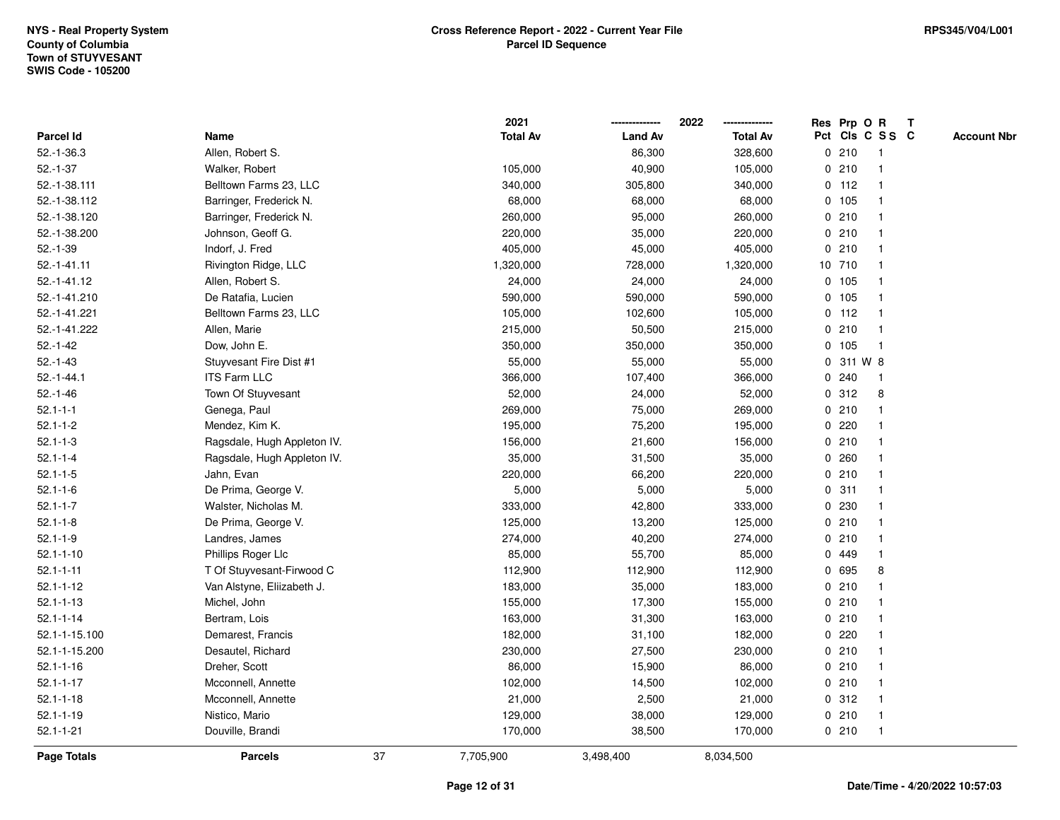|                    |                             |    | 2021            |                | 2022            |   | Res Prp O R |                 | T |                    |
|--------------------|-----------------------------|----|-----------------|----------------|-----------------|---|-------------|-----------------|---|--------------------|
| Parcel Id          | Name                        |    | <b>Total Av</b> | <b>Land Av</b> | <b>Total Av</b> |   |             | Pct Cls C S S C |   | <b>Account Nbr</b> |
| $52.-1-36.3$       | Allen, Robert S.            |    |                 | 86,300         | 328,600         |   | 0210        | -1              |   |                    |
| $52.-1-37$         | Walker, Robert              |    | 105,000         | 40,900         | 105,000         | 0 | 210         | $\overline{1}$  |   |                    |
| 52.-1-38.111       | Belltown Farms 23, LLC      |    | 340,000         | 305,800        | 340,000         |   | $0$ 112     | $\mathbf{1}$    |   |                    |
| 52.-1-38.112       | Barringer, Frederick N.     |    | 68,000          | 68,000         | 68,000          |   | 0 105       |                 |   |                    |
| 52.-1-38.120       | Barringer, Frederick N.     |    | 260,000         | 95,000         | 260,000         |   | 0210        |                 |   |                    |
| 52.-1-38.200       | Johnson, Geoff G.           |    | 220,000         | 35,000         | 220,000         |   | 0210        |                 |   |                    |
| $52.-1-39$         | Indorf, J. Fred             |    | 405,000         | 45,000         | 405,000         |   | 0210        |                 |   |                    |
| $52.-1-41.11$      | Rivington Ridge, LLC        |    | 1,320,000       | 728,000        | 1,320,000       |   | 10 710      |                 |   |                    |
| 52.-1-41.12        | Allen, Robert S.            |    | 24,000          | 24,000         | 24,000          |   | 0, 105      | -1              |   |                    |
| 52.-1-41.210       | De Ratafia, Lucien          |    | 590,000         | 590,000        | 590,000         |   | 0 105       | -1              |   |                    |
| 52.-1-41.221       | Belltown Farms 23, LLC      |    | 105,000         | 102,600        | 105,000         |   | $0$ 112     |                 |   |                    |
| 52.-1-41.222       | Allen, Marie                |    | 215,000         | 50,500         | 215,000         |   | 0210        |                 |   |                    |
| $52.-1-42$         | Dow, John E.                |    | 350,000         | 350,000        | 350,000         |   | 0 105       |                 |   |                    |
| $52.-1-43$         | Stuyvesant Fire Dist #1     |    | 55,000          | 55,000         | 55,000          | 0 | 311 W 8     |                 |   |                    |
| $52 - 1 - 44.1$    | <b>ITS Farm LLC</b>         |    | 366,000         | 107,400        | 366,000         | 0 | 240         | -1              |   |                    |
| $52.-1-46$         | Town Of Stuyvesant          |    | 52,000          | 24,000         | 52,000          |   | 0.312       | 8               |   |                    |
| $52.1 - 1 - 1$     | Genega, Paul                |    | 269,000         | 75,000         | 269,000         |   | 0210        |                 |   |                    |
| $52.1 - 1 - 2$     | Mendez, Kim K.              |    | 195,000         | 75,200         | 195,000         |   | 0.220       |                 |   |                    |
| $52.1 - 1 - 3$     | Ragsdale, Hugh Appleton IV. |    | 156,000         | 21,600         | 156,000         |   | 0210        |                 |   |                    |
| $52.1 - 1 - 4$     | Ragsdale, Hugh Appleton IV. |    | 35,000          | 31,500         | 35,000          |   | 0.260       |                 |   |                    |
| $52.1 - 1 - 5$     | Jahn, Evan                  |    | 220,000         | 66,200         | 220,000         |   | 0210        |                 |   |                    |
| $52.1 - 1 - 6$     | De Prima, George V.         |    | 5,000           | 5,000          | 5,000           | 0 | 311         |                 |   |                    |
| $52.1 - 1 - 7$     | Walster, Nicholas M.        |    | 333,000         | 42,800         | 333,000         |   | 0.230       |                 |   |                    |
| $52.1 - 1 - 8$     | De Prima, George V.         |    | 125,000         | 13,200         | 125,000         |   | 0210        | $\mathbf{1}$    |   |                    |
| $52.1 - 1 - 9$     | Landres, James              |    | 274,000         | 40,200         | 274,000         |   | 0210        |                 |   |                    |
| $52.1 - 1 - 10$    | Phillips Roger Llc          |    | 85,000          | 55,700         | 85,000          |   | 0 449       |                 |   |                    |
| $52.1 - 1 - 11$    | T Of Stuyvesant-Firwood C   |    | 112,900         | 112,900        | 112,900         |   | 0 695       | 8               |   |                    |
| $52.1 - 1 - 12$    | Van Alstyne, Eliizabeth J.  |    | 183,000         | 35,000         | 183,000         | 0 | 210         |                 |   |                    |
| $52.1 - 1 - 13$    | Michel, John                |    | 155,000         | 17,300         | 155,000         |   | 0210        |                 |   |                    |
| $52.1 - 1 - 14$    | Bertram, Lois               |    | 163,000         | 31,300         | 163,000         | 0 | 210         |                 |   |                    |
| 52.1-1-15.100      | Demarest, Francis           |    | 182,000         | 31,100         | 182,000         | 0 | 220         | $\mathbf 1$     |   |                    |
| 52.1-1-15.200      | Desautel, Richard           |    | 230,000         | 27,500         | 230,000         |   | 0210        | $\mathbf 1$     |   |                    |
| $52.1 - 1 - 16$    | Dreher, Scott               |    | 86,000          | 15,900         | 86,000          |   | 0210        |                 |   |                    |
| $52.1 - 1 - 17$    | Mcconnell, Annette          |    | 102,000         | 14,500         | 102,000         |   | 0210        |                 |   |                    |
| $52.1 - 1 - 18$    | Mcconnell, Annette          |    | 21,000          | 2,500          | 21,000          |   | 0.312       |                 |   |                    |
| $52.1 - 1 - 19$    | Nistico, Mario              |    | 129,000         | 38,000         | 129,000         |   | 0210        |                 |   |                    |
| $52.1 - 1 - 21$    | Douville, Brandi            |    | 170,000         | 38,500         | 170,000         |   | 0210        | $\overline{1}$  |   |                    |
| <b>Page Totals</b> | <b>Parcels</b>              | 37 | 7,705,900       | 3,498,400      | 8,034,500       |   |             |                 |   |                    |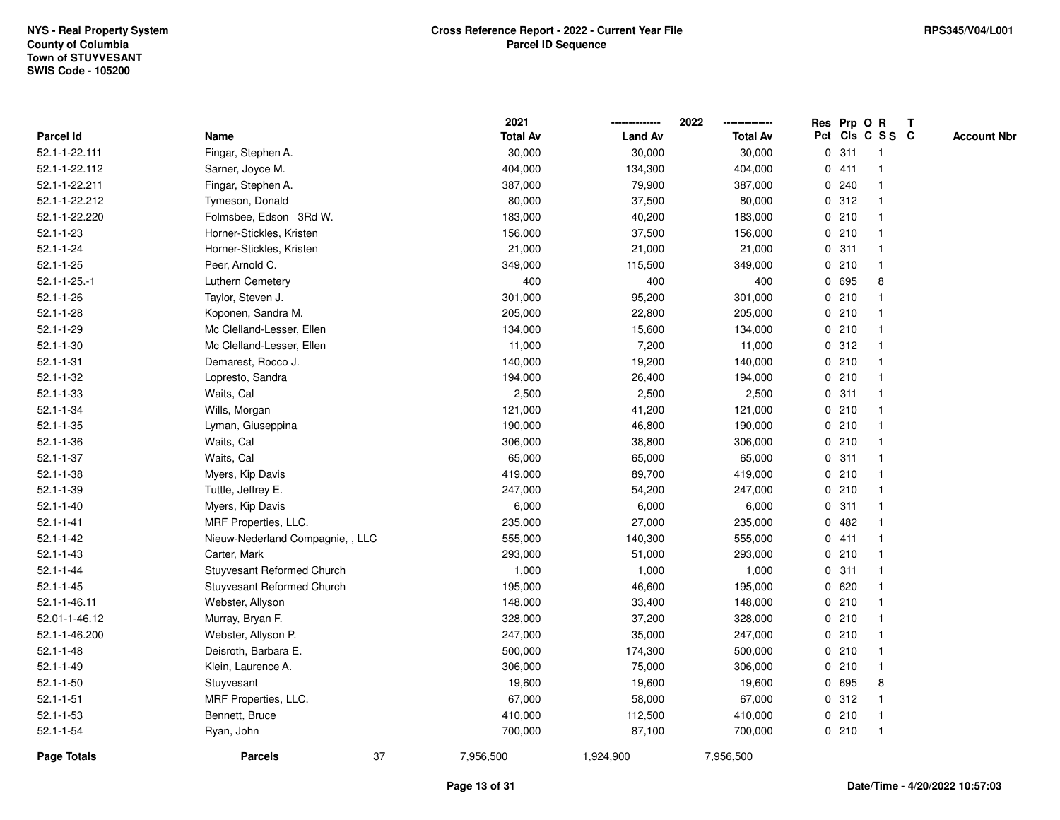|                     |                                  |    | 2021            |                | 2022            |             |       | Res Prp O R             | $\mathbf{T}$ |                    |
|---------------------|----------------------------------|----|-----------------|----------------|-----------------|-------------|-------|-------------------------|--------------|--------------------|
| Parcel Id           | Name                             |    | <b>Total Av</b> | <b>Land Av</b> | <b>Total Av</b> |             |       | Pct Cls C S S C         |              | <b>Account Nbr</b> |
| 52.1-1-22.111       | Fingar, Stephen A.               |    | 30,000          | 30,000         | 30,000          |             | 0.311 |                         |              |                    |
| 52.1-1-22.112       | Sarner, Joyce M.                 |    | 404,000         | 134,300        | 404,000         | 0           | 411   |                         |              |                    |
| 52.1-1-22.211       | Fingar, Stephen A.               |    | 387,000         | 79,900         | 387,000         |             | 0.240 |                         |              |                    |
| 52.1-1-22.212       | Tymeson, Donald                  |    | 80,000          | 37,500         | 80,000          |             | 0.312 |                         |              |                    |
| 52.1-1-22.220       | Folmsbee, Edson 3Rd W.           |    | 183,000         | 40,200         | 183,000         |             | 0210  | -1                      |              |                    |
| $52.1 - 1 - 23$     | Horner-Stickles, Kristen         |    | 156,000         | 37,500         | 156,000         |             | 0210  |                         |              |                    |
| $52.1 - 1 - 24$     | Horner-Stickles, Kristen         |    | 21,000          | 21,000         | 21,000          |             | 0.311 |                         |              |                    |
| $52.1 - 1 - 25$     | Peer, Arnold C.                  |    | 349,000         | 115,500        | 349,000         |             | 0210  |                         |              |                    |
| $52.1 - 1 - 25 - 1$ | Luthern Cemetery                 |    | 400             | 400            | 400             |             | 0 695 | 8                       |              |                    |
| $52.1 - 1 - 26$     | Taylor, Steven J.                |    | 301,000         | 95,200         | 301,000         |             | 0210  |                         |              |                    |
| $52.1 - 1 - 28$     | Koponen, Sandra M.               |    | 205,000         | 22,800         | 205,000         |             | 0210  | -1                      |              |                    |
| $52.1 - 1 - 29$     | Mc Clelland-Lesser, Ellen        |    | 134,000         | 15,600         | 134,000         |             | 0210  |                         |              |                    |
| $52.1 - 1 - 30$     | Mc Clelland-Lesser, Ellen        |    | 11,000          | 7,200          | 11,000          |             | 0.312 |                         |              |                    |
| $52.1 - 1 - 31$     | Demarest, Rocco J.               |    | 140,000         | 19,200         | 140,000         |             | 0210  |                         |              |                    |
| $52.1 - 1 - 32$     | Lopresto, Sandra                 |    | 194,000         | 26,400         | 194,000         |             | 0210  |                         |              |                    |
| $52.1 - 1 - 33$     | Waits, Cal                       |    | 2,500           | 2,500          | 2,500           |             | 0.311 |                         |              |                    |
| $52.1 - 1 - 34$     | Wills, Morgan                    |    | 121,000         | 41,200         | 121,000         | $\mathbf 0$ | 210   |                         |              |                    |
| $52.1 - 1 - 35$     | Lyman, Giuseppina                |    | 190,000         | 46,800         | 190,000         |             | 0210  | -1                      |              |                    |
| $52.1 - 1 - 36$     | Waits, Cal                       |    | 306,000         | 38,800         | 306,000         |             | 0210  | -1                      |              |                    |
| $52.1 - 1 - 37$     | Waits, Cal                       |    | 65,000          | 65,000         | 65,000          |             | 0.311 |                         |              |                    |
| $52.1 - 1 - 38$     | Myers, Kip Davis                 |    | 419,000         | 89,700         | 419,000         |             | 0210  |                         |              |                    |
| $52.1 - 1 - 39$     | Tuttle, Jeffrey E.               |    | 247,000         | 54,200         | 247,000         |             | 0210  |                         |              |                    |
| $52.1 - 1 - 40$     | Myers, Kip Davis                 |    | 6,000           | 6,000          | 6,000           |             | 0.311 |                         |              |                    |
| $52.1 - 1 - 41$     | MRF Properties, LLC.             |    | 235,000         | 27,000         | 235,000         | $\mathbf 0$ | 482   | $\overline{\mathbf{1}}$ |              |                    |
| $52.1 - 1 - 42$     | Nieuw-Nederland Compagnie, , LLC |    | 555,000         | 140,300        | 555,000         |             | 0411  |                         |              |                    |
| $52.1 - 1 - 43$     | Carter, Mark                     |    | 293,000         | 51,000         | 293,000         |             | 0210  | $\mathbf 1$             |              |                    |
| $52.1 - 1 - 44$     | Stuyvesant Reformed Church       |    | 1,000           | 1,000          | 1,000           |             | 0.311 |                         |              |                    |
| $52.1 - 1 - 45$     | Stuyvesant Reformed Church       |    | 195,000         | 46,600         | 195,000         |             | 0620  |                         |              |                    |
| 52.1-1-46.11        | Webster, Allyson                 |    | 148,000         | 33,400         | 148,000         |             | 0210  |                         |              |                    |
| 52.01-1-46.12       | Murray, Bryan F.                 |    | 328,000         | 37,200         | 328,000         |             | 0210  |                         |              |                    |
| 52.1-1-46.200       | Webster, Allyson P.              |    | 247,000         | 35,000         | 247,000         |             | 0210  |                         |              |                    |
| $52.1 - 1 - 48$     | Deisroth, Barbara E.             |    | 500,000         | 174,300        | 500,000         |             | 0210  | -1                      |              |                    |
| $52.1 - 1 - 49$     | Klein, Laurence A.               |    | 306,000         | 75,000         | 306,000         |             | 0210  | $\mathbf 1$             |              |                    |
| $52.1 - 1 - 50$     | Stuyvesant                       |    | 19,600          | 19,600         | 19,600          |             | 0 695 | 8                       |              |                    |
| $52.1 - 1 - 51$     | MRF Properties, LLC.             |    | 67,000          | 58,000         | 67,000          |             | 0.312 |                         |              |                    |
| $52.1 - 1 - 53$     | Bennett, Bruce                   |    | 410,000         | 112,500        | 410,000         |             | 0210  | -1                      |              |                    |
| $52.1 - 1 - 54$     | Ryan, John                       |    | 700,000         | 87,100         | 700,000         |             | 0210  | -1                      |              |                    |
| Page Totals         | <b>Parcels</b>                   | 37 | 7,956,500       | 1,924,900      | 7,956,500       |             |       |                         |              |                    |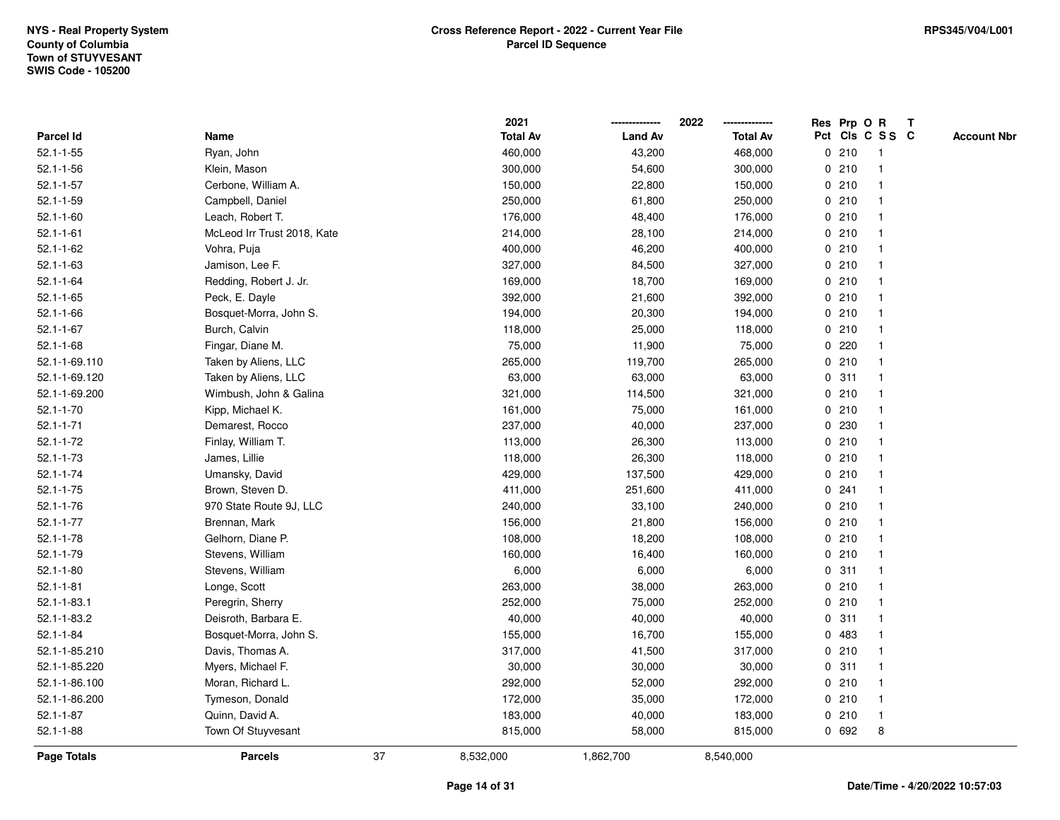|                    |                             |    | 2021            |                | 2022            |             |         | Res Prp O R             | Т |                    |
|--------------------|-----------------------------|----|-----------------|----------------|-----------------|-------------|---------|-------------------------|---|--------------------|
| Parcel Id          | Name                        |    | <b>Total Av</b> | <b>Land Av</b> | <b>Total Av</b> |             |         | Pct Cls C S S C         |   | <b>Account Nbr</b> |
| $52.1 - 1 - 55$    | Ryan, John                  |    | 460,000         | 43,200         | 468,000         |             | 0210    | $\mathbf{1}$            |   |                    |
| $52.1 - 1 - 56$    | Klein, Mason                |    | 300,000         | 54,600         | 300,000         |             | 0210    | -1                      |   |                    |
| $52.1 - 1 - 57$    | Cerbone, William A.         |    | 150,000         | 22,800         | 150,000         |             | 0210    | $\mathbf 1$             |   |                    |
| $52.1 - 1 - 59$    | Campbell, Daniel            |    | 250,000         | 61,800         | 250,000         |             | 0210    |                         |   |                    |
| $52.1 - 1 - 60$    | Leach, Robert T.            |    | 176,000         | 48,400         | 176,000         |             | 0210    |                         |   |                    |
| $52.1 - 1 - 61$    | McLeod Irr Trust 2018, Kate |    | 214,000         | 28,100         | 214,000         |             | 0210    |                         |   |                    |
| $52.1 - 1 - 62$    | Vohra, Puja                 |    | 400,000         | 46,200         | 400,000         |             | 0210    |                         |   |                    |
| $52.1 - 1 - 63$    | Jamison, Lee F.             |    | 327,000         | 84,500         | 327,000         |             | 0210    |                         |   |                    |
| $52.1 - 1 - 64$    | Redding, Robert J. Jr.      |    | 169,000         | 18,700         | 169,000         |             | 0210    | -1                      |   |                    |
| $52.1 - 1 - 65$    | Peck, E. Dayle              |    | 392,000         | 21,600         | 392,000         |             | 0210    | $\mathbf 1$             |   |                    |
| $52.1 - 1 - 66$    | Bosquet-Morra, John S.      |    | 194,000         | 20,300         | 194,000         |             | 0210    | -1                      |   |                    |
| $52.1 - 1 - 67$    | Burch, Calvin               |    | 118,000         | 25,000         | 118,000         |             | 0210    |                         |   |                    |
| $52.1 - 1 - 68$    | Fingar, Diane M.            |    | 75,000          | 11,900         | 75,000          |             | $0$ 220 |                         |   |                    |
| 52.1-1-69.110      | Taken by Aliens, LLC        |    | 265,000         | 119,700        | 265,000         |             | 0210    |                         |   |                    |
| 52.1-1-69.120      | Taken by Aliens, LLC        |    | 63,000          | 63,000         | 63,000          | 0           | 311     |                         |   |                    |
| 52.1-1-69.200      | Wimbush, John & Galina      |    | 321,000         | 114,500        | 321,000         |             | 0210    | -1                      |   |                    |
| $52.1 - 1 - 70$    | Kipp, Michael K.            |    | 161,000         | 75,000         | 161,000         |             | 0210    | $\mathbf{1}$            |   |                    |
| $52.1 - 1 - 71$    | Demarest, Rocco             |    | 237,000         | 40,000         | 237,000         |             | 0 230   |                         |   |                    |
| $52.1 - 1 - 72$    | Finlay, William T.          |    | 113,000         | 26,300         | 113,000         |             | 0210    |                         |   |                    |
| $52.1 - 1 - 73$    | James, Lillie               |    | 118,000         | 26,300         | 118,000         |             | 0210    |                         |   |                    |
| $52.1 - 1 - 74$    | Umansky, David              |    | 429,000         | 137,500        | 429,000         |             | 0210    |                         |   |                    |
| $52.1 - 1 - 75$    | Brown, Steven D.            |    | 411,000         | 251,600        | 411,000         |             | 0.241   |                         |   |                    |
| $52.1 - 1 - 76$    | 970 State Route 9J, LLC     |    | 240,000         | 33,100         | 240,000         |             | 0210    | $\mathbf{1}$            |   |                    |
| $52.1 - 1 - 77$    | Brennan, Mark               |    | 156,000         | 21,800         | 156,000         |             | 0210    | -1                      |   |                    |
| $52.1 - 1 - 78$    | Gelhorn, Diane P.           |    | 108,000         | 18,200         | 108,000         |             | 0210    | -1                      |   |                    |
| $52.1 - 1 - 79$    | Stevens, William            |    | 160,000         | 16,400         | 160,000         |             | 0210    |                         |   |                    |
| $52.1 - 1 - 80$    | Stevens, William            |    | 6,000           | 6,000          | 6,000           |             | 0.311   |                         |   |                    |
| $52.1 - 1 - 81$    | Longe, Scott                |    | 263,000         | 38,000         | 263,000         |             | 0210    |                         |   |                    |
| $52.1 - 1 - 83.1$  | Peregrin, Sherry            |    | 252,000         | 75,000         | 252,000         |             | 0210    | $\overline{\mathbf{1}}$ |   |                    |
| 52.1-1-83.2        | Deisroth, Barbara E.        |    | 40,000          | 40,000         | 40,000          | $\mathbf 0$ | 311     | -1                      |   |                    |
| $52.1 - 1 - 84$    | Bosquet-Morra, John S.      |    | 155,000         | 16,700         | 155,000         | 0           | 483     | -1                      |   |                    |
| 52.1-1-85.210      | Davis, Thomas A.            |    | 317,000         | 41,500         | 317,000         |             | 0210    | -1                      |   |                    |
| 52.1-1-85.220      | Myers, Michael F.           |    | 30,000          | 30,000         | 30,000          |             | 0.311   |                         |   |                    |
| 52.1-1-86.100      | Moran, Richard L.           |    | 292,000         | 52,000         | 292,000         |             | 0210    |                         |   |                    |
| 52.1-1-86.200      | Tymeson, Donald             |    | 172,000         | 35,000         | 172,000         |             | 0210    | $\mathbf 1$             |   |                    |
| $52.1 - 1 - 87$    | Quinn, David A.             |    | 183,000         | 40,000         | 183,000         |             | 0210    | $\mathbf{1}$            |   |                    |
| $52.1 - 1 - 88$    | Town Of Stuyvesant          |    | 815,000         | 58,000         | 815,000         |             | 0 692   | 8                       |   |                    |
| <b>Page Totals</b> | <b>Parcels</b>              | 37 | 8,532,000       | 1,862,700      | 8,540,000       |             |         |                         |   |                    |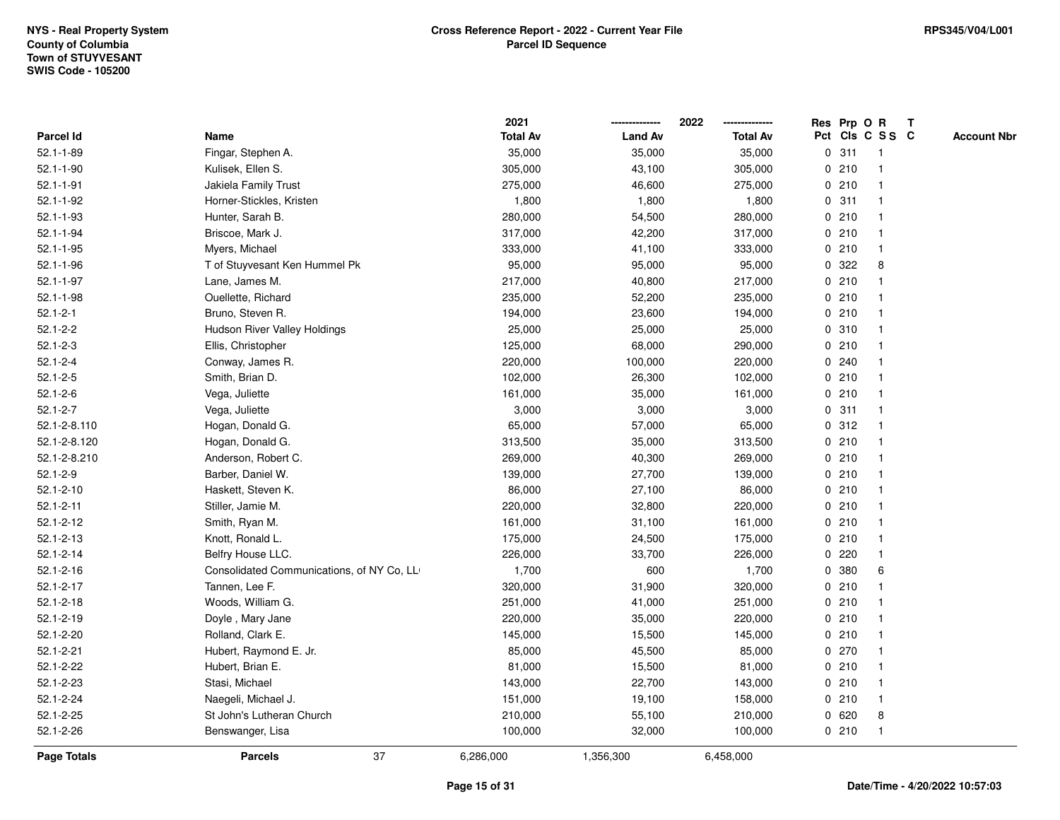|                 |                                           | 2021            |                | 2022            |   |       | Res Prp O R     | $\mathbf{T}$ |                    |
|-----------------|-------------------------------------------|-----------------|----------------|-----------------|---|-------|-----------------|--------------|--------------------|
| Parcel Id       | Name                                      | <b>Total Av</b> | <b>Land Av</b> | <b>Total Av</b> |   |       | Pct Cls C S S C |              | <b>Account Nbr</b> |
| $52.1 - 1 - 89$ | Fingar, Stephen A.                        | 35,000          | 35,000         | 35,000          | 0 | 311   | $\mathbf{1}$    |              |                    |
| $52.1 - 1 - 90$ | Kulisek, Ellen S.                         | 305,000         | 43,100         | 305,000         |   | 0210  |                 |              |                    |
| $52.1 - 1 - 91$ | Jakiela Family Trust                      | 275,000         | 46,600         | 275,000         |   | 0210  |                 |              |                    |
| $52.1 - 1 - 92$ | Horner-Stickles, Kristen                  | 1,800           | 1,800          | 1,800           |   | 0.311 |                 |              |                    |
| $52.1 - 1 - 93$ | Hunter, Sarah B.                          | 280,000         | 54,500         | 280,000         |   | 0210  |                 |              |                    |
| $52.1 - 1 - 94$ | Briscoe, Mark J.                          | 317,000         | 42,200         | 317,000         |   | 0210  |                 |              |                    |
| $52.1 - 1 - 95$ | Myers, Michael                            | 333,000         | 41,100         | 333,000         |   | 0210  | -1              |              |                    |
| $52.1 - 1 - 96$ | T of Stuyvesant Ken Hummel Pk             | 95,000          | 95,000         | 95,000          | 0 | 322   | 8               |              |                    |
| $52.1 - 1 - 97$ | Lane, James M.                            | 217,000         | 40,800         | 217,000         |   | 0210  |                 |              |                    |
| $52.1 - 1 - 98$ | Ouellette, Richard                        | 235,000         | 52,200         | 235,000         |   | 0210  |                 |              |                    |
| $52.1 - 2 - 1$  | Bruno, Steven R.                          | 194,000         | 23,600         | 194,000         |   | 0210  |                 |              |                    |
| $52.1 - 2 - 2$  | <b>Hudson River Valley Holdings</b>       | 25,000          | 25,000         | 25,000          |   | 0 310 |                 |              |                    |
| $52.1 - 2 - 3$  | Ellis, Christopher                        | 125,000         | 68,000         | 290,000         |   | 0210  |                 |              |                    |
| $52.1 - 2 - 4$  | Conway, James R.                          | 220,000         | 100,000        | 220,000         |   | 0.240 |                 |              |                    |
| $52.1 - 2 - 5$  | Smith, Brian D.                           | 102,000         | 26,300         | 102,000         | 0 | 210   |                 |              |                    |
| $52.1 - 2 - 6$  | Vega, Juliette                            | 161,000         | 35,000         | 161,000         | 0 | 210   |                 |              |                    |
| $52.1 - 2 - 7$  | Vega, Juliette                            | 3,000           | 3,000          | 3,000           |   | 0.311 | 1               |              |                    |
| 52.1-2-8.110    | Hogan, Donald G.                          | 65,000          | 57,000         | 65,000          |   | 0.312 |                 |              |                    |
| 52.1-2-8.120    | Hogan, Donald G.                          | 313,500         | 35,000         | 313,500         |   | 0210  |                 |              |                    |
| 52.1-2-8.210    | Anderson, Robert C.                       | 269,000         | 40,300         | 269,000         |   | 0210  |                 |              |                    |
| $52.1 - 2 - 9$  | Barber, Daniel W.                         | 139,000         | 27,700         | 139,000         |   | 0210  |                 |              |                    |
| $52.1 - 2 - 10$ | Haskett, Steven K.                        | 86,000          | 27,100         | 86,000          | 0 | 210   |                 |              |                    |
| $52.1 - 2 - 11$ | Stiller, Jamie M.                         | 220,000         | 32,800         | 220,000         |   | 0210  |                 |              |                    |
| $52.1 - 2 - 12$ | Smith, Ryan M.                            | 161,000         | 31,100         | 161,000         |   | 0210  |                 |              |                    |
| $52.1 - 2 - 13$ | Knott, Ronald L.                          | 175,000         | 24,500         | 175,000         |   | 0210  |                 |              |                    |
| $52.1 - 2 - 14$ | Belfry House LLC.                         | 226,000         | 33,700         | 226,000         |   | 0.220 |                 |              |                    |
| $52.1 - 2 - 16$ | Consolidated Communications, of NY Co, LL | 1,700           | 600            | 1,700           | 0 | 380   | 6               |              |                    |
| $52.1 - 2 - 17$ | Tannen, Lee F.                            | 320,000         | 31,900         | 320,000         |   | 0210  |                 |              |                    |
| $52.1 - 2 - 18$ | Woods, William G.                         | 251,000         | 41,000         | 251,000         | 0 | 210   |                 |              |                    |
| $52.1 - 2 - 19$ | Doyle, Mary Jane                          | 220,000         | 35,000         | 220,000         |   | 0210  |                 |              |                    |
| $52.1 - 2 - 20$ | Rolland, Clark E.                         | 145,000         | 15,500         | 145,000         |   | 0210  |                 |              |                    |
| $52.1 - 2 - 21$ | Hubert, Raymond E. Jr.                    | 85,000          | 45,500         | 85,000          |   | 0 270 |                 |              |                    |
| $52.1 - 2 - 22$ | Hubert, Brian E.                          | 81,000          | 15,500         | 81,000          |   | 0210  |                 |              |                    |
| $52.1 - 2 - 23$ | Stasi, Michael                            | 143,000         | 22,700         | 143,000         |   | 0210  |                 |              |                    |
| 52.1-2-24       | Naegeli, Michael J.                       | 151,000         | 19,100         | 158,000         |   | 0210  | $\overline{1}$  |              |                    |
| $52.1 - 2 - 25$ | St John's Lutheran Church                 | 210,000         | 55,100         | 210,000         | 0 | 620   | 8               |              |                    |
| $52.1 - 2 - 26$ | Benswanger, Lisa                          | 100,000         | 32,000         | 100,000         |   | 0210  | $\mathbf{1}$    |              |                    |
| Page Totals     | 37<br><b>Parcels</b>                      | 6,286,000       | 1,356,300      | 6,458,000       |   |       |                 |              |                    |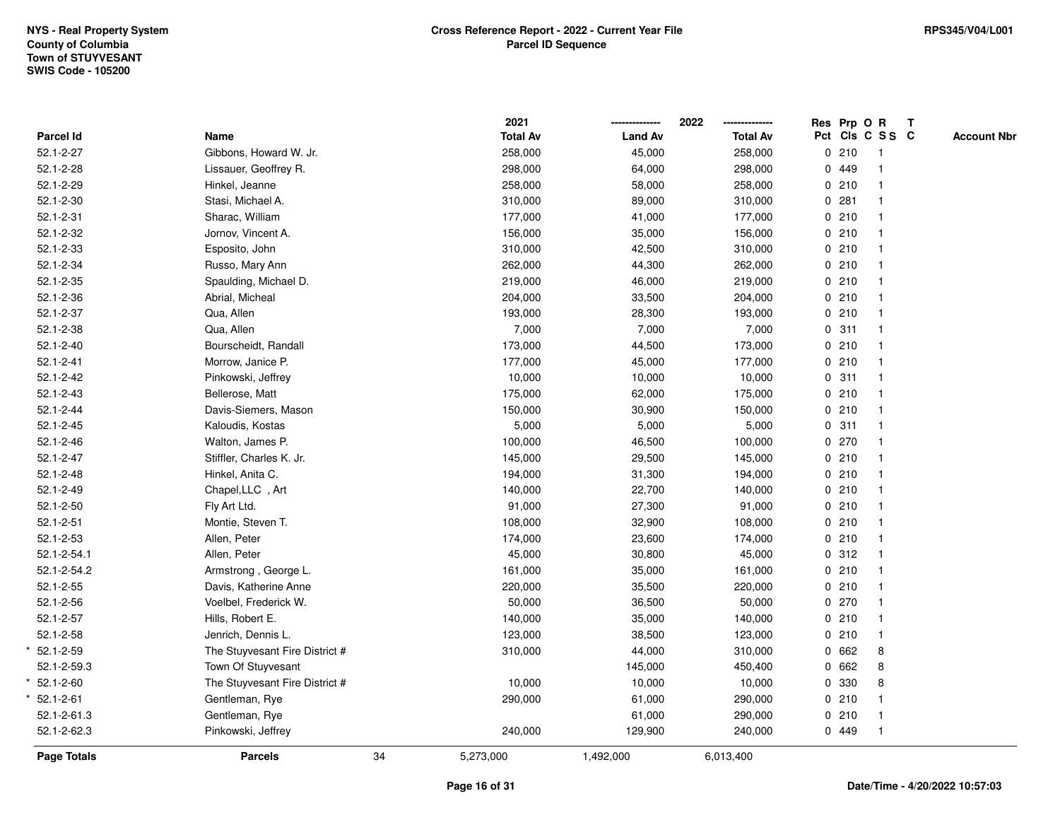|                  |                                |    | 2021            |                | 2022<br>-------------- | Res Prp O R     |                         | $\mathbf{T}$ |                    |
|------------------|--------------------------------|----|-----------------|----------------|------------------------|-----------------|-------------------------|--------------|--------------------|
| <b>Parcel Id</b> | Name                           |    | <b>Total Av</b> | <b>Land Av</b> | <b>Total Av</b>        | Pct Cls C S S C |                         |              | <b>Account Nbr</b> |
| 52.1-2-27        | Gibbons, Howard W. Jr.         |    | 258,000         | 45,000         | 258,000                | 0210            | -1                      |              |                    |
| $52.1 - 2 - 28$  | Lissauer, Geoffrey R.          |    | 298,000         | 64,000         | 298,000                | 0 449           |                         |              |                    |
| 52.1-2-29        | Hinkel, Jeanne                 |    | 258,000         | 58,000         | 258,000                | 0210            |                         |              |                    |
| $52.1 - 2 - 30$  | Stasi, Michael A.              |    | 310,000         | 89,000         | 310,000                | 0.281           | $\mathbf{1}$            |              |                    |
| $52.1 - 2 - 31$  | Sharac, William                |    | 177,000         | 41,000         | 177,000                | 0210            | $\overline{1}$          |              |                    |
| 52.1-2-32        | Jornov, Vincent A.             |    | 156,000         | 35,000         | 156,000                | 0210            |                         |              |                    |
| $52.1 - 2 - 33$  | Esposito, John                 |    | 310,000         | 42,500         | 310,000                | 0210            |                         |              |                    |
| 52.1-2-34        | Russo, Mary Ann                |    | 262,000         | 44,300         | 262,000                | 0210            |                         |              |                    |
| $52.1 - 2 - 35$  | Spaulding, Michael D.          |    | 219,000         | 46,000         | 219,000                | 0210            |                         |              |                    |
| 52.1-2-36        | Abrial, Micheal                |    | 204,000         | 33,500         | 204,000                | 0210            | $\overline{\mathbf{1}}$ |              |                    |
| 52.1-2-37        | Qua, Allen                     |    | 193,000         | 28,300         | 193,000                | 0210            | $\mathbf{1}$            |              |                    |
| 52.1-2-38        | Qua, Allen                     |    | 7,000           | 7,000          | 7,000                  | 0.311           | $\overline{1}$          |              |                    |
| $52.1 - 2 - 40$  | Bourscheidt, Randall           |    | 173,000         | 44,500         | 173,000                | 0210            |                         |              |                    |
| $52.1 - 2 - 41$  | Morrow, Janice P.              |    | 177,000         | 45,000         | 177,000                | 0210            |                         |              |                    |
| $52.1 - 2 - 42$  | Pinkowski, Jeffrey             |    | 10,000          | 10,000         | 10,000                 | 0.311           |                         |              |                    |
| $52.1 - 2 - 43$  | Bellerose, Matt                |    | 175,000         | 62,000         | 175,000                | 0210            |                         |              |                    |
| $52.1 - 2 - 44$  | Davis-Siemers, Mason           |    | 150,000         | 30,900         | 150,000                | 0210            | $\overline{1}$          |              |                    |
| $52.1 - 2 - 45$  | Kaloudis, Kostas               |    | 5,000           | 5,000          | 5,000                  | 0.311           | $\mathbf{1}$            |              |                    |
| $52.1 - 2 - 46$  | Walton, James P.               |    | 100,000         | 46,500         | 100,000                | 0270            | $\mathbf{1}$            |              |                    |
| $52.1 - 2 - 47$  | Stiffler, Charles K. Jr.       |    | 145,000         | 29,500         | 145,000                | 0210            |                         |              |                    |
| $52.1 - 2 - 48$  | Hinkel, Anita C.               |    | 194,000         | 31,300         | 194,000                | 0210            |                         |              |                    |
| 52.1-2-49        | Chapel,LLC, Art                |    | 140,000         | 22,700         | 140,000                | 0210            |                         |              |                    |
| $52.1 - 2 - 50$  | Fly Art Ltd.                   |    | 91,000          | 27,300         | 91,000                 | 0210            |                         |              |                    |
| $52.1 - 2 - 51$  | Montie, Steven T.              |    | 108,000         | 32,900         | 108,000                | 0210            | $\overline{1}$          |              |                    |
| $52.1 - 2 - 53$  | Allen, Peter                   |    | 174,000         | 23,600         | 174,000                | 0210            | $\mathbf{1}$            |              |                    |
| 52.1-2-54.1      | Allen, Peter                   |    | 45,000          | 30,800         | 45,000                 | 0.312           |                         |              |                    |
| 52.1-2-54.2      | Armstrong, George L.           |    | 161,000         | 35,000         | 161,000                | 0210            |                         |              |                    |
| $52.1 - 2 - 55$  | Davis, Katherine Anne          |    | 220,000         | 35,500         | 220,000                | 0210            |                         |              |                    |
| $52.1 - 2 - 56$  | Voelbel, Frederick W.          |    | 50,000          | 36,500         | 50,000                 | 0270            |                         |              |                    |
| $52.1 - 2 - 57$  | Hills, Robert E.               |    | 140,000         | 35,000         | 140,000                | 0210            | $\mathbf{1}$            |              |                    |
| $52.1 - 2 - 58$  | Jenrich, Dennis L.             |    | 123,000         | 38,500         | 123,000                | 0210            | $\mathbf{1}$            |              |                    |
| $52.1 - 2 - 59$  | The Stuyvesant Fire District # |    | 310,000         | 44,000         | 310,000                | 0 662           | 8                       |              |                    |
| 52.1-2-59.3      | Town Of Stuyvesant             |    |                 | 145,000        | 450,400                | 0 662           | 8                       |              |                    |
| $52.1 - 2 - 60$  | The Stuyvesant Fire District # |    | 10,000          | 10,000         | 10,000                 | 0 330           | 8                       |              |                    |
| $52.1 - 2 - 61$  | Gentleman, Rye                 |    | 290,000         | 61,000         | 290,000                | 0210            |                         |              |                    |
| 52.1-2-61.3      | Gentleman, Rye                 |    |                 | 61,000         | 290,000                | 0210            | $\overline{\mathbf{1}}$ |              |                    |
| 52.1-2-62.3      | Pinkowski, Jeffrey             |    | 240,000         | 129,900        | 240,000                | 0 449           | $\mathbf{1}$            |              |                    |
| Page Totals      | <b>Parcels</b>                 | 34 | 5,273,000       | 1,492,000      | 6,013,400              |                 |                         |              |                    |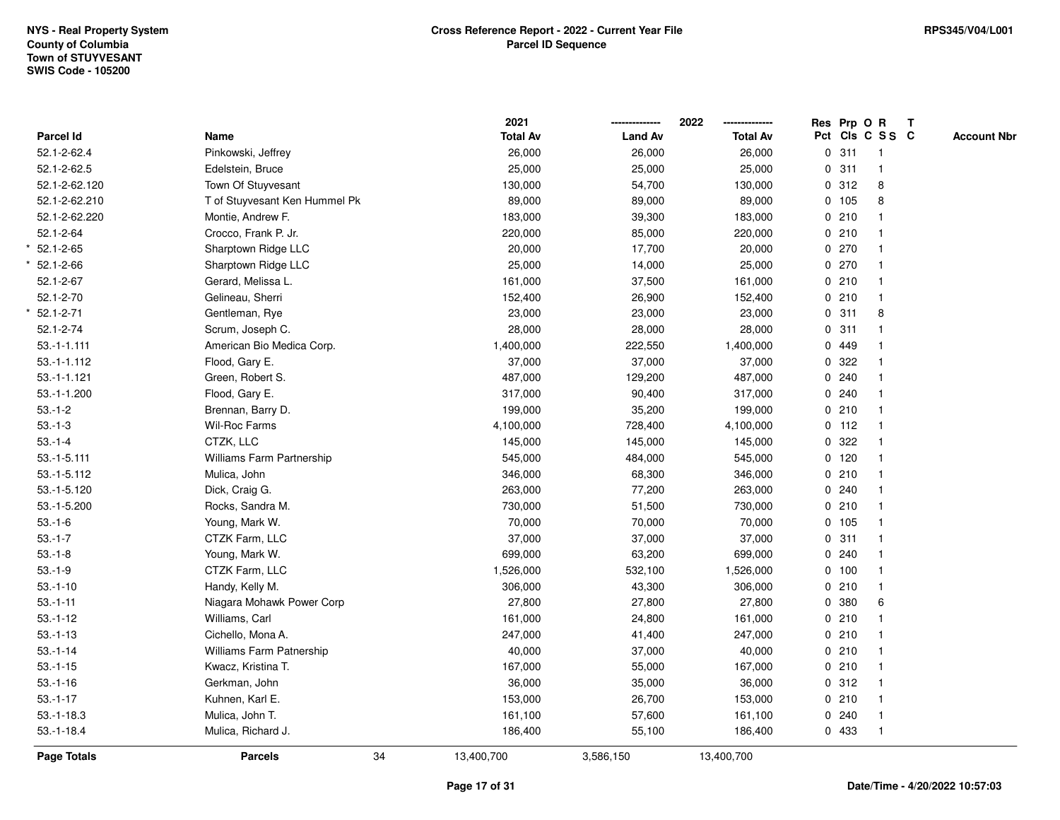|                 |                               | 2021            |                | 2022            |              | Res Prp O R |                 | T |                    |
|-----------------|-------------------------------|-----------------|----------------|-----------------|--------------|-------------|-----------------|---|--------------------|
| Parcel Id       | Name                          | <b>Total Av</b> | <b>Land Av</b> | <b>Total Av</b> |              |             | Pct Cls C S S C |   | <b>Account Nbr</b> |
| 52.1-2-62.4     | Pinkowski, Jeffrey            | 26,000          | 26,000         | 26,000          | $\mathbf{0}$ | 311         | $\overline{1}$  |   |                    |
| 52.1-2-62.5     | Edelstein, Bruce              | 25,000          | 25,000         | 25,000          | $\mathbf 0$  | 311         | $\mathbf{1}$    |   |                    |
| 52.1-2-62.120   | Town Of Stuyvesant            | 130,000         | 54,700         | 130,000         |              | 0.312       | 8               |   |                    |
| 52.1-2-62.210   | T of Stuyvesant Ken Hummel Pk | 89,000          | 89,000         | 89,000          |              | 0 105       | 8               |   |                    |
| 52.1-2-62.220   | Montie, Andrew F.             | 183,000         | 39,300         | 183,000         |              | 0210        | $\mathbf 1$     |   |                    |
| $52.1 - 2 - 64$ | Crocco, Frank P. Jr.          | 220,000         | 85,000         | 220,000         |              | 0210        |                 |   |                    |
| $52.1 - 2 - 65$ | Sharptown Ridge LLC           | 20,000          | 17,700         | 20,000          |              | 0270        | $\mathbf{1}$    |   |                    |
| $52.1 - 2 - 66$ | Sharptown Ridge LLC           | 25,000          | 14,000         | 25,000          |              | 0270        | $\mathbf{1}$    |   |                    |
| $52.1 - 2 - 67$ | Gerard, Melissa L.            | 161,000         | 37,500         | 161,000         |              | 0210        | $\mathbf{1}$    |   |                    |
| $52.1 - 2 - 70$ | Gelineau, Sherri              | 152,400         | 26,900         | 152,400         |              | 0210        | $\mathbf{1}$    |   |                    |
| $52.1 - 2 - 71$ | Gentleman, Rye                | 23,000          | 23,000         | 23,000          |              | 0.311       | 8               |   |                    |
| 52.1-2-74       | Scrum, Joseph C.              | 28,000          | 28,000         | 28,000          |              | 0.311       |                 |   |                    |
| $53.-1-1.111$   | American Bio Medica Corp.     | 1,400,000       | 222,550        | 1,400,000       |              | 0 449       |                 |   |                    |
| $53.-1-1.112$   | Flood, Gary E.                | 37,000          | 37,000         | 37,000          |              | 0.322       | $\mathbf{1}$    |   |                    |
| $53.-1-1.121$   | Green, Robert S.              | 487,000         | 129,200        | 487,000         |              | 0.240       | $\mathbf{1}$    |   |                    |
| 53.-1-1.200     | Flood, Gary E.                | 317,000         | 90,400         | 317,000         |              | 0.240       | $\mathbf{1}$    |   |                    |
| $53.-1-2$       | Brennan, Barry D.             | 199,000         | 35,200         | 199,000         |              | 0210        | 1               |   |                    |
| $53.-1-3$       | Wil-Roc Farms                 | 4,100,000       | 728,400        | 4,100,000       |              | $0$ 112     | 1               |   |                    |
| $53.-1-4$       | CTZK, LLC                     | 145,000         | 145,000        | 145,000         |              | 0.322       |                 |   |                    |
| $53.-1-5.111$   | Williams Farm Partnership     | 545,000         | 484,000        | 545,000         |              | $0$ 120     | $\mathbf 1$     |   |                    |
| $53.-1-5.112$   | Mulica, John                  | 346,000         | 68,300         | 346,000         |              | 0210        | $\mathbf{1}$    |   |                    |
| 53.-1-5.120     | Dick, Craig G.                | 263,000         | 77,200         | 263,000         |              | 0.240       | $\mathbf{1}$    |   |                    |
| 53.-1-5.200     | Rocks, Sandra M.              | 730,000         | 51,500         | 730,000         |              | 0210        | $\mathbf{1}$    |   |                    |
| $53.-1-6$       | Young, Mark W.                | 70,000          | 70,000         | 70,000          |              | 0 105       | $\mathbf{1}$    |   |                    |
| $53.-1-7$       | CTZK Farm, LLC                | 37,000          | 37,000         | 37,000          |              | 0.311       | 1               |   |                    |
| $53.-1-8$       | Young, Mark W.                | 699,000         | 63,200         | 699,000         |              | 0.240       |                 |   |                    |
| $53.-1-9$       | CTZK Farm, LLC                | 1,526,000       | 532,100        | 1,526,000       |              | 0 100       | $\mathbf{1}$    |   |                    |
| $53.-1-10$      | Handy, Kelly M.               | 306,000         | 43,300         | 306,000         |              | 0210        | $\mathbf{1}$    |   |                    |
| $53.-1-11$      | Niagara Mohawk Power Corp     | 27,800          | 27,800         | 27,800          |              | 0 380       | 6               |   |                    |
| $53.-1-12$      | Williams, Carl                | 161,000         | 24,800         | 161,000         |              | 0210        | $\mathbf{1}$    |   |                    |
| $53.-1-13$      | Cichello, Mona A.             | 247,000         | 41,400         | 247,000         |              | 0210        | 1               |   |                    |
| $53.-1-14$      | Williams Farm Patnership      | 40,000          | 37,000         | 40,000          |              | 0210        | 1               |   |                    |
| $53.-1-15$      | Kwacz, Kristina T.            | 167,000         | 55,000         | 167,000         |              | 0210        | $\mathbf{1}$    |   |                    |
| $53.-1-16$      | Gerkman, John                 | 36,000          | 35,000         | 36,000          |              | 0.312       | $\mathbf{1}$    |   |                    |
| $53.-1-17$      | Kuhnen, Karl E.               | 153,000         | 26,700         | 153,000         |              | 0210        | $\mathbf{1}$    |   |                    |
| $53.-1-18.3$    | Mulica, John T.               | 161,100         | 57,600         | 161,100         |              | 0.240       | $\mathbf{1}$    |   |                    |
| $53.-1-18.4$    | Mulica, Richard J.            | 186,400         | 55,100         | 186,400         |              | 0 433       | $\mathbf{1}$    |   |                    |
| Page Totals     | 34<br><b>Parcels</b>          | 13,400,700      | 3,586,150      | 13,400,700      |              |             |                 |   |                    |
|                 |                               |                 |                |                 |              |             |                 |   |                    |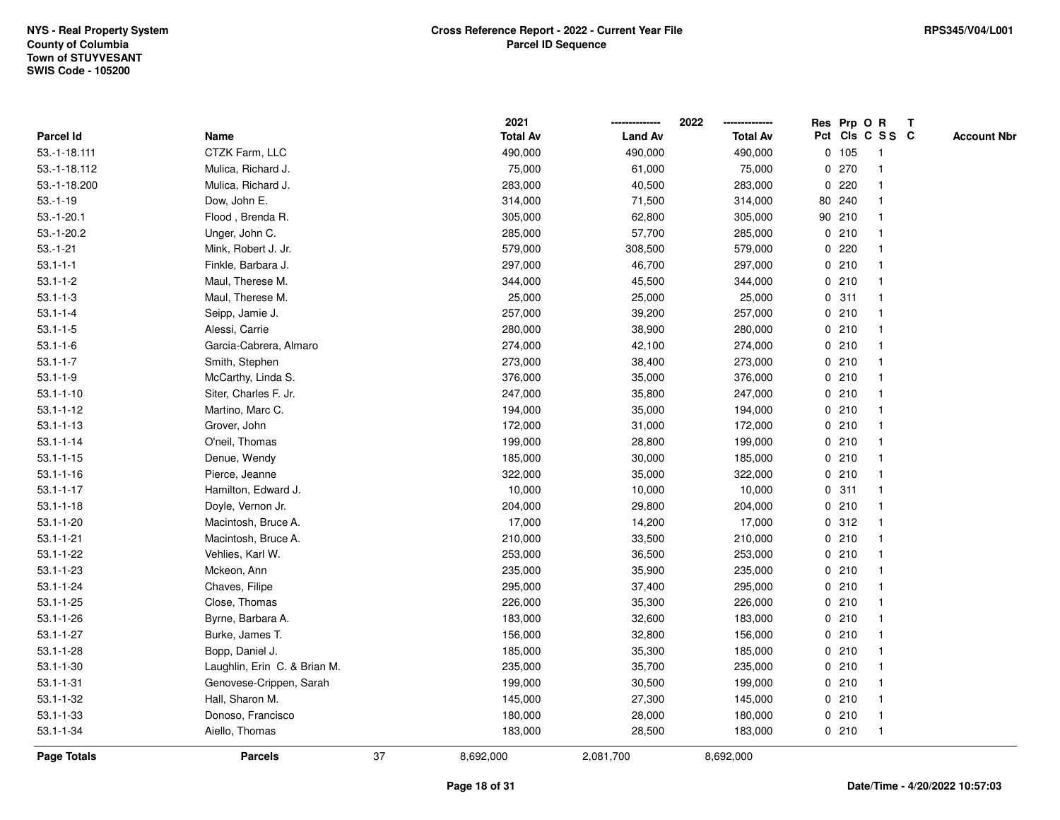|                 |                              |    | 2021            |                | 2022            |             |        | Res Prp O R             | T |                    |
|-----------------|------------------------------|----|-----------------|----------------|-----------------|-------------|--------|-------------------------|---|--------------------|
| Parcel Id       | Name                         |    | <b>Total Av</b> | <b>Land Av</b> | <b>Total Av</b> |             |        | Pct Cls C S S C         |   | <b>Account Nbr</b> |
| 53.-1-18.111    | CTZK Farm, LLC               |    | 490,000         | 490,000        | 490,000         |             | 0 105  | $\mathbf{1}$            |   |                    |
| 53.-1-18.112    | Mulica, Richard J.           |    | 75,000          | 61,000         | 75,000          | 0           | 270    | $\mathbf{1}$            |   |                    |
| 53.-1-18.200    | Mulica, Richard J.           |    | 283,000         | 40,500         | 283,000         |             | 0.220  | -1                      |   |                    |
| $53.-1-19$      | Dow, John E.                 |    | 314,000         | 71,500         | 314,000         |             | 80 240 |                         |   |                    |
| $53.-1-20.1$    | Flood, Brenda R.             |    | 305,000         | 62,800         | 305,000         |             | 90 210 |                         |   |                    |
| $53.-1-20.2$    | Unger, John C.               |    | 285,000         | 57,700         | 285,000         |             | 0210   |                         |   |                    |
| $53.-1-21$      | Mink, Robert J. Jr.          |    | 579,000         | 308,500        | 579,000         |             | 0220   |                         |   |                    |
| $53.1 - 1 - 1$  | Finkle, Barbara J.           |    | 297,000         | 46,700         | 297,000         | 0           | 210    |                         |   |                    |
| $53.1 - 1 - 2$  | Maul, Therese M.             |    | 344,000         | 45,500         | 344,000         | 0           | 210    | -1                      |   |                    |
| $53.1 - 1 - 3$  | Maul, Therese M.             |    | 25,000          | 25,000         | 25,000          |             | 0.311  | $\mathbf{1}$            |   |                    |
| $53.1 - 1 - 4$  | Seipp, Jamie J.              |    | 257,000         | 39,200         | 257,000         |             | 0210   |                         |   |                    |
| $53.1 - 1 - 5$  | Alessi, Carrie               |    | 280,000         | 38,900         | 280,000         |             | 0210   |                         |   |                    |
| $53.1 - 1 - 6$  | Garcia-Cabrera, Almaro       |    | 274,000         | 42,100         | 274,000         |             | 0210   |                         |   |                    |
| $53.1 - 1 - 7$  | Smith, Stephen               |    | 273,000         | 38,400         | 273,000         |             | 0210   |                         |   |                    |
| $53.1 - 1 - 9$  | McCarthy, Linda S.           |    | 376,000         | 35,000         | 376,000         | $\mathbf 0$ | 210    |                         |   |                    |
| $53.1 - 1 - 10$ | Siter, Charles F. Jr.        |    | 247,000         | 35,800         | 247,000         |             | 0210   | $\overline{\mathbf{1}}$ |   |                    |
| $53.1 - 1 - 12$ | Martino, Marc C.             |    | 194,000         | 35,000         | 194,000         |             | 0210   | $\mathbf{1}$            |   |                    |
| $53.1 - 1 - 13$ | Grover, John                 |    | 172,000         | 31,000         | 172,000         |             | 0210   |                         |   |                    |
| $53.1 - 1 - 14$ | O'neil, Thomas               |    | 199,000         | 28,800         | 199,000         |             | 0210   |                         |   |                    |
| $53.1 - 1 - 15$ | Denue, Wendy                 |    | 185,000         | 30,000         | 185,000         |             | 0210   |                         |   |                    |
| $53.1 - 1 - 16$ | Pierce, Jeanne               |    | 322,000         | 35,000         | 322,000         |             | 0210   |                         |   |                    |
| $53.1 - 1 - 17$ | Hamilton, Edward J.          |    | 10,000          | 10,000         | 10,000          |             | 0.311  |                         |   |                    |
| $53.1 - 1 - 18$ | Doyle, Vernon Jr.            |    | 204,000         | 29,800         | 204,000         | 0           | 210    | -1                      |   |                    |
| $53.1 - 1 - 20$ | Macintosh, Bruce A.          |    | 17,000          | 14,200         | 17,000          |             | 0.312  | $\overline{\mathbf{1}}$ |   |                    |
| $53.1 - 1 - 21$ | Macintosh, Bruce A.          |    | 210,000         | 33,500         | 210,000         |             | 0210   |                         |   |                    |
| $53.1 - 1 - 22$ | Vehlies, Karl W.             |    | 253,000         | 36,500         | 253,000         |             | 0210   |                         |   |                    |
| $53.1 - 1 - 23$ | Mckeon, Ann                  |    | 235,000         | 35,900         | 235,000         |             | 0210   |                         |   |                    |
| $53.1 - 1 - 24$ | Chaves, Filipe               |    | 295,000         | 37,400         | 295,000         |             | 0210   |                         |   |                    |
| $53.1 - 1 - 25$ | Close, Thomas                |    | 226,000         | 35,300         | 226,000         |             | 0210   |                         |   |                    |
| $53.1 - 1 - 26$ | Byrne, Barbara A.            |    | 183,000         | 32,600         | 183,000         | 0           | 210    | -1                      |   |                    |
| $53.1 - 1 - 27$ | Burke, James T.              |    | 156,000         | 32,800         | 156,000         |             | 0210   | -1                      |   |                    |
| $53.1 - 1 - 28$ | Bopp, Daniel J.              |    | 185,000         | 35,300         | 185,000         |             | 0210   | $\mathbf 1$             |   |                    |
| $53.1 - 1 - 30$ | Laughlin, Erin C. & Brian M. |    | 235,000         | 35,700         | 235,000         |             | 0210   |                         |   |                    |
| $53.1 - 1 - 31$ | Genovese-Crippen, Sarah      |    | 199,000         | 30,500         | 199,000         |             | 0210   |                         |   |                    |
| $53.1 - 1 - 32$ | Hall, Sharon M.              |    | 145,000         | 27,300         | 145,000         |             | 0210   | -1                      |   |                    |
| $53.1 - 1 - 33$ | Donoso, Francisco            |    | 180,000         | 28,000         | 180,000         |             | 0210   | -1                      |   |                    |
| $53.1 - 1 - 34$ | Aiello, Thomas               |    | 183,000         | 28,500         | 183,000         |             | 0210   | $\mathbf{1}$            |   |                    |
| Page Totals     | <b>Parcels</b>               | 37 | 8,692,000       | 2,081,700      | 8,692,000       |             |        |                         |   |                    |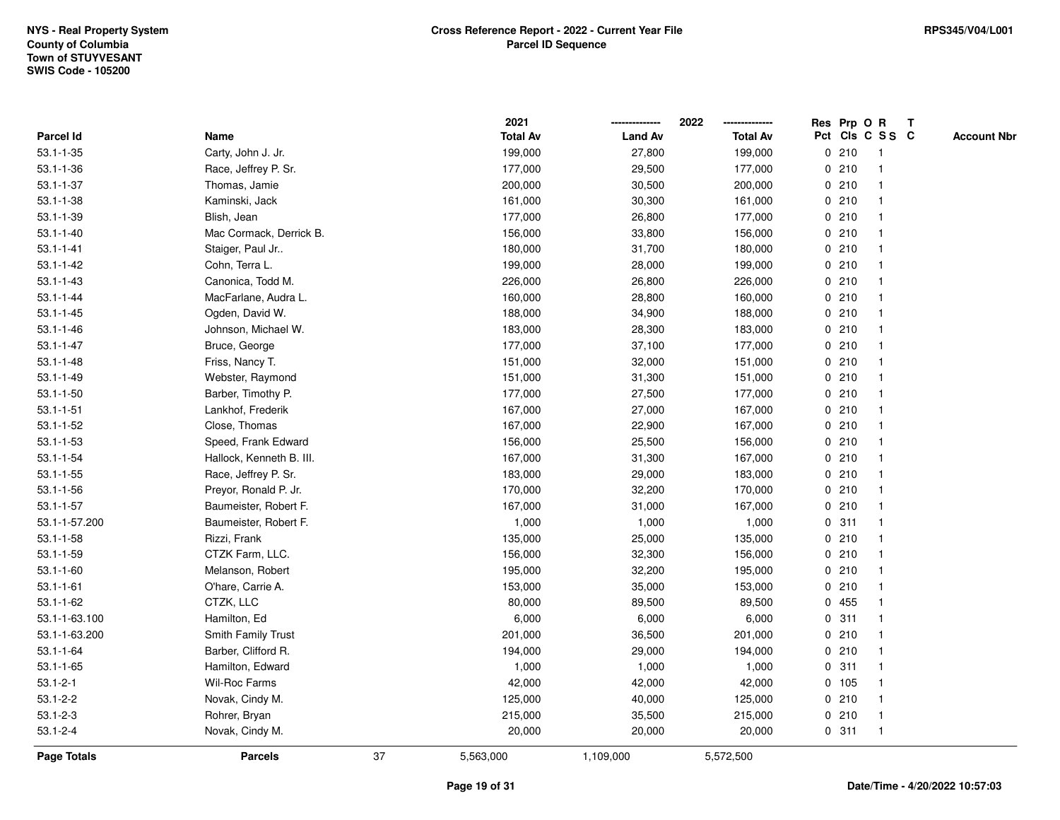|                    |                          |    | 2021            |                | 2022            | Res Prp O R |                 | Т |                    |
|--------------------|--------------------------|----|-----------------|----------------|-----------------|-------------|-----------------|---|--------------------|
| Parcel Id          | Name                     |    | <b>Total Av</b> | <b>Land Av</b> | <b>Total Av</b> |             | Pct Cls C S S C |   | <b>Account Nbr</b> |
| $53.1 - 1 - 35$    | Carty, John J. Jr.       |    | 199,000         | 27,800         | 199,000         | 0210        | $\overline{1}$  |   |                    |
| $53.1 - 1 - 36$    | Race, Jeffrey P. Sr.     |    | 177,000         | 29,500         | 177,000         | 0210        | $\overline{1}$  |   |                    |
| $53.1 - 1 - 37$    | Thomas, Jamie            |    | 200,000         | 30,500         | 200,000         | 0210        | $\mathbf{1}$    |   |                    |
| $53.1 - 1 - 38$    | Kaminski, Jack           |    | 161,000         | 30,300         | 161,000         | 0210        |                 |   |                    |
| $53.1 - 1 - 39$    | Blish, Jean              |    | 177,000         | 26,800         | 177,000         | 0210        |                 |   |                    |
| $53.1 - 1 - 40$    | Mac Cormack, Derrick B.  |    | 156,000         | 33,800         | 156,000         | 0210        |                 |   |                    |
| $53.1 - 1 - 41$    | Staiger, Paul Jr         |    | 180,000         | 31,700         | 180,000         | 0210        | $\mathbf{1}$    |   |                    |
| $53.1 - 1 - 42$    | Cohn, Terra L.           |    | 199,000         | 28,000         | 199,000         | 0210        | $\mathbf{1}$    |   |                    |
| $53.1 - 1 - 43$    | Canonica, Todd M.        |    | 226,000         | 26,800         | 226,000         | 0210        | -1              |   |                    |
| $53.1 - 1 - 44$    | MacFarlane, Audra L.     |    | 160,000         | 28,800         | 160,000         | 0210        | $\mathbf{1}$    |   |                    |
| $53.1 - 1 - 45$    | Ogden, David W.          |    | 188,000         | 34,900         | 188,000         | 0210        |                 |   |                    |
| $53.1 - 1 - 46$    | Johnson, Michael W.      |    | 183,000         | 28,300         | 183,000         | 0210        |                 |   |                    |
| $53.1 - 1 - 47$    | Bruce, George            |    | 177,000         | 37,100         | 177,000         | 0210        |                 |   |                    |
| $53.1 - 1 - 48$    | Friss, Nancy T.          |    | 151,000         | 32,000         | 151,000         | 0210        | 1               |   |                    |
| $53.1 - 1 - 49$    | Webster, Raymond         |    | 151,000         | 31,300         | 151,000         | 0210        | $\mathbf{1}$    |   |                    |
| $53.1 - 1 - 50$    | Barber, Timothy P.       |    | 177,000         | 27,500         | 177,000         | 0210        | $\overline{1}$  |   |                    |
| $53.1 - 1 - 51$    | Lankhof, Frederik        |    | 167,000         | 27,000         | 167,000         | 0210        | $\mathbf{1}$    |   |                    |
| $53.1 - 1 - 52$    | Close, Thomas            |    | 167,000         | 22,900         | 167,000         | 0210        |                 |   |                    |
| $53.1 - 1 - 53$    | Speed, Frank Edward      |    | 156,000         | 25,500         | 156,000         | 0210        |                 |   |                    |
| $53.1 - 1 - 54$    | Hallock, Kenneth B. III. |    | 167,000         | 31,300         | 167,000         | 0210        |                 |   |                    |
| $53.1 - 1 - 55$    | Race, Jeffrey P. Sr.     |    | 183,000         | 29,000         | 183,000         | 0210        | $\mathbf{1}$    |   |                    |
| $53.1 - 1 - 56$    | Preyor, Ronald P. Jr.    |    | 170,000         | 32,200         | 170,000         | 0210        | -1              |   |                    |
| $53.1 - 1 - 57$    | Baumeister, Robert F.    |    | 167,000         | 31,000         | 167,000         | 0210        | $\overline{1}$  |   |                    |
| 53.1-1-57.200      | Baumeister, Robert F.    |    | 1,000           | 1,000          | 1,000           | 0.311       | $\mathbf{1}$    |   |                    |
| $53.1 - 1 - 58$    | Rizzi, Frank             |    | 135,000         | 25,000         | 135,000         | 0210        | $\mathbf 1$     |   |                    |
| $53.1 - 1 - 59$    | CTZK Farm, LLC.          |    | 156,000         | 32,300         | 156,000         | 0210        |                 |   |                    |
| $53.1 - 1 - 60$    | Melanson, Robert         |    | 195,000         | 32,200         | 195,000         | 0210        |                 |   |                    |
| $53.1 - 1 - 61$    | O'hare, Carrie A.        |    | 153,000         | 35,000         | 153,000         | 0210        |                 |   |                    |
| $53.1 - 1 - 62$    | CTZK, LLC                |    | 80,000          | 89,500         | 89,500          | 0455        | $\mathbf{1}$    |   |                    |
| 53.1-1-63.100      | Hamilton, Ed             |    | 6,000           | 6,000          | 6,000           | 0.311       | -1              |   |                    |
| 53.1-1-63.200      | Smith Family Trust       |    | 201,000         | 36,500         | 201,000         | 0210        | $\mathbf 1$     |   |                    |
| $53.1 - 1 - 64$    | Barber, Clifford R.      |    | 194,000         | 29,000         | 194,000         | 0210        | 1               |   |                    |
| $53.1 - 1 - 65$    | Hamilton, Edward         |    | 1,000           | 1,000          | 1,000           | 0.311       |                 |   |                    |
| $53.1 - 2 - 1$     | Wil-Roc Farms            |    | 42,000          | 42,000         | 42,000          | 0, 105      |                 |   |                    |
| $53.1 - 2 - 2$     | Novak, Cindy M.          |    | 125,000         | 40,000         | 125,000         | 0210        | $\mathbf{1}$    |   |                    |
| $53.1 - 2 - 3$     | Rohrer, Bryan            |    | 215,000         | 35,500         | 215,000         | 0210        | $\overline{1}$  |   |                    |
| $53.1 - 2 - 4$     | Novak, Cindy M.          |    | 20,000          | 20,000         | 20,000          | 0.311       | $\overline{1}$  |   |                    |
| <b>Page Totals</b> | <b>Parcels</b>           | 37 | 5,563,000       | 1,109,000      | 5,572,500       |             |                 |   |                    |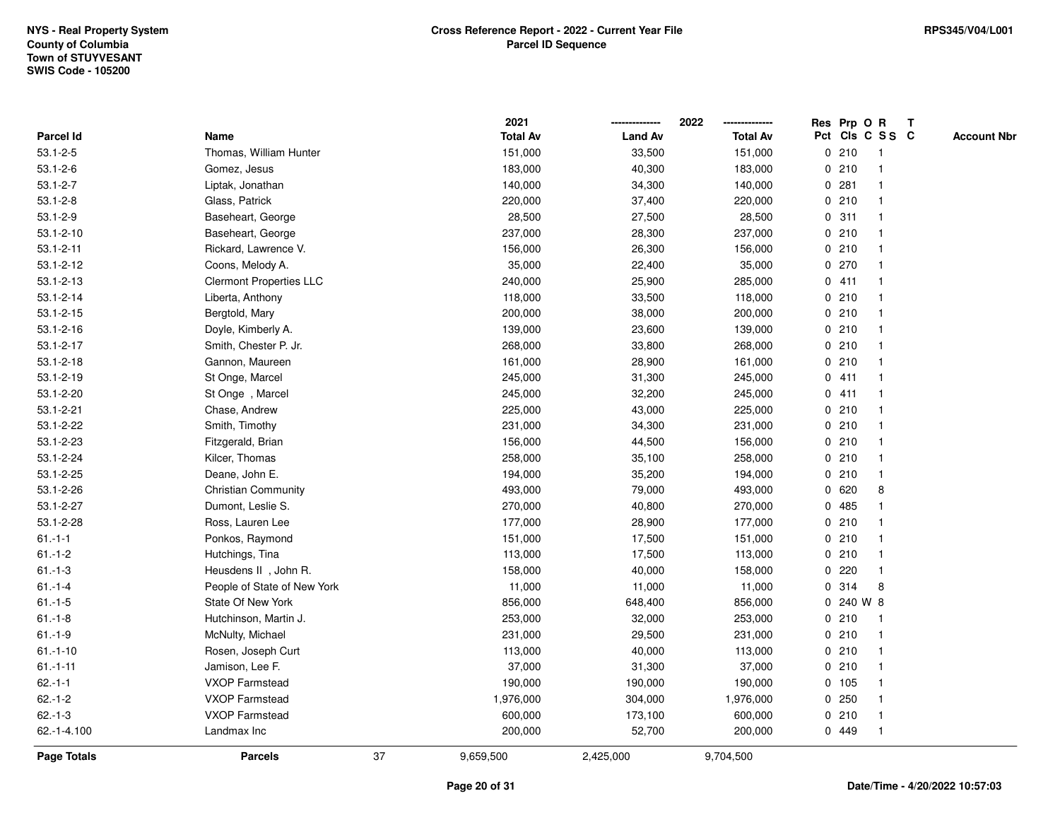|                 |                                |    | 2021            |                | 2022            |   |        | Res Prp O R     | Т |                    |
|-----------------|--------------------------------|----|-----------------|----------------|-----------------|---|--------|-----------------|---|--------------------|
| Parcel Id       | Name                           |    | <b>Total Av</b> | <b>Land Av</b> | <b>Total Av</b> |   |        | Pct Cls C S S C |   | <b>Account Nbr</b> |
| $53.1 - 2 - 5$  | Thomas, William Hunter         |    | 151,000         | 33,500         | 151,000         |   | 0210   | $\mathbf 1$     |   |                    |
| $53.1 - 2 - 6$  | Gomez, Jesus                   |    | 183,000         | 40,300         | 183,000         | 0 | 210    |                 |   |                    |
| $53.1 - 2 - 7$  | Liptak, Jonathan               |    | 140,000         | 34,300         | 140,000         |   | 0.281  |                 |   |                    |
| $53.1 - 2 - 8$  | Glass, Patrick                 |    | 220,000         | 37,400         | 220,000         |   | 0210   |                 |   |                    |
| $53.1 - 2 - 9$  | Baseheart, George              |    | 28,500          | 27,500         | 28,500          |   | 0.311  |                 |   |                    |
| $53.1 - 2 - 10$ | Baseheart, George              |    | 237,000         | 28,300         | 237,000         |   | 0210   |                 |   |                    |
| $53.1 - 2 - 11$ | Rickard, Lawrence V.           |    | 156,000         | 26,300         | 156,000         |   | 0210   |                 |   |                    |
| $53.1 - 2 - 12$ | Coons, Melody A.               |    | 35,000          | 22,400         | 35,000          |   | 0270   |                 |   |                    |
| $53.1 - 2 - 13$ | <b>Clermont Properties LLC</b> |    | 240,000         | 25,900         | 285,000         |   | 0411   |                 |   |                    |
| $53.1 - 2 - 14$ | Liberta, Anthony               |    | 118,000         | 33,500         | 118,000         |   | 0210   |                 |   |                    |
| $53.1 - 2 - 15$ | Bergtold, Mary                 |    | 200,000         | 38,000         | 200,000         |   | 0210   |                 |   |                    |
| $53.1 - 2 - 16$ | Doyle, Kimberly A.             |    | 139,000         | 23,600         | 139,000         |   | 0210   |                 |   |                    |
| $53.1 - 2 - 17$ | Smith, Chester P. Jr.          |    | 268,000         | 33,800         | 268,000         |   | 0210   |                 |   |                    |
| $53.1 - 2 - 18$ | Gannon, Maureen                |    | 161,000         | 28,900         | 161,000         |   | 0210   |                 |   |                    |
| $53.1 - 2 - 19$ | St Onge, Marcel                |    | 245,000         | 31,300         | 245,000         |   | 0411   |                 |   |                    |
| 53.1-2-20       | St Onge, Marcel                |    | 245,000         | 32,200         | 245,000         |   | 0411   |                 |   |                    |
| $53.1 - 2 - 21$ | Chase, Andrew                  |    | 225,000         | 43,000         | 225,000         |   | 0210   |                 |   |                    |
| 53.1-2-22       | Smith, Timothy                 |    | 231,000         | 34,300         | 231,000         |   | 0210   |                 |   |                    |
| 53.1-2-23       | Fitzgerald, Brian              |    | 156,000         | 44,500         | 156,000         |   | 0210   |                 |   |                    |
| 53.1-2-24       | Kilcer, Thomas                 |    | 258,000         | 35,100         | 258,000         |   | 0210   |                 |   |                    |
| 53.1-2-25       | Deane, John E.                 |    | 194,000         | 35,200         | 194,000         |   | 0210   |                 |   |                    |
| 53.1-2-26       | <b>Christian Community</b>     |    | 493,000         | 79,000         | 493,000         | 0 | 620    | 8               |   |                    |
| 53.1-2-27       | Dumont, Leslie S.              |    | 270,000         | 40,800         | 270,000         | 0 | 485    |                 |   |                    |
| 53.1-2-28       | Ross, Lauren Lee               |    | 177,000         | 28,900         | 177,000         | 0 | 210    |                 |   |                    |
| $61 - 1 - 1$    | Ponkos, Raymond                |    | 151,000         | 17,500         | 151,000         |   | 0210   |                 |   |                    |
| $61 - 1 - 2$    | Hutchings, Tina                |    | 113,000         | 17,500         | 113,000         |   | 0210   |                 |   |                    |
| $61 - 1 - 3$    | Heusdens II, John R.           |    | 158,000         | 40,000         | 158,000         |   | 0.220  |                 |   |                    |
| $61 - 1 - 4$    | People of State of New York    |    | 11,000          | 11,000         | 11,000          | 0 | 314    | 8               |   |                    |
| $61.-1-5$       | State Of New York              |    | 856,000         | 648,400        | 856,000         | 0 |        | 240 W 8         |   |                    |
| $61.-1-8$       | Hutchinson, Martin J.          |    | 253,000         | 32,000         | 253,000         | 0 | 210    | $\mathbf 1$     |   |                    |
| $61.-1-9$       | McNulty, Michael               |    | 231,000         | 29,500         | 231,000         |   | 0210   |                 |   |                    |
| $61.-1-10$      | Rosen, Joseph Curt             |    | 113,000         | 40,000         | 113,000         |   | 0210   |                 |   |                    |
| $61.-1-11$      | Jamison, Lee F.                |    | 37,000          | 31,300         | 37,000          |   | 0210   |                 |   |                    |
| $62.-1-1$       | <b>VXOP Farmstead</b>          |    | 190,000         | 190,000        | 190,000         |   | 0, 105 |                 |   |                    |
| $62.-1-2$       | VXOP Farmstead                 |    | 1,976,000       | 304,000        | 1,976,000       |   | 0.250  |                 |   |                    |
| $62 - 1 - 3$    | <b>VXOP Farmstead</b>          |    | 600,000         | 173,100        | 600,000         |   | 0210   |                 |   |                    |
| 62.-1-4.100     | Landmax Inc                    |    | 200,000         | 52,700         | 200,000         |   | 0 449  |                 |   |                    |
| Page Totals     | <b>Parcels</b>                 | 37 | 9,659,500       | 2,425,000      | 9,704,500       |   |        |                 |   |                    |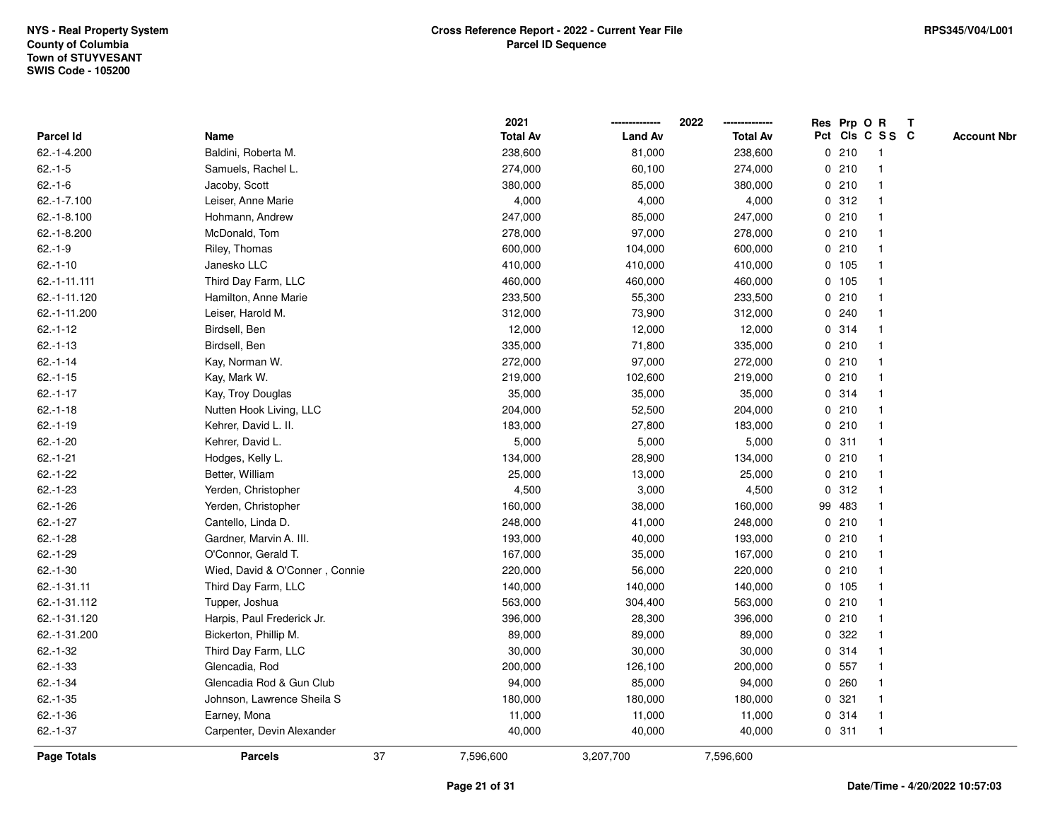|                  |                                |    | 2021            |                | 2022            |             |        | Res Prp O R     | T |                    |
|------------------|--------------------------------|----|-----------------|----------------|-----------------|-------------|--------|-----------------|---|--------------------|
| <b>Parcel Id</b> | Name                           |    | <b>Total Av</b> | <b>Land Av</b> | <b>Total Av</b> |             |        | Pct Cls C S S C |   | <b>Account Nbr</b> |
| 62.-1-4.200      | Baldini, Roberta M.            |    | 238,600         | 81,000         | 238,600         | 0           | 210    | $\mathbf{1}$    |   |                    |
| $62.-1-5$        | Samuels, Rachel L.             |    | 274,000         | 60,100         | 274,000         | 0           | 210    | -1              |   |                    |
| $62.-1-6$        | Jacoby, Scott                  |    | 380,000         | 85,000         | 380,000         |             | 0210   | $\mathbf 1$     |   |                    |
| 62.-1-7.100      | Leiser, Anne Marie             |    | 4,000           | 4,000          | 4,000           |             | 0.312  |                 |   |                    |
| $62.-1-8.100$    | Hohmann, Andrew                |    | 247,000         | 85,000         | 247,000         |             | 0210   |                 |   |                    |
| 62.-1-8.200      | McDonald, Tom                  |    | 278,000         | 97,000         | 278,000         |             | 0210   |                 |   |                    |
| $62.-1-9$        | Riley, Thomas                  |    | 600,000         | 104,000        | 600,000         |             | 0210   |                 |   |                    |
| $62.-1-10$       | Janesko LLC                    |    | 410,000         | 410,000        | 410,000         |             | 0 105  |                 |   |                    |
| 62.-1-11.111     | Third Day Farm, LLC            |    | 460,000         | 460,000        | 460,000         |             | 0 105  | -1              |   |                    |
| 62.-1-11.120     | Hamilton, Anne Marie           |    | 233,500         | 55,300         | 233,500         |             | 0210   | -1              |   |                    |
| 62.-1-11.200     | Leiser, Harold M.              |    | 312,000         | 73,900         | 312,000         |             | 0.240  |                 |   |                    |
| $62.-1-12$       | Birdsell, Ben                  |    | 12,000          | 12,000         | 12,000          |             | 0.314  |                 |   |                    |
| $62.-1-13$       | Birdsell, Ben                  |    | 335,000         | 71,800         | 335,000         |             | 0210   |                 |   |                    |
| $62.-1-14$       | Kay, Norman W.                 |    | 272,000         | 97,000         | 272,000         |             | 0210   |                 |   |                    |
| $62.-1-15$       | Kay, Mark W.                   |    | 219,000         | 102,600        | 219,000         | $\mathbf 0$ | 210    |                 |   |                    |
| $62.-1-17$       | Kay, Troy Douglas              |    | 35,000          | 35,000         | 35,000          |             | 0.314  | $\mathbf{1}$    |   |                    |
| $62.-1-18$       | Nutten Hook Living, LLC        |    | 204,000         | 52,500         | 204,000         |             | 0210   | $\mathbf{1}$    |   |                    |
| $62.-1-19$       | Kehrer, David L. II.           |    | 183,000         | 27,800         | 183,000         |             | 0210   |                 |   |                    |
| $62.-1-20$       | Kehrer, David L.               |    | 5,000           | 5,000          | 5,000           |             | 0.311  |                 |   |                    |
| $62.-1-21$       | Hodges, Kelly L.               |    | 134,000         | 28,900         | 134,000         |             | 0210   |                 |   |                    |
| $62.-1-22$       | Better, William                |    | 25,000          | 13,000         | 25,000          |             | 0210   |                 |   |                    |
| $62.-1-23$       | Yerden, Christopher            |    | 4,500           | 3,000          | 4,500           | 0           | 312    |                 |   |                    |
| $62.-1-26$       | Yerden, Christopher            |    | 160,000         | 38,000         | 160,000         |             | 99 483 | -1              |   |                    |
| $62.-1-27$       | Cantello, Linda D.             |    | 248,000         | 41,000         | 248,000         | $\mathbf 0$ | 210    |                 |   |                    |
| $62.-1-28$       | Gardner, Marvin A. III.        |    | 193,000         | 40,000         | 193,000         |             | 0210   |                 |   |                    |
| $62.-1-29$       | O'Connor, Gerald T.            |    | 167,000         | 35,000         | 167,000         |             | 0210   |                 |   |                    |
| $62.-1-30$       | Wied, David & O'Conner, Connie |    | 220,000         | 56,000         | 220,000         |             | 0210   |                 |   |                    |
| 62.-1-31.11      | Third Day Farm, LLC            |    | 140,000         | 140,000        | 140,000         |             | 0 105  |                 |   |                    |
| 62.-1-31.112     | Tupper, Joshua                 |    | 563,000         | 304,400        | 563,000         |             | 0210   |                 |   |                    |
| 62.-1-31.120     | Harpis, Paul Frederick Jr.     |    | 396,000         | 28,300         | 396,000         | 0           | 210    |                 |   |                    |
| 62.-1-31.200     | Bickerton, Phillip M.          |    | 89,000          | 89,000         | 89,000          | 0           | 322    |                 |   |                    |
| $62.-1-32$       | Third Day Farm, LLC            |    | 30,000          | 30,000         | 30,000          |             | 0 314  | $\mathbf 1$     |   |                    |
| $62.-1-33$       | Glencadia, Rod                 |    | 200,000         | 126,100        | 200,000         |             | 0 557  |                 |   |                    |
| $62.-1-34$       | Glencadia Rod & Gun Club       |    | 94,000          | 85,000         | 94,000          |             | 0.260  |                 |   |                    |
| $62 - 1 - 35$    | Johnson, Lawrence Sheila S     |    | 180,000         | 180,000        | 180,000         |             | 0.321  |                 |   |                    |
| $62.-1-36$       | Earney, Mona                   |    | 11,000          | 11,000         | 11,000          |             | 0.314  | -1              |   |                    |
| $62.-1-37$       | Carpenter, Devin Alexander     |    | 40,000          | 40,000         | 40,000          |             | 0.311  | $\mathbf{1}$    |   |                    |
| Page Totals      | <b>Parcels</b>                 | 37 | 7,596,600       | 3,207,700      | 7,596,600       |             |        |                 |   |                    |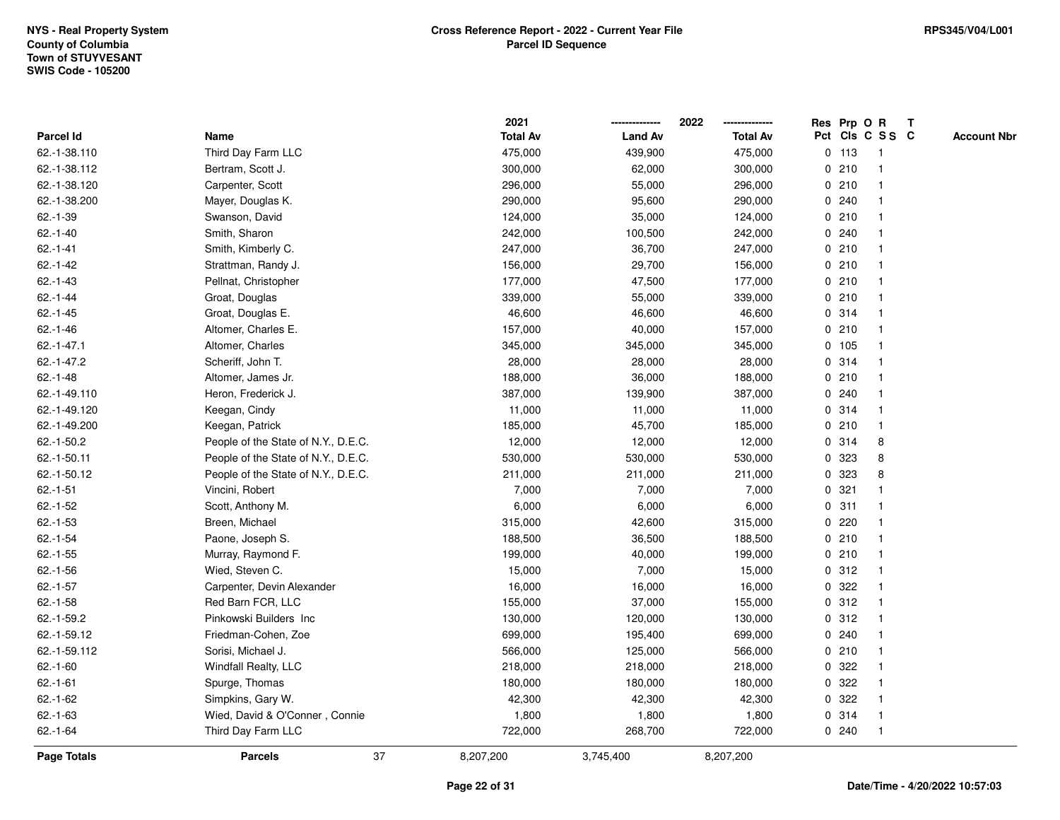|               |                                     |    | 2021            |                | 2022            |             |         | Res Prp O R             | T |                    |
|---------------|-------------------------------------|----|-----------------|----------------|-----------------|-------------|---------|-------------------------|---|--------------------|
| Parcel Id     | Name                                |    | <b>Total Av</b> | <b>Land Av</b> | <b>Total Av</b> |             |         | Pct Cls C S S C         |   | <b>Account Nbr</b> |
| 62.-1-38.110  | Third Day Farm LLC                  |    | 475,000         | 439,900        | 475,000         |             | $0$ 113 | $\mathbf{1}$            |   |                    |
| 62.-1-38.112  | Bertram, Scott J.                   |    | 300,000         | 62,000         | 300,000         | 0           | 210     | -1                      |   |                    |
| 62.-1-38.120  | Carpenter, Scott                    |    | 296,000         | 55,000         | 296,000         |             | 0210    | $\mathbf 1$             |   |                    |
| 62.-1-38.200  | Mayer, Douglas K.                   |    | 290,000         | 95,600         | 290,000         |             | 0.240   |                         |   |                    |
| $62.-1-39$    | Swanson, David                      |    | 124,000         | 35,000         | 124,000         |             | 0210    |                         |   |                    |
| $62 - 1 - 40$ | Smith, Sharon                       |    | 242,000         | 100,500        | 242,000         |             | 0.240   |                         |   |                    |
| $62.-1-41$    | Smith, Kimberly C.                  |    | 247,000         | 36,700         | 247,000         |             | 0210    |                         |   |                    |
| $62.-1-42$    | Strattman, Randy J.                 |    | 156,000         | 29,700         | 156,000         | 0           | 210     |                         |   |                    |
| $62.-1-43$    | Pellnat, Christopher                |    | 177,000         | 47,500         | 177,000         |             | 0210    | -1                      |   |                    |
| $62 - 1 - 44$ | Groat, Douglas                      |    | 339,000         | 55,000         | 339,000         |             | 0210    | $\mathbf 1$             |   |                    |
| $62 - 1 - 45$ | Groat, Douglas E.                   |    | 46,600          | 46,600         | 46,600          |             | 0.314   |                         |   |                    |
| $62.-1-46$    | Altomer, Charles E.                 |    | 157,000         | 40,000         | 157,000         |             | 0210    |                         |   |                    |
| $62.-1-47.1$  | Altomer, Charles                    |    | 345,000         | 345,000        | 345,000         |             | 0 105   |                         |   |                    |
| $62.-1-47.2$  | Scheriff, John T.                   |    | 28,000          | 28,000         | 28,000          |             | 0.314   |                         |   |                    |
| $62.-1-48$    | Altomer, James Jr.                  |    | 188,000         | 36,000         | 188,000         |             | 0210    |                         |   |                    |
| 62.-1-49.110  | Heron, Frederick J.                 |    | 387,000         | 139,900        | 387,000         |             | 0.240   | $\overline{\mathbf{1}}$ |   |                    |
| 62.-1-49.120  | Keegan, Cindy                       |    | 11,000          | 11,000         | 11,000          |             | 0 314   | $\mathbf{1}$            |   |                    |
| 62.-1-49.200  | Keegan, Patrick                     |    | 185,000         | 45,700         | 185,000         |             | 0210    |                         |   |                    |
| 62.-1-50.2    | People of the State of N.Y., D.E.C. |    | 12,000          | 12,000         | 12,000          |             | 0 314   | 8                       |   |                    |
| 62.-1-50.11   | People of the State of N.Y., D.E.C. |    | 530,000         | 530,000        | 530,000         | 0           | 323     | 8                       |   |                    |
| 62.-1-50.12   | People of the State of N.Y., D.E.C. |    | 211,000         | 211,000        | 211,000         |             | 0 323   | 8                       |   |                    |
| $62.-1-51$    | Vincini, Robert                     |    | 7,000           | 7,000          | 7,000           |             | 0.321   |                         |   |                    |
| $62.-1-52$    | Scott, Anthony M.                   |    | 6,000           | 6,000          | 6,000           |             | 0.311   | $\mathbf 1$             |   |                    |
| $62.-1-53$    | Breen, Michael                      |    | 315,000         | 42,600         | 315,000         | $\mathbf 0$ | 220     |                         |   |                    |
| $62.-1-54$    | Paone, Joseph S.                    |    | 188,500         | 36,500         | 188,500         |             | 0210    |                         |   |                    |
| $62.-1-55$    | Murray, Raymond F.                  |    | 199,000         | 40,000         | 199,000         |             | 0210    |                         |   |                    |
| $62.-1-56$    | Wied, Steven C.                     |    | 15,000          | 7,000          | 15,000          |             | 0.312   |                         |   |                    |
| $62.-1-57$    | Carpenter, Devin Alexander          |    | 16,000          | 16,000         | 16,000          |             | 0.322   |                         |   |                    |
| $62.-1-58$    | Red Barn FCR, LLC                   |    | 155,000         | 37,000         | 155,000         | $\mathbf 0$ | 312     |                         |   |                    |
| 62.-1-59.2    | Pinkowski Builders Inc              |    | 130,000         | 120,000        | 130,000         | 0           | 312     | -1                      |   |                    |
| 62.-1-59.12   | Friedman-Cohen, Zoe                 |    | 699,000         | 195,400        | 699,000         |             | 0.240   | -1                      |   |                    |
| 62.-1-59.112  | Sorisi, Michael J.                  |    | 566,000         | 125,000        | 566,000         |             | 0210    | $\mathbf 1$             |   |                    |
| $62.-1-60$    | Windfall Realty, LLC                |    | 218,000         | 218,000        | 218,000         |             | 0.322   |                         |   |                    |
| $62.-1-61$    | Spurge, Thomas                      |    | 180,000         | 180,000        | 180,000         |             | 0 322   |                         |   |                    |
| $62 - 1 - 62$ | Simpkins, Gary W.                   |    | 42,300          | 42,300         | 42,300          |             | 0 322   |                         |   |                    |
| $62.-1-63$    | Wied, David & O'Conner, Connie      |    | 1,800           | 1,800          | 1,800           |             | 0.314   | -1                      |   |                    |
| $62.-1-64$    | Third Day Farm LLC                  |    | 722,000         | 268,700        | 722,000         |             | 0.240   | $\mathbf{1}$            |   |                    |
| Page Totals   | <b>Parcels</b>                      | 37 | 8,207,200       | 3,745,400      | 8,207,200       |             |         |                         |   |                    |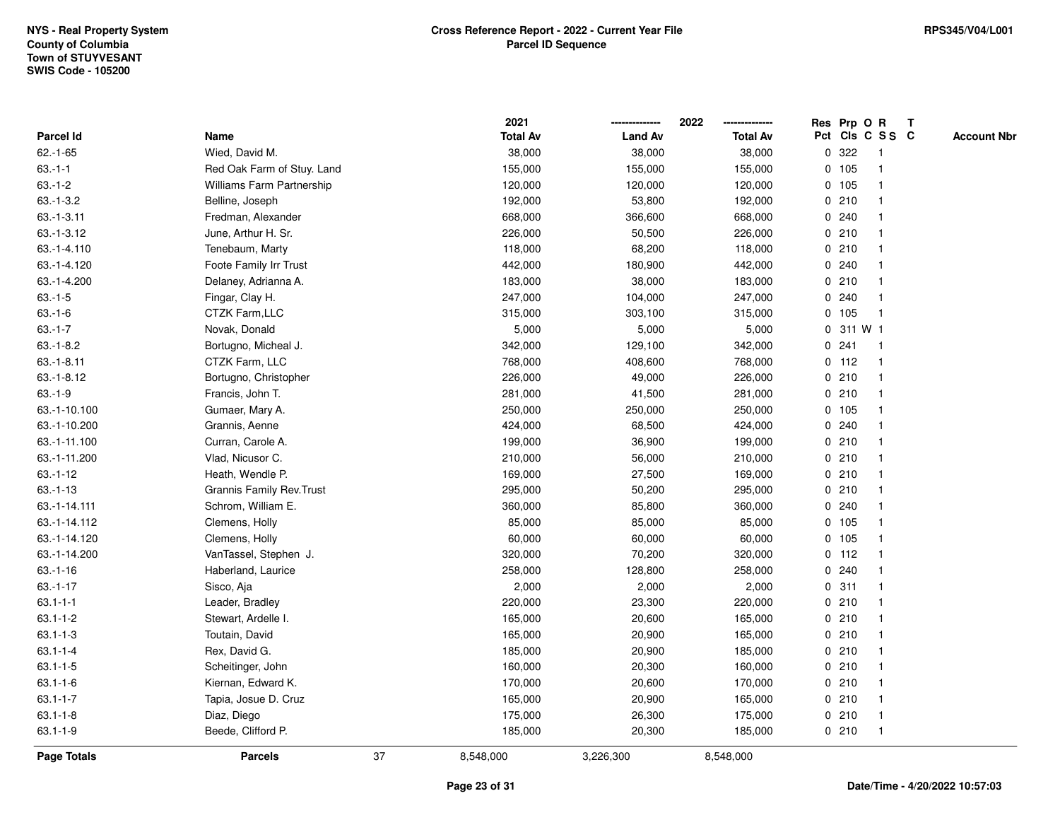|                    |                                  |    | 2021            |                | 2022            | Res Prp O R     |                         | T |                    |
|--------------------|----------------------------------|----|-----------------|----------------|-----------------|-----------------|-------------------------|---|--------------------|
| Parcel Id          | Name                             |    | <b>Total Av</b> | <b>Land Av</b> | <b>Total Av</b> | Pct Cls C S S C |                         |   | <b>Account Nbr</b> |
| $62.-1-65$         | Wied, David M.                   |    | 38,000          | 38,000         | 38,000          | 0.322           | $\overline{\mathbf{1}}$ |   |                    |
| $63.-1-1$          | Red Oak Farm of Stuy. Land       |    | 155,000         | 155,000        | 155,000         | 0 105           | $\overline{\mathbf{1}}$ |   |                    |
| $63.-1-2$          | <b>Williams Farm Partnership</b> |    | 120,000         | 120,000        | 120,000         | 0 105           | 1                       |   |                    |
| $63.-1-3.2$        | Belline, Joseph                  |    | 192,000         | 53,800         | 192,000         | 0210            | -1                      |   |                    |
| $63.-1-3.11$       | Fredman, Alexander               |    | 668,000         | 366,600        | 668,000         | 0.240           |                         |   |                    |
| $63.-1-3.12$       | June, Arthur H. Sr.              |    | 226,000         | 50,500         | 226,000         | 0210            |                         |   |                    |
| 63.-1-4.110        | Tenebaum, Marty                  |    | 118,000         | 68,200         | 118,000         | 0210            |                         |   |                    |
| 63.-1-4.120        | Foote Family Irr Trust           |    | 442,000         | 180,900        | 442,000         | 0.240           | $\overline{\mathbf{1}}$ |   |                    |
| 63.-1-4.200        | Delaney, Adrianna A.             |    | 183,000         | 38,000         | 183,000         | 0210            | -1                      |   |                    |
| $63.-1-5$          | Fingar, Clay H.                  |    | 247,000         | 104,000        | 247,000         | 0.240           | -1                      |   |                    |
| $63.-1-6$          | CTZK Farm, LLC                   |    | 315,000         | 303,100        | 315,000         | 0 105           | -1                      |   |                    |
| $63.-1-7$          | Novak, Donald                    |    | 5,000           | 5,000          | 5,000           | 0 311 W 1       |                         |   |                    |
| $63.-1-8.2$        | Bortugno, Micheal J.             |    | 342,000         | 129,100        | 342,000         | 0.241           | -1                      |   |                    |
| $63.-1-8.11$       | CTZK Farm, LLC                   |    | 768,000         | 408,600        | 768,000         | $0$ 112         | $\overline{\mathbf{1}}$ |   |                    |
| $63.-1-8.12$       | Bortugno, Christopher            |    | 226,000         | 49,000         | 226,000         | 0210            | $\mathbf{1}$            |   |                    |
| $63.-1-9$          | Francis, John T.                 |    | 281,000         | 41,500         | 281,000         | 0210            | -1                      |   |                    |
| 63.-1-10.100       | Gumaer, Mary A.                  |    | 250,000         | 250,000        | 250,000         | 0, 105          | -1                      |   |                    |
| 63.-1-10.200       | Grannis, Aenne                   |    | 424,000         | 68,500         | 424,000         | 0.240           |                         |   |                    |
| 63.-1-11.100       | Curran, Carole A.                |    | 199,000         | 36,900         | 199,000         | 0210            |                         |   |                    |
| 63.-1-11.200       | Vlad, Nicusor C.                 |    | 210,000         | 56,000         | 210,000         | 0210            |                         |   |                    |
| $63.-1-12$         | Heath, Wendle P.                 |    | 169,000         | 27,500         | 169,000         | 0210            | $\overline{1}$          |   |                    |
| $63.-1-13$         | <b>Grannis Family Rev. Trust</b> |    | 295,000         | 50,200         | 295,000         | 0210            | -1                      |   |                    |
| 63.-1-14.111       | Schrom, William E.               |    | 360,000         | 85,800         | 360,000         | 0.240           | -1                      |   |                    |
| 63.-1-14.112       | Clemens, Holly                   |    | 85,000          | 85,000         | 85,000          | 0 105           | -1                      |   |                    |
| 63.-1-14.120       | Clemens, Holly                   |    | 60,000          | 60,000         | 60,000          | 0 105           |                         |   |                    |
| 63.-1-14.200       | VanTassel, Stephen J.            |    | 320,000         | 70,200         | 320,000         | $0$ 112         |                         |   |                    |
| $63.-1-16$         | Haberland, Laurice               |    | 258,000         | 128,800        | 258,000         | 0.240           |                         |   |                    |
| $63.-1-17$         | Sisco, Aja                       |    | 2,000           | 2,000          | 2,000           | 0.311           | -1                      |   |                    |
| $63.1 - 1 - 1$     | Leader, Bradley                  |    | 220,000         | 23,300         | 220,000         | 0210            | -1                      |   |                    |
| $63.1 - 1 - 2$     | Stewart, Ardelle I.              |    | 165,000         | 20,600         | 165,000         | 0210            | -1                      |   |                    |
| $63.1 - 1 - 3$     | Toutain, David                   |    | 165,000         | 20,900         | 165,000         | 0210            |                         |   |                    |
| $63.1 - 1 - 4$     | Rex, David G.                    |    | 185,000         | 20,900         | 185,000         | 0210            |                         |   |                    |
| $63.1 - 1 - 5$     | Scheitinger, John                |    | 160,000         | 20,300         | 160,000         | 0210            |                         |   |                    |
| $63.1 - 1 - 6$     | Kiernan, Edward K.               |    | 170,000         | 20,600         | 170,000         | 0210            | $\mathbf{1}$            |   |                    |
| $63.1 - 1 - 7$     | Tapia, Josue D. Cruz             |    | 165,000         | 20,900         | 165,000         | 0210            | -1                      |   |                    |
| $63.1 - 1 - 8$     | Diaz, Diego                      |    | 175,000         | 26,300         | 175,000         | 0210            | $\overline{\mathbf{1}}$ |   |                    |
| $63.1 - 1 - 9$     | Beede, Clifford P.               |    | 185,000         | 20,300         | 185,000         | 0210            | $\overline{\mathbf{1}}$ |   |                    |
| <b>Page Totals</b> | <b>Parcels</b>                   | 37 | 8,548,000       | 3,226,300      | 8,548,000       |                 |                         |   |                    |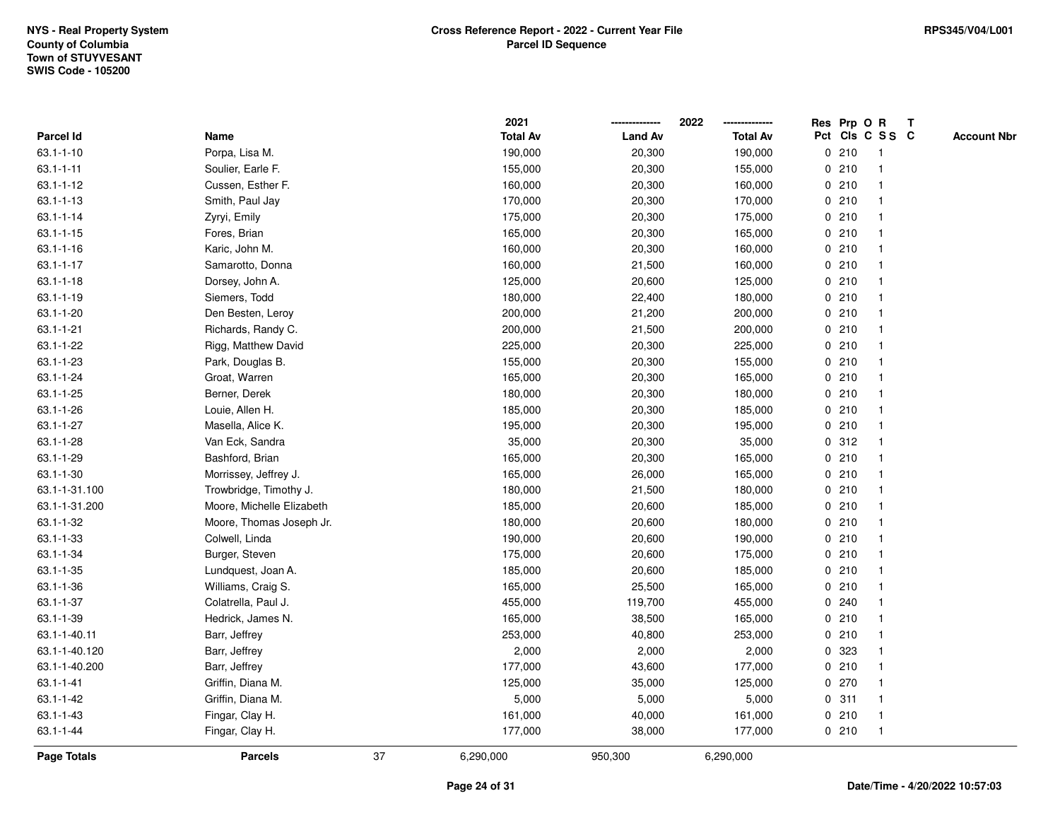|                    |                           |    | 2021            |                | 2022            | Res Prp O R |                         | Т |                    |
|--------------------|---------------------------|----|-----------------|----------------|-----------------|-------------|-------------------------|---|--------------------|
| Parcel Id          | Name                      |    | <b>Total Av</b> | <b>Land Av</b> | <b>Total Av</b> |             | Pct Cls C S S C         |   | <b>Account Nbr</b> |
| $63.1 - 1 - 10$    | Porpa, Lisa M.            |    | 190,000         | 20,300         | 190,000         | 0210        | $\overline{\mathbf{1}}$ |   |                    |
| $63.1 - 1 - 11$    | Soulier, Earle F.         |    | 155,000         | 20,300         | 155,000         | 0210        | $\overline{\mathbf{1}}$ |   |                    |
| $63.1 - 1 - 12$    | Cussen, Esther F.         |    | 160,000         | 20,300         | 160,000         | 0210        | -1                      |   |                    |
| $63.1 - 1 - 13$    | Smith, Paul Jay           |    | 170,000         | 20,300         | 170,000         | 0210        |                         |   |                    |
| $63.1 - 1 - 14$    | Zyryi, Emily              |    | 175,000         | 20,300         | 175,000         | 0210        |                         |   |                    |
| $63.1 - 1 - 15$    | Fores, Brian              |    | 165,000         | 20,300         | 165,000         | 0210        |                         |   |                    |
| $63.1 - 1 - 16$    | Karic, John M.            |    | 160,000         | 20,300         | 160,000         | 0210        |                         |   |                    |
| $63.1 - 1 - 17$    | Samarotto, Donna          |    | 160,000         | 21,500         | 160,000         | 0210        | $\overline{\mathbf{1}}$ |   |                    |
| $63.1 - 1 - 18$    | Dorsey, John A.           |    | 125,000         | 20,600         | 125,000         | 0210        | -1                      |   |                    |
| $63.1 - 1 - 19$    | Siemers, Todd             |    | 180,000         | 22,400         | 180,000         | 0210        | $\mathbf{1}$            |   |                    |
| $63.1 - 1 - 20$    | Den Besten, Leroy         |    | 200,000         | 21,200         | 200,000         | 0210        |                         |   |                    |
| $63.1 - 1 - 21$    | Richards, Randy C.        |    | 200,000         | 21,500         | 200,000         | 0210        |                         |   |                    |
| 63.1-1-22          | Rigg, Matthew David       |    | 225,000         | 20,300         | 225,000         | 0210        |                         |   |                    |
| 63.1-1-23          | Park, Douglas B.          |    | 155,000         | 20,300         | 155,000         | 0210        |                         |   |                    |
| $63.1 - 1 - 24$    | Groat, Warren             |    | 165,000         | 20,300         | 165,000         | 0210        |                         |   |                    |
| $63.1 - 1 - 25$    | Berner, Derek             |    | 180,000         | 20,300         | 180,000         | 0210        | $\overline{\mathbf{1}}$ |   |                    |
| $63.1 - 1 - 26$    | Louie, Allen H.           |    | 185,000         | 20,300         | 185,000         | 0210        |                         |   |                    |
| 63.1-1-27          | Masella, Alice K.         |    | 195,000         | 20,300         | 195,000         | 0210        |                         |   |                    |
| 63.1-1-28          | Van Eck, Sandra           |    | 35,000          | 20,300         | 35,000          | 0.312       |                         |   |                    |
| 63.1-1-29          | Bashford, Brian           |    | 165,000         | 20,300         | 165,000         | 0210        |                         |   |                    |
| $63.1 - 1 - 30$    | Morrissey, Jeffrey J.     |    | 165,000         | 26,000         | 165,000         | 0210        |                         |   |                    |
| 63.1-1-31.100      | Trowbridge, Timothy J.    |    | 180,000         | 21,500         | 180,000         | 0210        | -1                      |   |                    |
| 63.1-1-31.200      | Moore, Michelle Elizabeth |    | 185,000         | 20,600         | 185,000         | 0210        | $\overline{\mathbf{1}}$ |   |                    |
| 63.1-1-32          | Moore, Thomas Joseph Jr.  |    | 180,000         | 20,600         | 180,000         | 0210        |                         |   |                    |
| 63.1-1-33          | Colwell, Linda            |    | 190,000         | 20,600         | 190,000         | 0210        |                         |   |                    |
| 63.1-1-34          | Burger, Steven            |    | 175,000         | 20,600         | 175,000         | 0210        |                         |   |                    |
| $63.1 - 1 - 35$    | Lundquest, Joan A.        |    | 185,000         | 20,600         | 185,000         | 0210        |                         |   |                    |
| 63.1-1-36          | Williams, Craig S.        |    | 165,000         | 25,500         | 165,000         | 0210        |                         |   |                    |
| 63.1-1-37          | Colatrella, Paul J.       |    | 455,000         | 119,700        | 455,000         | 0.240       |                         |   |                    |
| 63.1-1-39          | Hedrick, James N.         |    | 165,000         | 38,500         | 165,000         | 0210        | -1                      |   |                    |
| 63.1-1-40.11       | Barr, Jeffrey             |    | 253,000         | 40,800         | 253,000         | 0210        | -1                      |   |                    |
| 63.1-1-40.120      | Barr, Jeffrey             |    | 2,000           | 2,000          | 2,000           | 0 323       |                         |   |                    |
| 63.1-1-40.200      | Barr, Jeffrey             |    | 177,000         | 43,600         | 177,000         | 0210        |                         |   |                    |
| $63.1 - 1 - 41$    | Griffin, Diana M.         |    | 125,000         | 35,000         | 125,000         | $0$ 270     |                         |   |                    |
| $63.1 - 1 - 42$    | Griffin, Diana M.         |    | 5,000           | 5,000          | 5,000           | 0.311       | -1                      |   |                    |
| $63.1 - 1 - 43$    | Fingar, Clay H.           |    | 161,000         | 40,000         | 161,000         | 0210        | $\overline{\mathbf{1}}$ |   |                    |
| 63.1-1-44          | Fingar, Clay H.           |    | 177,000         | 38,000         | 177,000         | 0210        | $\overline{1}$          |   |                    |
| <b>Page Totals</b> | <b>Parcels</b>            | 37 | 6,290,000       | 950,300        | 6,290,000       |             |                         |   |                    |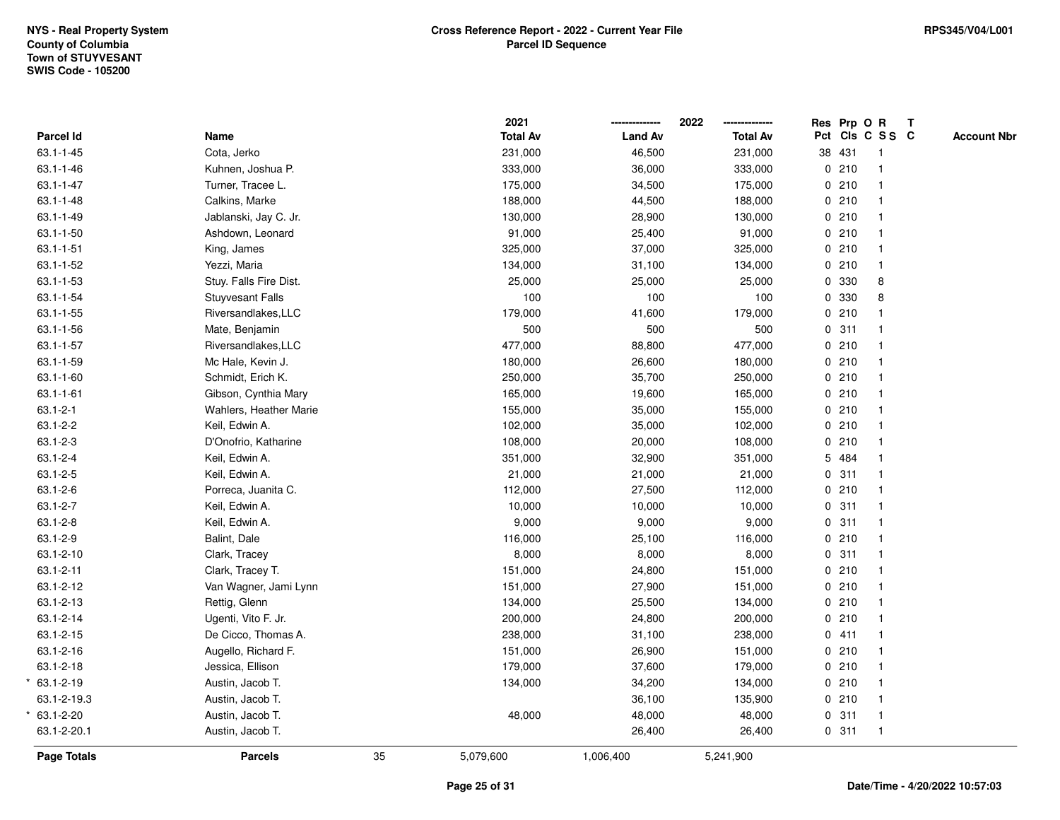|                 |                         |    | 2021            |                | 2022            |             | Res Prp O R |                         | $\mathbf{T}$ |                    |
|-----------------|-------------------------|----|-----------------|----------------|-----------------|-------------|-------------|-------------------------|--------------|--------------------|
| Parcel Id       | Name                    |    | <b>Total Av</b> | <b>Land Av</b> | <b>Total Av</b> |             |             | Pct Cls C S S C         |              | <b>Account Nbr</b> |
| $63.1 - 1 - 45$ | Cota, Jerko             |    | 231,000         | 46,500         | 231,000         |             | 38 431      | $\overline{1}$          |              |                    |
| $63.1 - 1 - 46$ | Kuhnen, Joshua P.       |    | 333,000         | 36,000         | 333,000         |             | 0210        | $\mathbf{1}$            |              |                    |
| $63.1 - 1 - 47$ | Turner, Tracee L.       |    | 175,000         | 34,500         | 175,000         |             | 0210        | $\mathbf{1}$            |              |                    |
| $63.1 - 1 - 48$ | Calkins, Marke          |    | 188,000         | 44,500         | 188,000         |             | 0210        |                         |              |                    |
| 63.1-1-49       | Jablanski, Jay C. Jr.   |    | 130,000         | 28,900         | 130,000         |             | 0210        |                         |              |                    |
| $63.1 - 1 - 50$ | Ashdown, Leonard        |    | 91,000          | 25,400         | 91,000          |             | 0210        |                         |              |                    |
| $63.1 - 1 - 51$ | King, James             |    | 325,000         | 37,000         | 325,000         |             | 0210        |                         |              |                    |
| $63.1 - 1 - 52$ | Yezzi, Maria            |    | 134,000         | 31,100         | 134,000         |             | 0210        | $\overline{\mathbf{1}}$ |              |                    |
| $63.1 - 1 - 53$ | Stuy. Falls Fire Dist.  |    | 25,000          | 25,000         | 25,000          |             | 0 330       | 8                       |              |                    |
| 63.1-1-54       | <b>Stuyvesant Falls</b> |    | 100             | 100            | 100             |             | 0 330       | 8                       |              |                    |
| $63.1 - 1 - 55$ | Riversandlakes, LLC     |    | 179,000         | 41,600         | 179,000         |             | 0210        |                         |              |                    |
| $63.1 - 1 - 56$ | Mate, Benjamin          |    | 500             | 500            | 500             |             | 0.311       |                         |              |                    |
| $63.1 - 1 - 57$ | Riversandlakes, LLC     |    | 477,000         | 88,800         | 477,000         |             | 0210        |                         |              |                    |
| 63.1-1-59       | Mc Hale, Kevin J.       |    | 180,000         | 26,600         | 180,000         |             | 0210        |                         |              |                    |
| 63.1-1-60       | Schmidt, Erich K.       |    | 250,000         | 35,700         | 250,000         |             | 0210        | $\overline{\mathbf{1}}$ |              |                    |
| $63.1 - 1 - 61$ | Gibson, Cynthia Mary    |    | 165,000         | 19,600         | 165,000         |             | 0210        | $\overline{1}$          |              |                    |
| $63.1 - 2 - 1$  | Wahlers, Heather Marie  |    | 155,000         | 35,000         | 155,000         |             | 0210        | $\overline{1}$          |              |                    |
| $63.1 - 2 - 2$  | Keil, Edwin A.          |    | 102,000         | 35,000         | 102,000         |             | 0210        |                         |              |                    |
| $63.1 - 2 - 3$  | D'Onofrio, Katharine    |    | 108,000         | 20,000         | 108,000         |             | 0210        |                         |              |                    |
| $63.1 - 2 - 4$  | Keil, Edwin A.          |    | 351,000         | 32,900         | 351,000         |             | 5 484       |                         |              |                    |
| $63.1 - 2 - 5$  | Keil, Edwin A.          |    | 21,000          | 21,000         | 21,000          |             | 0.311       |                         |              |                    |
| $63.1 - 2 - 6$  | Porreca, Juanita C.     |    | 112,000         | 27,500         | 112,000         |             | 0210        | -1                      |              |                    |
| $63.1 - 2 - 7$  | Keil, Edwin A.          |    | 10,000          | 10,000         | 10,000          | $\mathbf 0$ | 311         | $\mathbf{1}$            |              |                    |
| $63.1 - 2 - 8$  | Keil, Edwin A.          |    | 9,000           | 9,000          | 9,000           |             | 0.311       | $\mathbf{1}$            |              |                    |
| 63.1-2-9        | Balint, Dale            |    | 116,000         | 25,100         | 116,000         |             | 0210        |                         |              |                    |
| 63.1-2-10       | Clark, Tracey           |    | 8,000           | 8,000          | 8,000           |             | 0.311       |                         |              |                    |
| $63.1 - 2 - 11$ | Clark, Tracey T.        |    | 151,000         | 24,800         | 151,000         |             | 0210        |                         |              |                    |
| 63.1-2-12       | Van Wagner, Jami Lynn   |    | 151,000         | 27,900         | 151,000         |             | 0210        |                         |              |                    |
| 63.1-2-13       | Rettig, Glenn           |    | 134,000         | 25,500         | 134,000         |             | 0210        |                         |              |                    |
| 63.1-2-14       | Ugenti, Vito F. Jr.     |    | 200,000         | 24,800         | 200,000         |             | 0210        | $\overline{1}$          |              |                    |
| 63.1-2-15       | De Cicco, Thomas A.     |    | 238,000         | 31,100         | 238,000         |             | 0411        | $\mathbf{1}$            |              |                    |
| 63.1-2-16       | Augello, Richard F.     |    | 151,000         | 26,900         | 151,000         |             | 0210        |                         |              |                    |
| 63.1-2-18       | Jessica, Ellison        |    | 179,000         | 37,600         | 179,000         |             | 0210        |                         |              |                    |
| 63.1-2-19       | Austin, Jacob T.        |    | 134,000         | 34,200         | 134,000         |             | 0210        |                         |              |                    |
| 63.1-2-19.3     | Austin, Jacob T.        |    |                 | 36,100         | 135,900         |             | 0210        |                         |              |                    |
| 63.1-2-20       | Austin, Jacob T.        |    | 48,000          | 48,000         | 48,000          | 0           | 311         | $\overline{1}$          |              |                    |
| 63.1-2-20.1     | Austin, Jacob T.        |    |                 | 26,400         | 26,400          |             | 0.311       | $\overline{1}$          |              |                    |
| Page Totals     | <b>Parcels</b>          | 35 | 5,079,600       | 1,006,400      | 5,241,900       |             |             |                         |              |                    |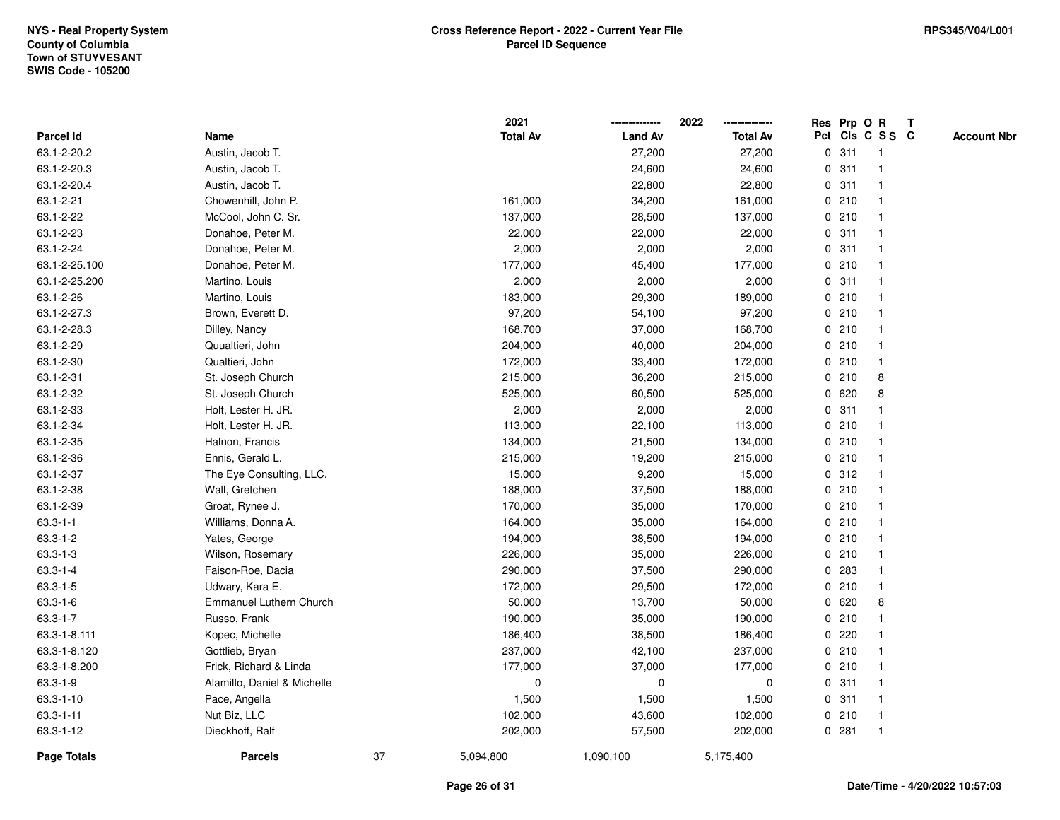|                    |                             |    | 2021            |                | 2022            | Res Prp O R |                 | Т |                    |
|--------------------|-----------------------------|----|-----------------|----------------|-----------------|-------------|-----------------|---|--------------------|
| Parcel Id          | Name                        |    | <b>Total Av</b> | <b>Land Av</b> | <b>Total Av</b> |             | Pct Cls C S S C |   | <b>Account Nbr</b> |
| 63.1-2-20.2        | Austin, Jacob T.            |    |                 | 27,200         | 27,200          | 0.311       | $\overline{1}$  |   |                    |
| 63.1-2-20.3        | Austin, Jacob T.            |    |                 | 24,600         | 24,600          | 0.311       | $\overline{1}$  |   |                    |
| 63.1-2-20.4        | Austin, Jacob T.            |    |                 | 22,800         | 22,800          | 0.311       | $\mathbf{1}$    |   |                    |
| 63.1-2-21          | Chowenhill, John P.         |    | 161,000         | 34,200         | 161,000         | 0210        | $\mathbf{1}$    |   |                    |
| 63.1-2-22          | McCool, John C. Sr.         |    | 137,000         | 28,500         | 137,000         | 0210        | $\mathbf{1}$    |   |                    |
| 63.1-2-23          | Donahoe, Peter M.           |    | 22,000          | 22,000         | 22,000          | 0.311       |                 |   |                    |
| 63.1-2-24          | Donahoe, Peter M.           |    | 2,000           | 2,000          | 2,000           | 0.311       | $\mathbf{1}$    |   |                    |
| 63.1-2-25.100      | Donahoe, Peter M.           |    | 177,000         | 45,400         | 177,000         | 0210        | $\mathbf{1}$    |   |                    |
| 63.1-2-25.200      | Martino, Louis              |    | 2,000           | 2,000          | 2,000           | 0.311       | $\mathbf{1}$    |   |                    |
| 63.1-2-26          | Martino, Louis              |    | 183,000         | 29,300         | 189,000         | 0210        | $\mathbf{1}$    |   |                    |
| 63.1-2-27.3        | Brown, Everett D.           |    | 97,200          | 54,100         | 97,200          | 0210        | $\mathbf 1$     |   |                    |
| 63.1-2-28.3        | Dilley, Nancy               |    | 168,700         | 37,000         | 168,700         | 0210        |                 |   |                    |
| 63.1-2-29          | Quualtieri, John            |    | 204,000         | 40,000         | 204,000         | 0210        |                 |   |                    |
| 63.1-2-30          | Qualtieri, John             |    | 172,000         | 33,400         | 172,000         | 0210        | 1               |   |                    |
| 63.1-2-31          | St. Joseph Church           |    | 215,000         | 36,200         | 215,000         | 0210        | 8               |   |                    |
| 63.1-2-32          | St. Joseph Church           |    | 525,000         | 60,500         | 525,000         | 0620        | 8               |   |                    |
| 63.1-2-33          | Holt, Lester H. JR.         |    | 2,000           | 2,000          | 2,000           | 0.311       | $\mathbf{1}$    |   |                    |
| 63.1-2-34          | Holt, Lester H. JR.         |    | 113,000         | 22,100         | 113,000         | 0210        | $\mathbf 1$     |   |                    |
| 63.1-2-35          | Halnon, Francis             |    | 134,000         | 21,500         | 134,000         | 0210        |                 |   |                    |
| 63.1-2-36          | Ennis, Gerald L.            |    | 215,000         | 19,200         | 215,000         | 0210        |                 |   |                    |
| 63.1-2-37          | The Eye Consulting, LLC.    |    | 15,000          | 9,200          | 15,000          | 0.312       | 1               |   |                    |
| 63.1-2-38          | Wall, Gretchen              |    | 188,000         | 37,500         | 188,000         | 0210        | -1              |   |                    |
| 63.1-2-39          | Groat, Rynee J.             |    | 170,000         | 35,000         | 170,000         | 0210        | $\mathbf{1}$    |   |                    |
| $63.3 - 1 - 1$     | Williams, Donna A.          |    | 164,000         | 35,000         | 164,000         | 0210        | $\mathbf{1}$    |   |                    |
| $63.3 - 1 - 2$     | Yates, George               |    | 194,000         | 38,500         | 194,000         | 0210        | $\mathbf{1}$    |   |                    |
| $63.3 - 1 - 3$     | Wilson, Rosemary            |    | 226,000         | 35,000         | 226,000         | 0210        | $\mathbf 1$     |   |                    |
| $63.3 - 1 - 4$     | Faison-Roe, Dacia           |    | 290,000         | 37,500         | 290,000         | 0 283       |                 |   |                    |
| $63.3 - 1 - 5$     | Udwary, Kara E.             |    | 172,000         | 29,500         | 172,000         | 0210        | 1               |   |                    |
| $63.3 - 1 - 6$     | Emmanuel Luthern Church     |    | 50,000          | 13,700         | 50,000          | 0 620       | 8               |   |                    |
| $63.3 - 1 - 7$     | Russo, Frank                |    | 190,000         | 35,000         | 190,000         | 0210        | $\mathbf{1}$    |   |                    |
| 63.3-1-8.111       | Kopec, Michelle             |    | 186,400         | 38,500         | 186,400         | 0220        | $\mathbf{1}$    |   |                    |
| 63.3-1-8.120       | Gottlieb, Bryan             |    | 237,000         | 42,100         | 237,000         | 0210        | $\mathbf{1}$    |   |                    |
| 63.3-1-8.200       | Frick, Richard & Linda      |    | 177,000         | 37,000         | 177,000         | 0210        | $\mathbf{1}$    |   |                    |
| $63.3 - 1 - 9$     | Alamillo, Daniel & Michelle |    | $\mathbf 0$     | $\pmb{0}$      | 0               | 0.311       | $\mathbf{1}$    |   |                    |
| 63.3-1-10          | Pace, Angella               |    | 1,500           | 1,500          | 1,500           | 0.311       | $\mathbf{1}$    |   |                    |
| $63.3 - 1 - 11$    | Nut Biz, LLC                |    | 102,000         | 43,600         | 102,000         | 0210        | $\overline{1}$  |   |                    |
| 63.3-1-12          | Dieckhoff, Ralf             |    | 202,000         | 57,500         | 202,000         | 0.281       | $\overline{1}$  |   |                    |
| <b>Page Totals</b> | <b>Parcels</b>              | 37 | 5,094,800       | 1,090,100      | 5,175,400       |             |                 |   |                    |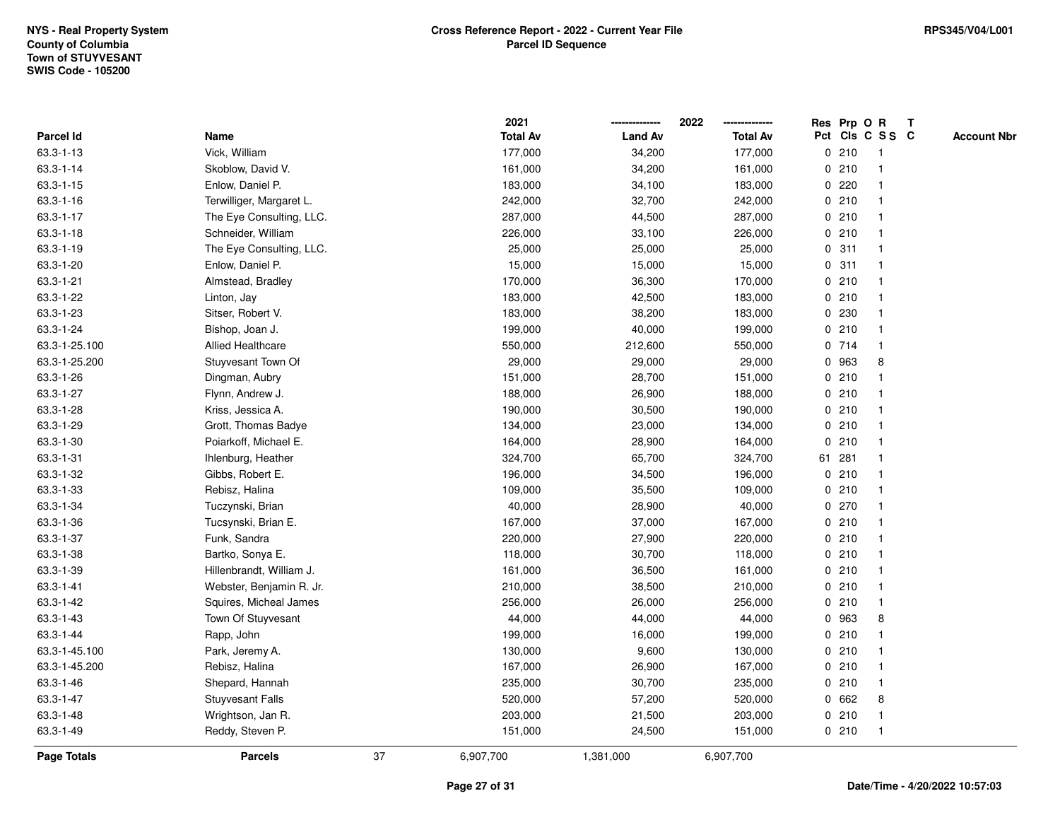|                 |                          |    | 2021            |                | 2022            |              | Res Prp O R |                 | T |                    |
|-----------------|--------------------------|----|-----------------|----------------|-----------------|--------------|-------------|-----------------|---|--------------------|
| Parcel Id       | Name                     |    | <b>Total Av</b> | <b>Land Av</b> | <b>Total Av</b> |              |             | Pct Cls C S S C |   | <b>Account Nbr</b> |
| 63.3-1-13       | Vick, William            |    | 177,000         | 34,200         | 177,000         |              | 0210        | -1              |   |                    |
| 63.3-1-14       | Skoblow, David V.        |    | 161,000         | 34,200         | 161,000         | 0            | 210         | $\mathbf{1}$    |   |                    |
| $63.3 - 1 - 15$ | Enlow, Daniel P.         |    | 183,000         | 34,100         | 183,000         |              | 0.220       | $\mathbf 1$     |   |                    |
| $63.3 - 1 - 16$ | Terwilliger, Margaret L. |    | 242,000         | 32,700         | 242,000         |              | 0210        |                 |   |                    |
| 63.3-1-17       | The Eye Consulting, LLC. |    | 287,000         | 44,500         | 287,000         |              | 0210        |                 |   |                    |
| 63.3-1-18       | Schneider, William       |    | 226,000         | 33,100         | 226,000         |              | 0210        |                 |   |                    |
| 63.3-1-19       | The Eye Consulting, LLC. |    | 25,000          | 25,000         | 25,000          |              | 0.311       |                 |   |                    |
| 63.3-1-20       | Enlow, Daniel P.         |    | 15,000          | 15,000         | 15,000          | 0            | 311         | $\mathbf{1}$    |   |                    |
| 63.3-1-21       | Almstead, Bradley        |    | 170,000         | 36,300         | 170,000         |              | 0210        | -1              |   |                    |
| 63.3-1-22       | Linton, Jay              |    | 183,000         | 42,500         | 183,000         |              | 0210        | $\mathbf 1$     |   |                    |
| 63.3-1-23       | Sitser, Robert V.        |    | 183,000         | 38,200         | 183,000         |              | 0 230       |                 |   |                    |
| 63.3-1-24       | Bishop, Joan J.          |    | 199,000         | 40,000         | 199,000         |              | 0210        |                 |   |                    |
| 63.3-1-25.100   | <b>Allied Healthcare</b> |    | 550,000         | 212,600        | 550,000         |              | 0 714       |                 |   |                    |
| 63.3-1-25.200   | Stuyvesant Town Of       |    | 29,000          | 29,000         | 29,000          |              | 0 963       | 8               |   |                    |
| 63.3-1-26       | Dingman, Aubry           |    | 151,000         | 28,700         | 151,000         | $\mathbf 0$  | 210         |                 |   |                    |
| 63.3-1-27       | Flynn, Andrew J.         |    | 188,000         | 26,900         | 188,000         |              | 0210        | $\overline{1}$  |   |                    |
| 63.3-1-28       | Kriss, Jessica A.        |    | 190,000         | 30,500         | 190,000         |              | 0210        | $\mathbf{1}$    |   |                    |
| 63.3-1-29       | Grott, Thomas Badye      |    | 134,000         | 23,000         | 134,000         |              | 0210        |                 |   |                    |
| 63.3-1-30       | Poiarkoff, Michael E.    |    | 164,000         | 28,900         | 164,000         |              | 0210        |                 |   |                    |
| 63.3-1-31       | Ihlenburg, Heather       |    | 324,700         | 65,700         | 324,700         |              | 61 281      |                 |   |                    |
| 63.3-1-32       | Gibbs, Robert E.         |    | 196,000         | 34,500         | 196,000         |              | 0210        |                 |   |                    |
| 63.3-1-33       | Rebisz, Halina           |    | 109,000         | 35,500         | 109,000         |              | 0210        |                 |   |                    |
| 63.3-1-34       | Tuczynski, Brian         |    | 40,000          | 28,900         | 40,000          |              | 0270        | -1              |   |                    |
| 63.3-1-36       | Tucsynski, Brian E.      |    | 167,000         | 37,000         | 167,000         | $\mathbf{0}$ | 210         | $\mathbf{1}$    |   |                    |
| 63.3-1-37       | Funk, Sandra             |    | 220,000         | 27,900         | 220,000         |              | 0210        |                 |   |                    |
| 63.3-1-38       | Bartko, Sonya E.         |    | 118,000         | 30,700         | 118,000         |              | 0210        |                 |   |                    |
| 63.3-1-39       | Hillenbrandt, William J. |    | 161,000         | 36,500         | 161,000         |              | 0210        |                 |   |                    |
| 63.3-1-41       | Webster, Benjamin R. Jr. |    | 210,000         | 38,500         | 210,000         |              | 0210        |                 |   |                    |
| 63.3-1-42       | Squires, Micheal James   |    | 256,000         | 26,000         | 256,000         |              | 0210        |                 |   |                    |
| 63.3-1-43       | Town Of Stuyvesant       |    | 44,000          | 44,000         | 44,000          | 0            | 963         | 8               |   |                    |
| 63.3-1-44       | Rapp, John               |    | 199,000         | 16,000         | 199,000         | 0            | 210         | $\mathbf 1$     |   |                    |
| 63.3-1-45.100   | Park, Jeremy A.          |    | 130,000         | 9,600          | 130,000         |              | 0210        | $\mathbf 1$     |   |                    |
| 63.3-1-45.200   | Rebisz, Halina           |    | 167,000         | 26,900         | 167,000         |              | 0210        |                 |   |                    |
| 63.3-1-46       | Shepard, Hannah          |    | 235,000         | 30,700         | 235,000         |              | 0210        |                 |   |                    |
| 63.3-1-47       | <b>Stuyvesant Falls</b>  |    | 520,000         | 57,200         | 520,000         |              | 0 662       | 8               |   |                    |
| 63.3-1-48       | Wrightson, Jan R.        |    | 203,000         | 21,500         | 203,000         | 0            | 210         | -1              |   |                    |
| 63.3-1-49       | Reddy, Steven P.         |    | 151,000         | 24,500         | 151,000         |              | 0210        | $\overline{1}$  |   |                    |
| Page Totals     | <b>Parcels</b>           | 37 | 6,907,700       | 1,381,000      | 6,907,700       |              |             |                 |   |                    |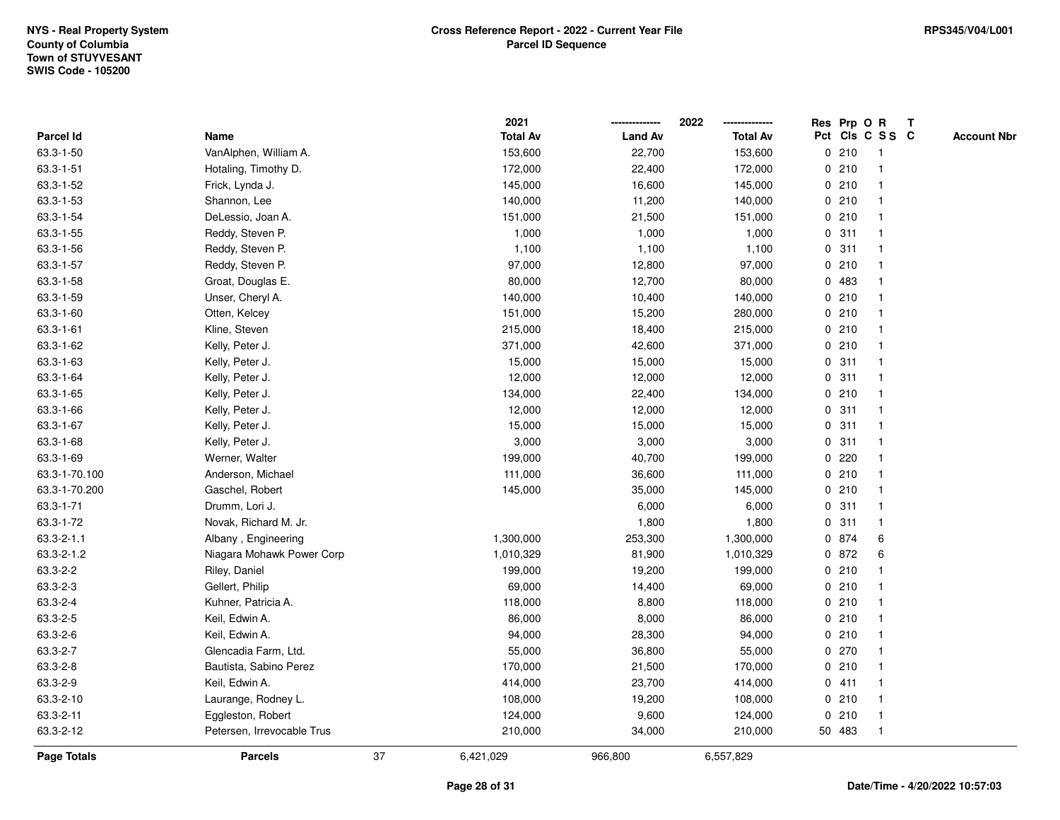|                    |                            |    | 2021            |                | 2022            |        | Res Prp O R     | T |                    |
|--------------------|----------------------------|----|-----------------|----------------|-----------------|--------|-----------------|---|--------------------|
| Parcel Id          | Name                       |    | <b>Total Av</b> | <b>Land Av</b> | <b>Total Av</b> |        | Pct Cls C S S C |   | <b>Account Nbr</b> |
| 63.3-1-50          | VanAlphen, William A.      |    | 153,600         | 22,700         | 153,600         | 0210   | $\overline{1}$  |   |                    |
| 63.3-1-51          | Hotaling, Timothy D.       |    | 172,000         | 22,400         | 172,000         | 0210   | $\mathbf{1}$    |   |                    |
| 63.3-1-52          | Frick, Lynda J.            |    | 145,000         | 16,600         | 145,000         | 0210   | $\mathbf{1}$    |   |                    |
| 63.3-1-53          | Shannon, Lee               |    | 140,000         | 11,200         | 140,000         | 0210   | $\mathbf{1}$    |   |                    |
| 63.3-1-54          | DeLessio, Joan A.          |    | 151,000         | 21,500         | 151,000         | 0210   | $\mathbf{1}$    |   |                    |
| 63.3-1-55          | Reddy, Steven P.           |    | 1,000           | 1,000          | 1,000           | 0.311  | $\mathbf{1}$    |   |                    |
| 63.3-1-56          | Reddy, Steven P.           |    | 1,100           | 1,100          | 1,100           | 0.311  | $\mathbf{1}$    |   |                    |
| 63.3-1-57          | Reddy, Steven P.           |    | 97,000          | 12,800         | 97,000          | 0210   | $\mathbf{1}$    |   |                    |
| 63.3-1-58          | Groat, Douglas E.          |    | 80,000          | 12,700         | 80,000          | 0 483  | $\mathbf{1}$    |   |                    |
| 63.3-1-59          | Unser, Cheryl A.           |    | 140,000         | 10,400         | 140,000         | 0210   | $\mathbf{1}$    |   |                    |
| 63.3-1-60          | Otten, Kelcey              |    | 151,000         | 15,200         | 280,000         | 0210   | $\mathbf{1}$    |   |                    |
| 63.3-1-61          | Kline, Steven              |    | 215,000         | 18,400         | 215,000         | 0210   | $\mathbf{1}$    |   |                    |
| 63.3-1-62          | Kelly, Peter J.            |    | 371,000         | 42,600         | 371,000         | 0210   | 1               |   |                    |
| 63.3-1-63          | Kelly, Peter J.            |    | 15,000          | 15,000         | 15,000          | 0.311  | $\mathbf{1}$    |   |                    |
| 63.3-1-64          | Kelly, Peter J.            |    | 12,000          | 12,000         | 12,000          | 0.311  | $\mathbf{1}$    |   |                    |
| 63.3-1-65          | Kelly, Peter J.            |    | 134,000         | 22,400         | 134,000         | 0210   | $\mathbf{1}$    |   |                    |
| 63.3-1-66          | Kelly, Peter J.            |    | 12,000          | 12,000         | 12,000          | 0.311  | $\mathbf{1}$    |   |                    |
| 63.3-1-67          | Kelly, Peter J.            |    | 15,000          | 15,000         | 15,000          | 0.311  | $\mathbf 1$     |   |                    |
| 63.3-1-68          | Kelly, Peter J.            |    | 3,000           | 3,000          | 3,000           | 0.311  | $\mathbf{1}$    |   |                    |
| 63.3-1-69          | Werner, Walter             |    | 199,000         | 40,700         | 199,000         | 0.220  | $\mathbf{1}$    |   |                    |
| 63.3-1-70.100      | Anderson, Michael          |    | 111,000         | 36,600         | 111,000         | 0210   | $\mathbf{1}$    |   |                    |
| 63.3-1-70.200      | Gaschel, Robert            |    | 145,000         | 35,000         | 145,000         | 0210   | $\mathbf{1}$    |   |                    |
| 63.3-1-71          | Drumm, Lori J.             |    |                 | 6,000          | 6,000           | 0.311  | $\mathbf{1}$    |   |                    |
| 63.3-1-72          | Novak, Richard M. Jr.      |    |                 | 1,800          | 1,800           | 0.311  | $\mathbf{1}$    |   |                    |
| $63.3 - 2 - 1.1$   | Albany, Engineering        |    | 1,300,000       | 253,300        | 1,300,000       | 0 874  | 6               |   |                    |
| 63.3-2-1.2         | Niagara Mohawk Power Corp  |    | 1,010,329       | 81,900         | 1,010,329       | 0 872  | 6               |   |                    |
| 63.3-2-2           | Riley, Daniel              |    | 199,000         | 19,200         | 199,000         | 0210   | 1               |   |                    |
| 63.3-2-3           | Gellert, Philip            |    | 69,000          | 14,400         | 69,000          | 0210   | $\mathbf{1}$    |   |                    |
| 63.3-2-4           | Kuhner, Patricia A.        |    | 118,000         | 8,800          | 118,000         | 0210   | $\mathbf{1}$    |   |                    |
| 63.3-2-5           | Keil, Edwin A.             |    | 86,000          | 8,000          | 86,000          | 0210   | $\mathbf{1}$    |   |                    |
| 63.3-2-6           | Keil, Edwin A.             |    | 94,000          | 28,300         | 94,000          | 0210   | $\mathbf{1}$    |   |                    |
| 63.3-2-7           | Glencadia Farm, Ltd.       |    | 55,000          | 36,800         | 55,000          | 0270   | $\mathbf{1}$    |   |                    |
| 63.3-2-8           | Bautista, Sabino Perez     |    | 170,000         | 21,500         | 170,000         | 0210   | $\mathbf{1}$    |   |                    |
| 63.3-2-9           | Keil, Edwin A.             |    | 414,000         | 23,700         | 414,000         | 0411   | $\mathbf{1}$    |   |                    |
| 63.3-2-10          | Laurange, Rodney L.        |    | 108,000         | 19,200         | 108,000         | 0210   | $\mathbf{1}$    |   |                    |
| 63.3-2-11          | Eggleston, Robert          |    | 124,000         | 9,600          | 124,000         | 0210   | $\mathbf{1}$    |   |                    |
| 63.3-2-12          | Petersen, Irrevocable Trus |    | 210,000         | 34,000         | 210,000         | 50 483 | $\mathbf{1}$    |   |                    |
| <b>Page Totals</b> | <b>Parcels</b>             | 37 | 6,421,029       | 966,800        | 6,557,829       |        |                 |   |                    |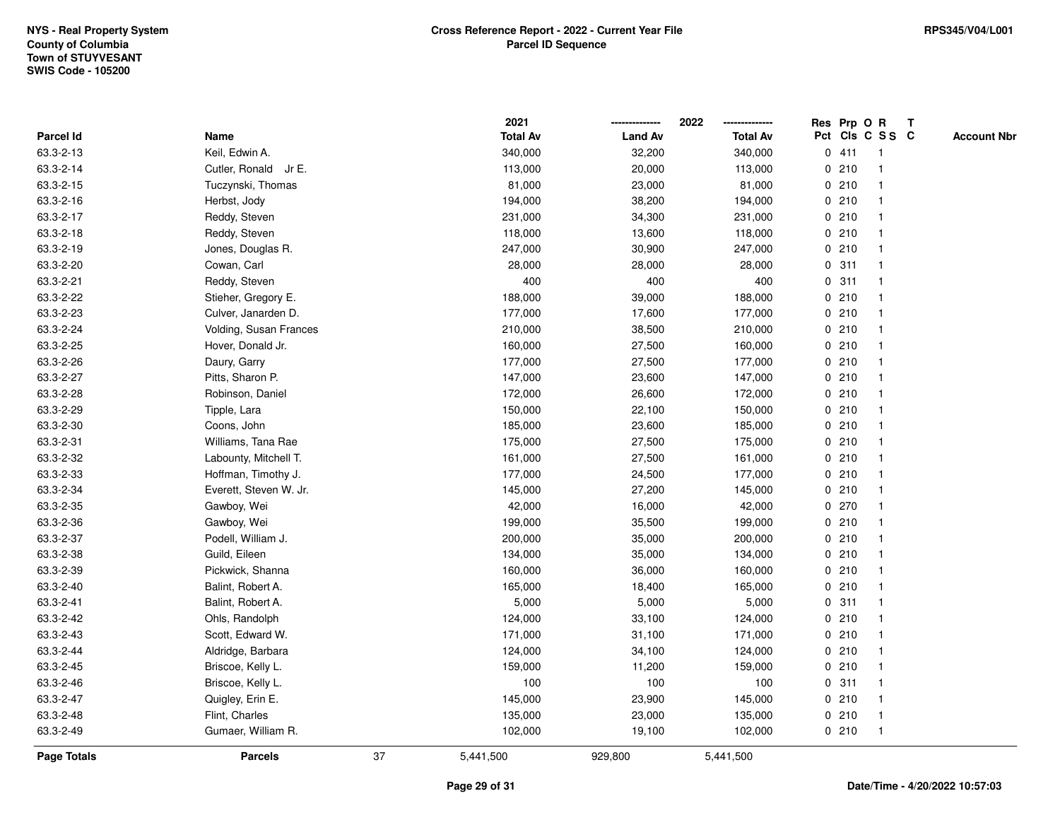|                    |                        |    | 2021            |                | 2022            |             |       | Res Prp O R     | T |                    |
|--------------------|------------------------|----|-----------------|----------------|-----------------|-------------|-------|-----------------|---|--------------------|
| Parcel Id          | Name                   |    | <b>Total Av</b> | <b>Land Av</b> | <b>Total Av</b> |             |       | Pct Cls C S S C |   | <b>Account Nbr</b> |
| 63.3-2-13          | Keil, Edwin A.         |    | 340,000         | 32,200         | 340,000         |             | 0411  | $\mathbf{1}$    |   |                    |
| 63.3-2-14          | Cutler, Ronald Jr E.   |    | 113,000         | 20,000         | 113,000         | 0           | 210   |                 |   |                    |
| 63.3-2-15          | Tuczynski, Thomas      |    | 81,000          | 23,000         | 81,000          |             | 0210  | -1              |   |                    |
| 63.3-2-16          | Herbst, Jody           |    | 194,000         | 38,200         | 194,000         |             | 0210  |                 |   |                    |
| 63.3-2-17          | Reddy, Steven          |    | 231,000         | 34,300         | 231,000         |             | 0210  |                 |   |                    |
| 63.3-2-18          | Reddy, Steven          |    | 118,000         | 13,600         | 118,000         |             | 0210  |                 |   |                    |
| 63.3-2-19          | Jones, Douglas R.      |    | 247,000         | 30,900         | 247,000         |             | 0210  |                 |   |                    |
| 63.3-2-20          | Cowan, Carl            |    | 28,000          | 28,000         | 28,000          | 0           | 311   | $\mathbf{1}$    |   |                    |
| 63.3-2-21          | Reddy, Steven          |    | 400             | 400            | 400             | 0           | 311   |                 |   |                    |
| 63.3-2-22          | Stieher, Gregory E.    |    | 188,000         | 39,000         | 188,000         |             | 0210  |                 |   |                    |
| 63.3-2-23          | Culver, Janarden D.    |    | 177,000         | 17,600         | 177,000         |             | 0210  |                 |   |                    |
| 63.3-2-24          | Volding, Susan Frances |    | 210,000         | 38,500         | 210,000         |             | 0210  |                 |   |                    |
| 63.3-2-25          | Hover, Donald Jr.      |    | 160,000         | 27,500         | 160,000         |             | 0210  |                 |   |                    |
| 63.3-2-26          | Daury, Garry           |    | 177,000         | 27,500         | 177,000         |             | 0210  |                 |   |                    |
| 63.3-2-27          | Pitts, Sharon P.       |    | 147,000         | 23,600         | 147,000         | $\mathbf 0$ | 210   |                 |   |                    |
| 63.3-2-28          | Robinson, Daniel       |    | 172,000         | 26,600         | 172,000         | $\mathbf 0$ | 210   | $\mathbf{1}$    |   |                    |
| 63.3-2-29          | Tipple, Lara           |    | 150,000         | 22,100         | 150,000         |             | 0210  |                 |   |                    |
| 63.3-2-30          | Coons, John            |    | 185,000         | 23,600         | 185,000         |             | 0210  |                 |   |                    |
| 63.3-2-31          | Williams, Tana Rae     |    | 175,000         | 27,500         | 175,000         |             | 0210  |                 |   |                    |
| 63.3-2-32          | Labounty, Mitchell T.  |    | 161,000         | 27,500         | 161,000         |             | 0210  |                 |   |                    |
| 63.3-2-33          | Hoffman, Timothy J.    |    | 177,000         | 24,500         | 177,000         |             | 0210  |                 |   |                    |
| 63.3-2-34          | Everett, Steven W. Jr. |    | 145,000         | 27,200         | 145,000         |             | 0210  |                 |   |                    |
| 63.3-2-35          | Gawboy, Wei            |    | 42,000          | 16,000         | 42,000          |             | 0270  |                 |   |                    |
| 63.3-2-36          | Gawboy, Wei            |    | 199,000         | 35,500         | 199,000         |             | 0210  |                 |   |                    |
| 63.3-2-37          | Podell, William J.     |    | 200,000         | 35,000         | 200,000         |             | 0210  |                 |   |                    |
| 63.3-2-38          | Guild, Eileen          |    | 134,000         | 35,000         | 134,000         |             | 0210  |                 |   |                    |
| 63.3-2-39          | Pickwick, Shanna       |    | 160,000         | 36,000         | 160,000         |             | 0210  |                 |   |                    |
| 63.3-2-40          | Balint, Robert A.      |    | 165,000         | 18,400         | 165,000         |             | 0210  |                 |   |                    |
| 63.3-2-41          | Balint, Robert A.      |    | 5,000           | 5,000          | 5,000           |             | 0.311 |                 |   |                    |
| 63.3-2-42          | Ohls, Randolph         |    | 124,000         | 33,100         | 124,000         | 0           | 210   |                 |   |                    |
| 63.3-2-43          | Scott, Edward W.       |    | 171,000         | 31,100         | 171,000         |             | 0210  |                 |   |                    |
| 63.3-2-44          | Aldridge, Barbara      |    | 124,000         | 34,100         | 124,000         |             | 0210  |                 |   |                    |
| 63.3-2-45          | Briscoe, Kelly L.      |    | 159,000         | 11,200         | 159,000         |             | 0210  |                 |   |                    |
| 63.3-2-46          | Briscoe, Kelly L.      |    | 100             | 100            | 100             |             | 0.311 |                 |   |                    |
| 63.3-2-47          | Quigley, Erin E.       |    | 145,000         | 23,900         | 145,000         |             | 0210  |                 |   |                    |
| 63.3-2-48          | Flint, Charles         |    | 135,000         | 23,000         | 135,000         |             | 0210  | -1              |   |                    |
| 63.3-2-49          | Gumaer, William R.     |    | 102,000         | 19,100         | 102,000         |             | 0210  | $\overline{1}$  |   |                    |
| <b>Page Totals</b> | <b>Parcels</b>         | 37 | 5,441,500       | 929,800        | 5,441,500       |             |       |                 |   |                    |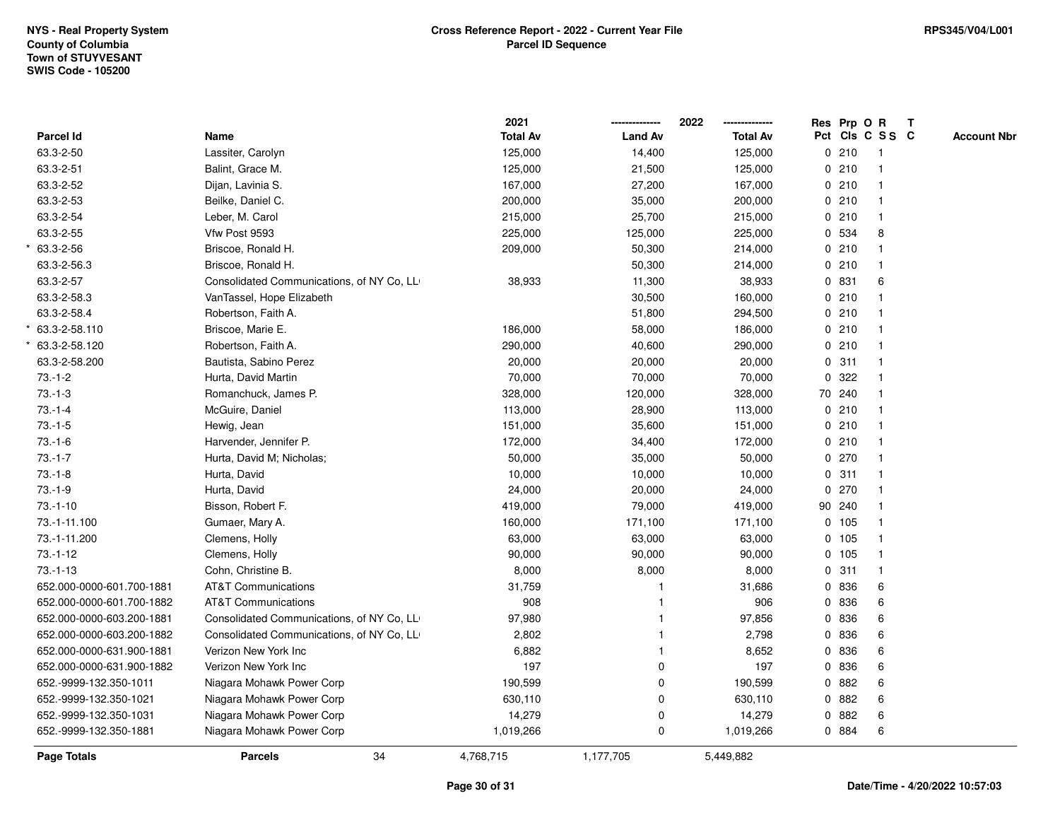| <b>Page Totals</b>        | <b>Parcels</b>                            | 34 | 4,768,715       | 1,177,705      | 5,449,882       |   |             |                 |              |                    |
|---------------------------|-------------------------------------------|----|-----------------|----------------|-----------------|---|-------------|-----------------|--------------|--------------------|
| 652.-9999-132.350-1881    | Niagara Mohawk Power Corp                 |    | 1,019,266       | $\mathbf 0$    | 1,019,266       |   | 0 884       | 6               |              |                    |
| 652.-9999-132.350-1031    | Niagara Mohawk Power Corp                 |    | 14,279          | 0              | 14,279          | 0 | 882         | 6               |              |                    |
| 652.-9999-132.350-1021    | Niagara Mohawk Power Corp                 |    | 630,110         | 0              | 630,110         |   | 0 882       | 6               |              |                    |
| 652.-9999-132.350-1011    | Niagara Mohawk Power Corp                 |    | 190,599         | $\mathbf 0$    | 190,599         |   | 0 882       | 6               |              |                    |
| 652.000-0000-631.900-1882 | Verizon New York Inc                      |    | 197             | 0              | 197             |   | 0 836       | 6               |              |                    |
| 652.000-0000-631.900-1881 | Verizon New York Inc                      |    | 6,882           |                | 8,652           | 0 | 836         | 6               |              |                    |
| 652.000-0000-603.200-1882 | Consolidated Communications, of NY Co, LL |    | 2,802           |                | 2,798           | 0 | 836         | 6               |              |                    |
| 652.000-0000-603.200-1881 | Consolidated Communications, of NY Co, LL |    | 97,980          |                | 97,856          |   | 0 836       | 6               |              |                    |
| 652.000-0000-601.700-1882 | <b>AT&amp;T Communications</b>            |    | 908             | -1             | 906             |   | 0 836       | 6               |              |                    |
| 652.000-0000-601.700-1881 | <b>AT&amp;T Communications</b>            |    | 31,759          |                | 31,686          |   | 0 836       | 6               |              |                    |
| $73.-1-13$                | Cohn, Christine B.                        |    | 8,000           | 8,000          | 8,000           |   | 0.311       |                 |              |                    |
| $73.-1-12$                | Clemens, Holly                            |    | 90,000          | 90,000         | 90,000          |   | 0 105       |                 |              |                    |
| 73.-1-11.200              | Clemens, Holly                            |    | 63,000          | 63,000         | 63,000          |   | 0 105       | 1               |              |                    |
| 73.-1-11.100              | Gumaer, Mary A.                           |    | 160,000         | 171,100        | 171,100         |   | 0, 105      | $\overline{1}$  |              |                    |
| $73.-1-10$                | Bisson, Robert F.                         |    | 419,000         | 79,000         | 419,000         |   | 90 240      |                 |              |                    |
| $73.-1-9$                 | Hurta, David                              |    | 24,000          | 20,000         | 24,000          |   | 0270        | $\mathbf 1$     |              |                    |
| $73.-1-8$                 | Hurta, David                              |    | 10,000          | 10,000         | 10,000          |   | 0.311       |                 |              |                    |
| $73.-1-7$                 | Hurta, David M; Nicholas;                 |    | 50,000          | 35,000         | 50,000          |   | 0270        |                 |              |                    |
| $73.-1-6$                 | Harvender, Jennifer P.                    |    | 172,000         | 34,400         | 172,000         |   | 0210        |                 |              |                    |
| $73.-1-5$                 | Hewig, Jean                               |    | 151,000         | 35,600         | 151,000         |   | 0210        |                 |              |                    |
| $73.-1-4$                 | McGuire, Daniel                           |    | 113,000         | 28,900         | 113,000         |   | 0210        | $\mathbf 1$     |              |                    |
| $73.-1-3$                 | Romanchuck, James P.                      |    | 328,000         | 120,000        | 328,000         |   | 70 240      | $\mathbf{1}$    |              |                    |
| $73.-1-2$                 | Hurta, David Martin                       |    | 70,000          | 70,000         | 70,000          | 0 | 322         |                 |              |                    |
| 63.3-2-58.200             | Bautista, Sabino Perez                    |    | 20,000          | 20,000         | 20,000          |   | 0.311       |                 |              |                    |
| 63.3-2-58.120             | Robertson, Faith A.                       |    | 290,000         | 40,600         | 290,000         |   | 0210        |                 |              |                    |
| 63.3-2-58.110             | Briscoe, Marie E.                         |    | 186,000         | 58,000         | 186,000         |   | 0210        |                 |              |                    |
| 63.3-2-58.4               | Robertson, Faith A.                       |    |                 | 51,800         | 294,500         |   | 0210        |                 |              |                    |
| 63.3-2-58.3               | VanTassel, Hope Elizabeth                 |    |                 | 30,500         | 160,000         |   | 0210        |                 |              |                    |
| 63.3-2-57                 | Consolidated Communications, of NY Co, LL |    | 38,933          | 11,300         | 38,933          |   | 0 831       | 6               |              |                    |
| 63.3-2-56.3               | Briscoe, Ronald H.                        |    |                 | 50,300         | 214,000         |   | 0210        | $\overline{1}$  |              |                    |
| 63.3-2-56                 | Briscoe, Ronald H.                        |    | 209,000         | 50,300         | 214,000         |   | 0210        |                 |              |                    |
| 63.3-2-55                 | Vfw Post 9593                             |    | 225,000         | 125,000        | 225,000         |   | 0 534       | 8               |              |                    |
| 63.3-2-54                 | Leber, M. Carol                           |    | 215,000         | 25,700         | 215,000         |   | 0210        |                 |              |                    |
| 63.3-2-53                 | Beilke, Daniel C.                         |    | 200,000         | 35,000         | 200,000         |   | 0210        |                 |              |                    |
| 63.3-2-52                 | Dijan, Lavinia S.                         |    | 167,000         | 27,200         | 167,000         |   | 0210        | $\mathbf{1}$    |              |                    |
| 63.3-2-51                 | Balint, Grace M.                          |    | 125,000         | 21,500         | 125,000         |   | 0210        | -1              |              |                    |
| 63.3-2-50                 | Lassiter, Carolyn                         |    | 125,000         | 14,400         | 125,000         |   | 0210        | $\overline{1}$  |              |                    |
| Parcel Id                 | Name                                      |    | <b>Total Av</b> | <b>Land Av</b> | <b>Total Av</b> |   | Res Prp O R | Pct Cls C S S C |              | <b>Account Nbr</b> |
|                           |                                           |    | 2021            |                | 2022            |   |             |                 | $\mathbf{T}$ |                    |